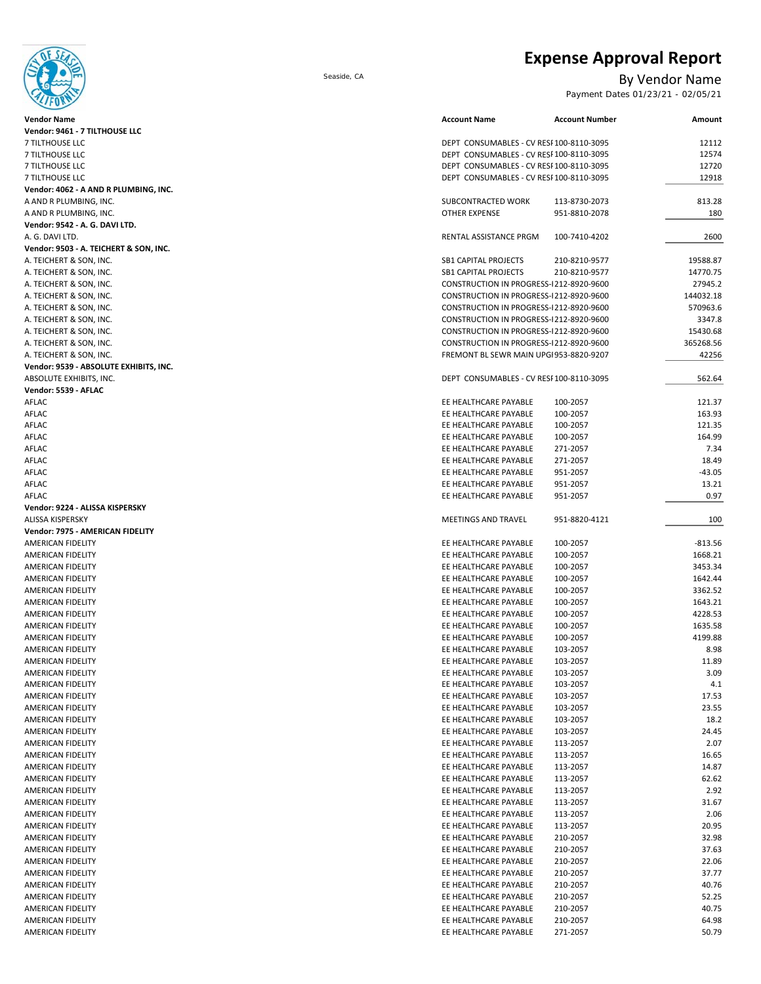**Expense Approval Report**



Seaside, CA By Vendor Name

Payment Dates 01/23/21 - 02/05/21

| $\sim$                                                   |                                                                        |                    |
|----------------------------------------------------------|------------------------------------------------------------------------|--------------------|
| <b>Vendor Name</b>                                       | <b>Account Name</b><br><b>Account Number</b>                           | Amount             |
| Vendor: 9461 - 7 TILTHOUSE LLC                           |                                                                        |                    |
| <b>7 TILTHOUSE LLC</b>                                   | DEPT CONSUMABLES - CV RESI 100-8110-3095                               | 12112              |
| 7 TILTHOUSE LLC                                          | DEPT CONSUMABLES - CV RESI 100-8110-3095                               | 12574              |
| 7 TILTHOUSE LLC                                          | DEPT CONSUMABLES - CV RESI 100-8110-3095                               | 12720              |
| 7 TILTHOUSE LLC                                          | DEPT CONSUMABLES - CV RESI 100-8110-3095                               | 12918              |
| Vendor: 4062 - A AND R PLUMBING, INC.                    |                                                                        |                    |
| A AND R PLUMBING, INC.                                   | SUBCONTRACTED WORK<br>113-8730-2073<br><b>OTHER EXPENSE</b>            | 813.28<br>180      |
| A AND R PLUMBING, INC.<br>Vendor: 9542 - A. G. DAVI LTD. | 951-8810-2078                                                          |                    |
| A. G. DAVI LTD.                                          | RENTAL ASSISTANCE PRGM<br>100-7410-4202                                | 2600               |
| Vendor: 9503 - A. TEICHERT & SON, INC.                   |                                                                        |                    |
| A. TEICHERT & SON, INC.                                  | <b>SB1 CAPITAL PROJECTS</b><br>210-8210-9577                           | 19588.87           |
| A. TEICHERT & SON, INC.                                  | <b>SB1 CAPITAL PROJECTS</b><br>210-8210-9577                           | 14770.75           |
| A. TEICHERT & SON, INC.                                  | CONSTRUCTION IN PROGRESS-1212-8920-9600                                | 27945.2            |
| A. TEICHERT & SON, INC.                                  | CONSTRUCTION IN PROGRESS-1212-8920-9600                                | 144032.18          |
| A. TEICHERT & SON, INC.                                  | CONSTRUCTION IN PROGRESS-1212-8920-9600                                | 570963.6           |
| A. TEICHERT & SON, INC.                                  | CONSTRUCTION IN PROGRESS-1212-8920-9600                                | 3347.8             |
| A. TEICHERT & SON, INC.                                  | CONSTRUCTION IN PROGRESS-1212-8920-9600                                | 15430.68           |
| A. TEICHERT & SON, INC.                                  | CONSTRUCTION IN PROGRESS-1212-8920-9600                                | 365268.56          |
| A. TEICHERT & SON, INC.                                  | FREMONT BL SEWR MAIN UPG1953-8820-9207                                 | 42256              |
| Vendor: 9539 - ABSOLUTE EXHIBITS, INC.                   |                                                                        |                    |
| ABSOLUTE EXHIBITS, INC.                                  | DEPT CONSUMABLES - CV RESI 100-8110-3095                               | 562.64             |
| Vendor: 5539 - AFLAC                                     |                                                                        |                    |
| AFLAC                                                    | EE HEALTHCARE PAYABLE<br>100-2057                                      | 121.37             |
| AFLAC                                                    | EE HEALTHCARE PAYABLE<br>100-2057                                      | 163.93             |
| AFLAC                                                    | EE HEALTHCARE PAYABLE<br>100-2057                                      | 121.35             |
| AFLAC                                                    | EE HEALTHCARE PAYABLE<br>100-2057                                      | 164.99             |
| AFLAC                                                    | EE HEALTHCARE PAYABLE<br>271-2057                                      | 7.34               |
| AFLAC                                                    | EE HEALTHCARE PAYABLE<br>271-2057                                      | 18.49              |
| <b>AFLAC</b>                                             | EE HEALTHCARE PAYABLE<br>951-2057                                      | $-43.05$           |
| AFLAC                                                    | EE HEALTHCARE PAYABLE<br>951-2057                                      | 13.21              |
| AFLAC                                                    | EE HEALTHCARE PAYABLE<br>951-2057                                      | 0.97               |
| Vendor: 9224 - ALISSA KISPERSKY                          |                                                                        |                    |
| <b>ALISSA KISPERSKY</b>                                  | MEETINGS AND TRAVEL<br>951-8820-4121                                   | 100                |
| Vendor: 7975 - AMERICAN FIDELITY                         |                                                                        |                    |
| AMERICAN FIDELITY                                        | EE HEALTHCARE PAYABLE<br>100-2057                                      | $-813.56$          |
| AMERICAN FIDELITY                                        | EE HEALTHCARE PAYABLE<br>100-2057                                      | 1668.21            |
| AMERICAN FIDELITY                                        | EE HEALTHCARE PAYABLE<br>100-2057                                      | 3453.34<br>1642.44 |
| AMERICAN FIDELITY<br>AMERICAN FIDELITY                   | EE HEALTHCARE PAYABLE<br>100-2057<br>EE HEALTHCARE PAYABLE<br>100-2057 | 3362.52            |
| AMERICAN FIDELITY                                        | EE HEALTHCARE PAYABLE<br>100-2057                                      | 1643.21            |
| AMERICAN FIDELITY                                        | EE HEALTHCARE PAYABLE<br>100-2057                                      | 4228.53            |
| AMERICAN FIDELITY                                        | EE HEALTHCARE PAYABLE<br>100-2057                                      | 1635.58            |
| AMERICAN FIDELITY                                        | EE HEALTHCARE PAYABLE<br>100-2057                                      | 4199.88            |
| AMERICAN FIDELITY                                        | EE HEALTHCARE PAYABLE<br>103-2057                                      | 8.98               |
| <b>AMERICAN FIDELITY</b>                                 | EE HEALTHCARE PAYABLE<br>103-2057                                      | 11.89              |
| AMERICAN FIDELITY                                        | EE HEALTHCARE PAYABLE<br>103-2057                                      | 3.09               |
| AMERICAN FIDELITY                                        | EE HEALTHCARE PAYABLE<br>103-2057                                      | 4.1                |
| AMERICAN FIDELITY                                        | EE HEALTHCARE PAYABLE<br>103-2057                                      | 17.53              |
| AMERICAN FIDELITY                                        | EE HEALTHCARE PAYABLE<br>103-2057                                      | 23.55              |
| AMERICAN FIDELITY                                        | EE HEALTHCARE PAYABLE<br>103-2057                                      | 18.2               |
| AMERICAN FIDELITY                                        | EE HEALTHCARE PAYABLE<br>103-2057                                      | 24.45              |
| AMERICAN FIDELITY                                        | EE HEALTHCARE PAYABLE<br>113-2057                                      | 2.07               |
| AMERICAN FIDELITY                                        | EE HEALTHCARE PAYABLE<br>113-2057                                      | 16.65              |
| AMERICAN FIDELITY                                        | EE HEALTHCARE PAYABLE<br>113-2057                                      | 14.87              |
| AMERICAN FIDELITY                                        | EE HEALTHCARE PAYABLE<br>113-2057                                      | 62.62              |
| AMERICAN FIDELITY                                        | EE HEALTHCARE PAYABLE<br>113-2057                                      | 2.92               |
| AMERICAN FIDELITY                                        | EE HEALTHCARE PAYABLE<br>113-2057                                      | 31.67              |
| AMERICAN FIDELITY                                        | EE HEALTHCARE PAYABLE<br>113-2057                                      | 2.06               |
| AMERICAN FIDELITY                                        | EE HEALTHCARE PAYABLE<br>113-2057                                      | 20.95              |
| AMERICAN FIDELITY                                        | EE HEALTHCARE PAYABLE<br>210-2057                                      | 32.98              |
| AMERICAN FIDELITY                                        | EE HEALTHCARE PAYABLE<br>210-2057                                      | 37.63              |
| AMERICAN FIDELITY                                        | EE HEALTHCARE PAYABLE<br>210-2057                                      | 22.06              |
| AMERICAN FIDELITY                                        | EE HEALTHCARE PAYABLE<br>210-2057                                      | 37.77              |
| AMERICAN FIDELITY                                        | EE HEALTHCARE PAYABLE<br>210-2057                                      | 40.76              |
| AMERICAN FIDELITY                                        | EE HEALTHCARE PAYABLE<br>210-2057                                      | 52.25              |
| AMERICAN FIDELITY                                        | EE HEALTHCARE PAYABLE<br>210-2057                                      | 40.75              |
| AMERICAN FIDELITY                                        | EE HEALTHCARE PAYABLE<br>210-2057                                      | 64.98              |
| AMERICAN FIDELITY                                        | EE HEALTHCARE PAYABLE<br>271-2057                                      | 50.79              |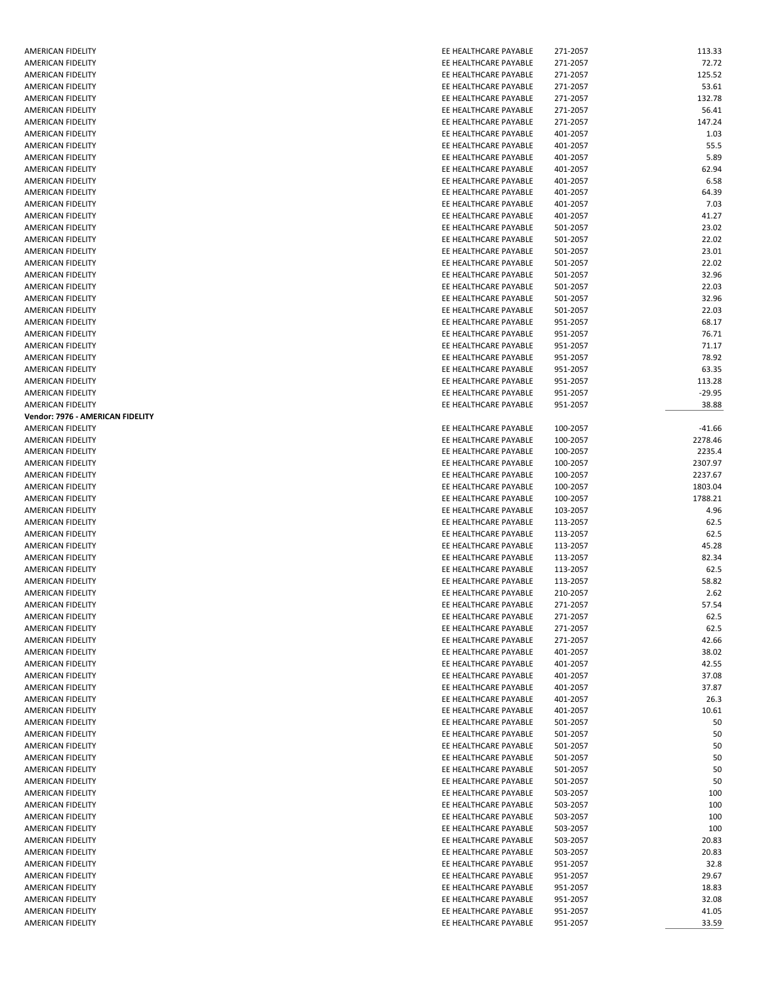| AMERICAN FIDELITY                | EE HEALTHCARE PAYABLE | 271-2057 | 113.33   |
|----------------------------------|-----------------------|----------|----------|
| AMERICAN FIDELITY                | EE HEALTHCARE PAYABLE | 271-2057 | 72.72    |
| <b>AMERICAN FIDELITY</b>         | EE HEALTHCARE PAYABLE | 271-2057 | 125.52   |
| AMERICAN FIDELITY                | EE HEALTHCARE PAYABLE | 271-2057 | 53.61    |
| AMERICAN FIDELITY                | EE HEALTHCARE PAYABLE | 271-2057 | 132.78   |
| AMERICAN FIDELITY                | EE HEALTHCARE PAYABLE | 271-2057 | 56.41    |
| AMERICAN FIDELITY                | EE HEALTHCARE PAYABLE | 271-2057 | 147.24   |
| AMERICAN FIDELITY                | EE HEALTHCARE PAYABLE | 401-2057 | 1.03     |
| AMERICAN FIDELITY                | EE HEALTHCARE PAYABLE | 401-2057 | 55.5     |
| AMERICAN FIDELITY                | EE HEALTHCARE PAYABLE | 401-2057 | 5.89     |
| AMERICAN FIDELITY                | EE HEALTHCARE PAYABLE | 401-2057 | 62.94    |
| AMERICAN FIDELITY                | EE HEALTHCARE PAYABLE | 401-2057 | 6.58     |
| <b>AMERICAN FIDELITY</b>         | EE HEALTHCARE PAYABLE | 401-2057 | 64.39    |
| AMERICAN FIDELITY                | EE HEALTHCARE PAYABLE | 401-2057 | 7.03     |
| <b>AMERICAN FIDELITY</b>         | EE HEALTHCARE PAYABLE | 401-2057 | 41.27    |
| AMERICAN FIDELITY                | EE HEALTHCARE PAYABLE | 501-2057 | 23.02    |
| <b>AMERICAN FIDELITY</b>         | EE HEALTHCARE PAYABLE | 501-2057 | 22.02    |
| AMERICAN FIDELITY                | EE HEALTHCARE PAYABLE | 501-2057 | 23.01    |
|                                  |                       |          |          |
| AMERICAN FIDELITY                | EE HEALTHCARE PAYABLE | 501-2057 | 22.02    |
| AMERICAN FIDELITY                | EE HEALTHCARE PAYABLE | 501-2057 | 32.96    |
| <b>AMERICAN FIDELITY</b>         | EE HEALTHCARE PAYABLE | 501-2057 | 22.03    |
| AMERICAN FIDELITY                | EE HEALTHCARE PAYABLE | 501-2057 | 32.96    |
| <b>AMERICAN FIDELITY</b>         | EE HEALTHCARE PAYABLE | 501-2057 | 22.03    |
| <b>AMERICAN FIDELITY</b>         | EE HEALTHCARE PAYABLE | 951-2057 | 68.17    |
| <b>AMERICAN FIDELITY</b>         | EE HEALTHCARE PAYABLE | 951-2057 | 76.71    |
| AMERICAN FIDELITY                | EE HEALTHCARE PAYABLE | 951-2057 | 71.17    |
| <b>AMERICAN FIDELITY</b>         | EE HEALTHCARE PAYABLE | 951-2057 | 78.92    |
| <b>AMERICAN FIDELITY</b>         | EE HEALTHCARE PAYABLE | 951-2057 | 63.35    |
| <b>AMERICAN FIDELITY</b>         | EE HEALTHCARE PAYABLE | 951-2057 | 113.28   |
| AMERICAN FIDELITY                | EE HEALTHCARE PAYABLE | 951-2057 | $-29.95$ |
| AMERICAN FIDELITY                | EE HEALTHCARE PAYABLE | 951-2057 | 38.88    |
| Vendor: 7976 - AMERICAN FIDELITY |                       |          |          |
| AMERICAN FIDELITY                | EE HEALTHCARE PAYABLE | 100-2057 | $-41.66$ |
| <b>AMERICAN FIDELITY</b>         | EE HEALTHCARE PAYABLE | 100-2057 | 2278.46  |
| AMERICAN FIDELITY                | EE HEALTHCARE PAYABLE | 100-2057 | 2235.4   |
| AMERICAN FIDELITY                | EE HEALTHCARE PAYABLE | 100-2057 | 2307.97  |
| AMERICAN FIDELITY                | EE HEALTHCARE PAYABLE | 100-2057 | 2237.67  |
| AMERICAN FIDELITY                | EE HEALTHCARE PAYABLE | 100-2057 | 1803.04  |
| AMERICAN FIDELITY                | EE HEALTHCARE PAYABLE | 100-2057 | 1788.21  |
| AMERICAN FIDELITY                | EE HEALTHCARE PAYABLE | 103-2057 | 4.96     |
| AMERICAN FIDELITY                | EE HEALTHCARE PAYABLE | 113-2057 | 62.5     |
| AMERICAN FIDELITY                | EE HEALTHCARE PAYABLE | 113-2057 | 62.5     |
| AMERICAN FIDELITY                | EE HEALTHCARE PAYABLE | 113-2057 | 45.28    |
| <b>AMERICAN FIDELITY</b>         | EE HEALTHCARE PAYABLE |          |          |
|                                  |                       | 113-2057 | 82.34    |
| AMERICAN FIDELITY                | EE HEALTHCARE PAYABLE | 113-2057 | 62.5     |
| AMERICAN FIDELITY                | EE HEALTHCARE PAYABLE | 113-2057 | 58.82    |
| <b>AMERICAN FIDELITY</b>         | EE HEALTHCARE PAYABLE | 210-2057 | 2.62     |
| <b>AMERICAN FIDELITY</b>         | EE HEALTHCARE PAYABLE | 271-2057 | 57.54    |
| <b>AMERICAN FIDELITY</b>         | EE HEALTHCARE PAYABLE | 271-2057 | 62.5     |
| AMERICAN FIDELITY                | EE HEALTHCARE PAYABLE | 271-2057 | 62.5     |
| AMERICAN FIDELITY                | EE HEALTHCARE PAYABLE | 271-2057 | 42.66    |
| AMERICAN FIDELITY                | EE HEALTHCARE PAYABLE | 401-2057 | 38.02    |
| AMERICAN FIDELITY                | EE HEALTHCARE PAYABLE | 401-2057 | 42.55    |
| AMERICAN FIDELITY                | EE HEALTHCARE PAYABLE | 401-2057 | 37.08    |
| <b>AMERICAN FIDELITY</b>         | EE HEALTHCARE PAYABLE | 401-2057 | 37.87    |
| AMERICAN FIDELITY                | EE HEALTHCARE PAYABLE | 401-2057 | 26.3     |
| AMERICAN FIDELITY                | EE HEALTHCARE PAYABLE | 401-2057 | 10.61    |
| AMERICAN FIDELITY                | EE HEALTHCARE PAYABLE | 501-2057 | 50       |
| AMERICAN FIDELITY                | EE HEALTHCARE PAYABLE | 501-2057 | 50       |
| AMERICAN FIDELITY                | EE HEALTHCARE PAYABLE | 501-2057 | 50       |
| AMERICAN FIDELITY                | EE HEALTHCARE PAYABLE | 501-2057 | 50       |
| AMERICAN FIDELITY                | EE HEALTHCARE PAYABLE | 501-2057 | 50       |
| AMERICAN FIDELITY                | EE HEALTHCARE PAYABLE | 501-2057 | 50       |
| AMERICAN FIDELITY                | EE HEALTHCARE PAYABLE | 503-2057 | 100      |
| AMERICAN FIDELITY                | EE HEALTHCARE PAYABLE | 503-2057 | 100      |
| AMERICAN FIDELITY                | EE HEALTHCARE PAYABLE |          | 100      |
|                                  |                       | 503-2057 |          |
| AMERICAN FIDELITY                | EE HEALTHCARE PAYABLE | 503-2057 | 100      |
| AMERICAN FIDELITY                | EE HEALTHCARE PAYABLE | 503-2057 | 20.83    |
| AMERICAN FIDELITY                | EE HEALTHCARE PAYABLE | 503-2057 | 20.83    |
| AMERICAN FIDELITY                | EE HEALTHCARE PAYABLE | 951-2057 | 32.8     |
| AMERICAN FIDELITY                | EE HEALTHCARE PAYABLE | 951-2057 | 29.67    |
| AMERICAN FIDELITY                | EE HEALTHCARE PAYABLE | 951-2057 | 18.83    |
| AMERICAN FIDELITY                | EE HEALTHCARE PAYABLE | 951-2057 | 32.08    |
| <b>AMERICAN FIDELITY</b>         | EE HEALTHCARE PAYABLE | 951-2057 | 41.05    |
| AMERICAN FIDELITY                | EE HEALTHCARE PAYABLE | 951-2057 | 33.59    |
|                                  |                       |          |          |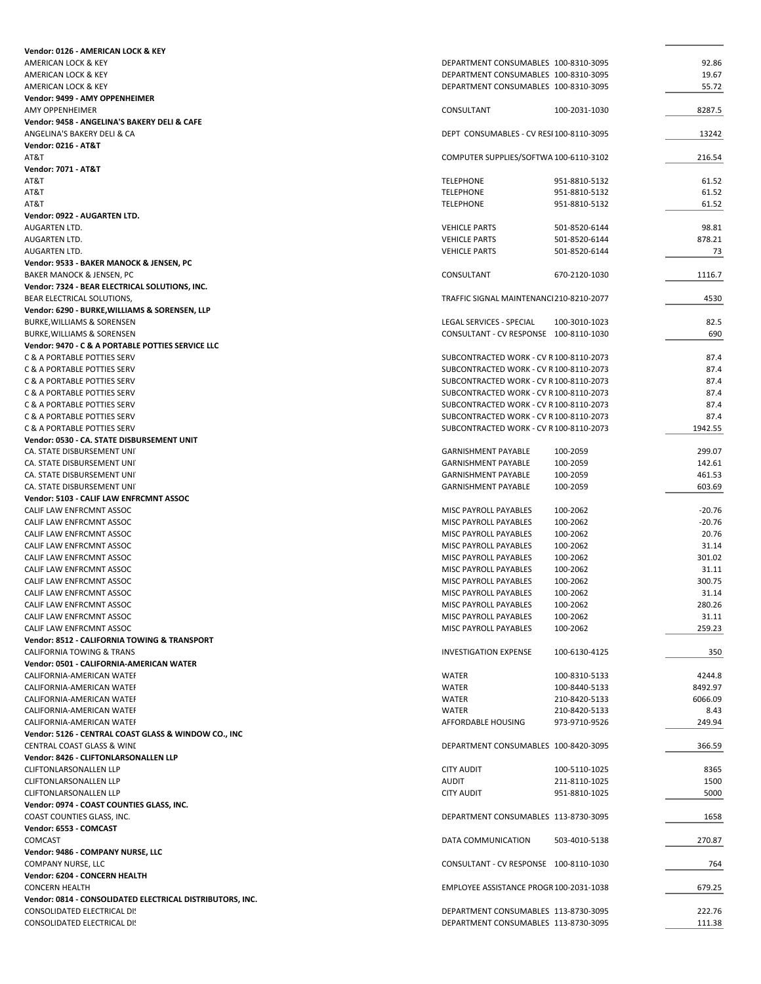| Vendor: 0126 - AMERICAN LOCK & KEY                        |                                                                   |                |
|-----------------------------------------------------------|-------------------------------------------------------------------|----------------|
| AMERICAN LOCK & KEY                                       | DEPARTMENT CONSUMABLES 100-8310-3095                              | 92.86          |
| AMERICAN LOCK & KEY                                       | DEPARTMENT CONSUMABLES 100-8310-3095                              | 19.67          |
| AMERICAN LOCK & KEY                                       | DEPARTMENT CONSUMABLES 100-8310-3095                              | 55.72          |
| Vendor: 9499 - AMY OPPENHEIMER                            |                                                                   |                |
| <b>AMY OPPENHEIMER</b>                                    | CONSULTANT<br>100-2031-1030                                       | 8287.5         |
| Vendor: 9458 - ANGELINA'S BAKERY DELI & CAFE              |                                                                   |                |
| ANGELINA'S BAKERY DELI & CA                               | DEPT CONSUMABLES - CV RESI 100-8110-3095                          | 13242          |
| <b>Vendor: 0216 - AT&amp;T</b>                            |                                                                   |                |
| AT&T                                                      | COMPUTER SUPPLIES/SOFTWA 100-6110-3102                            | 216.54         |
| <b>Vendor: 7071 - AT&amp;T</b><br>AT&T                    | <b>TELEPHONE</b><br>951-8810-5132                                 | 61.52          |
| AT&T                                                      | <b>TELEPHONE</b><br>951-8810-5132                                 | 61.52          |
| AT&T                                                      | <b>TELEPHONE</b><br>951-8810-5132                                 | 61.52          |
| Vendor: 0922 - AUGARTEN LTD.                              |                                                                   |                |
| <b>AUGARTEN LTD.</b>                                      | <b>VEHICLE PARTS</b><br>501-8520-6144                             | 98.81          |
| AUGARTEN LTD.                                             | <b>VEHICLE PARTS</b><br>501-8520-6144                             | 878.21         |
| AUGARTEN LTD.                                             | <b>VEHICLE PARTS</b><br>501-8520-6144                             | 73             |
| Vendor: 9533 - BAKER MANOCK & JENSEN, PC                  |                                                                   |                |
| BAKER MANOCK & JENSEN, PC                                 | CONSULTANT<br>670-2120-1030                                       | 1116.7         |
| Vendor: 7324 - BEAR ELECTRICAL SOLUTIONS, INC.            |                                                                   |                |
| BEAR ELECTRICAL SOLUTIONS,                                | TRAFFIC SIGNAL MAINTENANCI 210-8210-2077                          | 4530           |
| Vendor: 6290 - BURKE, WILLIAMS & SORENSEN, LLP            |                                                                   |                |
| <b>BURKE, WILLIAMS &amp; SORENSEN</b>                     | LEGAL SERVICES - SPECIAL<br>100-3010-1023                         | 82.5           |
| <b>BURKE, WILLIAMS &amp; SORENSEN</b>                     | CONSULTANT - CV RESPONSE 100-8110-1030                            | 690            |
| Vendor: 9470 - C & A PORTABLE POTTIES SERVICE LLC         |                                                                   |                |
| C & A PORTABLE POTTIES SERV                               | SUBCONTRACTED WORK - CV R 100-8110-2073                           | 87.4           |
| C & A PORTABLE POTTIES SERV                               | SUBCONTRACTED WORK - CV R 100-8110-2073                           | 87.4           |
| C & A PORTABLE POTTIES SERV                               | SUBCONTRACTED WORK - CV R 100-8110-2073                           | 87.4           |
| C & A PORTABLE POTTIES SERV                               | SUBCONTRACTED WORK - CV R 100-8110-2073                           | 87.4           |
| C & A PORTABLE POTTIES SERV                               | SUBCONTRACTED WORK - CV R 100-8110-2073                           | 87.4           |
| C & A PORTABLE POTTIES SERV                               | SUBCONTRACTED WORK - CV R100-8110-2073                            | 87.4           |
| C & A PORTABLE POTTIES SERV                               | SUBCONTRACTED WORK - CV R 100-8110-2073                           | 1942.55        |
| Vendor: 0530 - CA. STATE DISBURSEMENT UNIT                |                                                                   |                |
| CA. STATE DISBURSEMENT UNIT                               | <b>GARNISHMENT PAYABLE</b><br>100-2059                            | 299.07         |
| CA. STATE DISBURSEMENT UNIT                               | <b>GARNISHMENT PAYABLE</b><br>100-2059                            | 142.61         |
| CA. STATE DISBURSEMENT UNIT                               | <b>GARNISHMENT PAYABLE</b><br>100-2059                            | 461.53         |
| CA. STATE DISBURSEMENT UNIT                               | <b>GARNISHMENT PAYABLE</b><br>100-2059                            | 603.69         |
| Vendor: 5103 - CALIF LAW ENFRCMNT ASSOC                   |                                                                   |                |
| CALIF LAW ENFRCMNT ASSOC                                  | MISC PAYROLL PAYABLES<br>100-2062                                 | $-20.76$       |
| CALIF LAW ENFRCMNT ASSOC                                  | MISC PAYROLL PAYABLES<br>100-2062                                 | $-20.76$       |
| CALIF LAW ENFRCMNT ASSOC<br>CALIF LAW ENFRCMNT ASSOC      | <b>MISC PAYROLL PAYABLES</b><br>100-2062<br>MISC PAYROLL PAYABLES | 20.76<br>31.14 |
| CALIF LAW ENFRCMNT ASSOC                                  | 100-2062<br>MISC PAYROLL PAYABLES<br>100-2062                     | 301.02         |
| CALIF LAW ENFRCMNT ASSOC                                  | MISC PAYROLL PAYABLES<br>100-2062                                 | 31.11          |
| CALIF LAW ENFRCMNT ASSOC                                  | 100-2062<br>MISC PAYROLL PAYABLES                                 | 300.75         |
| CALIF LAW ENFRCMNT ASSOC                                  | MISC PAYROLL PAYABLES<br>100-2062                                 | 31.14          |
| CALIF LAW ENFRCMNT ASSOC                                  | 100-2062<br>MISC PAYROLL PAYABLES                                 | 280.26         |
| CALIF LAW ENFRCMNT ASSOC                                  | MISC PAYROLL PAYABLES<br>100-2062                                 | 31.11          |
| CALIF LAW ENFRCMNT ASSOC                                  | MISC PAYROLL PAYABLES<br>100-2062                                 | 259.23         |
| Vendor: 8512 - CALIFORNIA TOWING & TRANSPORT              |                                                                   |                |
| CALIFORNIA TOWING & TRANS                                 | <b>INVESTIGATION EXPENSE</b><br>100-6130-4125                     | 350            |
| Vendor: 0501 - CALIFORNIA-AMERICAN WATER                  |                                                                   |                |
| CALIFORNIA-AMERICAN WATEF                                 | WATER<br>100-8310-5133                                            | 4244.8         |
| CALIFORNIA-AMERICAN WATEF                                 | <b>WATER</b><br>100-8440-5133                                     | 8492.97        |
| CALIFORNIA-AMERICAN WATEF                                 | WATER<br>210-8420-5133                                            | 6066.09        |
| CALIFORNIA-AMERICAN WATEF                                 | <b>WATER</b><br>210-8420-5133                                     | 8.43           |
| CALIFORNIA-AMERICAN WATEF                                 | AFFORDABLE HOUSING<br>973-9710-9526                               | 249.94         |
| Vendor: 5126 - CENTRAL COAST GLASS & WINDOW CO., INC      |                                                                   |                |
| CENTRAL COAST GLASS & WINI                                | DEPARTMENT CONSUMABLES 100-8420-3095                              | 366.59         |
| Vendor: 8426 - CLIFTONLARSONALLEN LLP                     |                                                                   |                |
| CLIFTONLARSONALLEN LLP                                    | <b>CITY AUDIT</b><br>100-5110-1025                                | 8365           |
| CLIFTONLARSONALLEN LLP                                    | <b>AUDIT</b><br>211-8110-1025                                     | 1500           |
| CLIFTONLARSONALLEN LLP                                    | <b>CITY AUDIT</b><br>951-8810-1025                                | 5000           |
| Vendor: 0974 - COAST COUNTIES GLASS, INC.                 |                                                                   |                |
| COAST COUNTIES GLASS, INC.                                | DEPARTMENT CONSUMABLES 113-8730-3095                              | 1658           |
| Vendor: 6553 - COMCAST                                    |                                                                   |                |
| <b>COMCAST</b>                                            | DATA COMMUNICATION<br>503-4010-5138                               | 270.87         |
| Vendor: 9486 - COMPANY NURSE, LLC                         |                                                                   |                |
| COMPANY NURSE, LLC                                        | CONSULTANT - CV RESPONSE 100-8110-1030                            | 764            |
| Vendor: 6204 - CONCERN HEALTH                             |                                                                   |                |
| <b>CONCERN HEALTH</b>                                     | EMPLOYEE ASSISTANCE PROGR 100-2031-1038                           | 679.25         |
| Vendor: 0814 - CONSOLIDATED ELECTRICAL DISTRIBUTORS, INC. |                                                                   |                |
| CONSOLIDATED ELECTRICAL DI!                               | DEPARTMENT CONSUMABLES 113-8730-3095                              | 222.76         |
| CONSOLIDATED ELECTRICAL DI!                               | DEPARTMENT CONSUMABLES 113-8730-3095                              | 111.38         |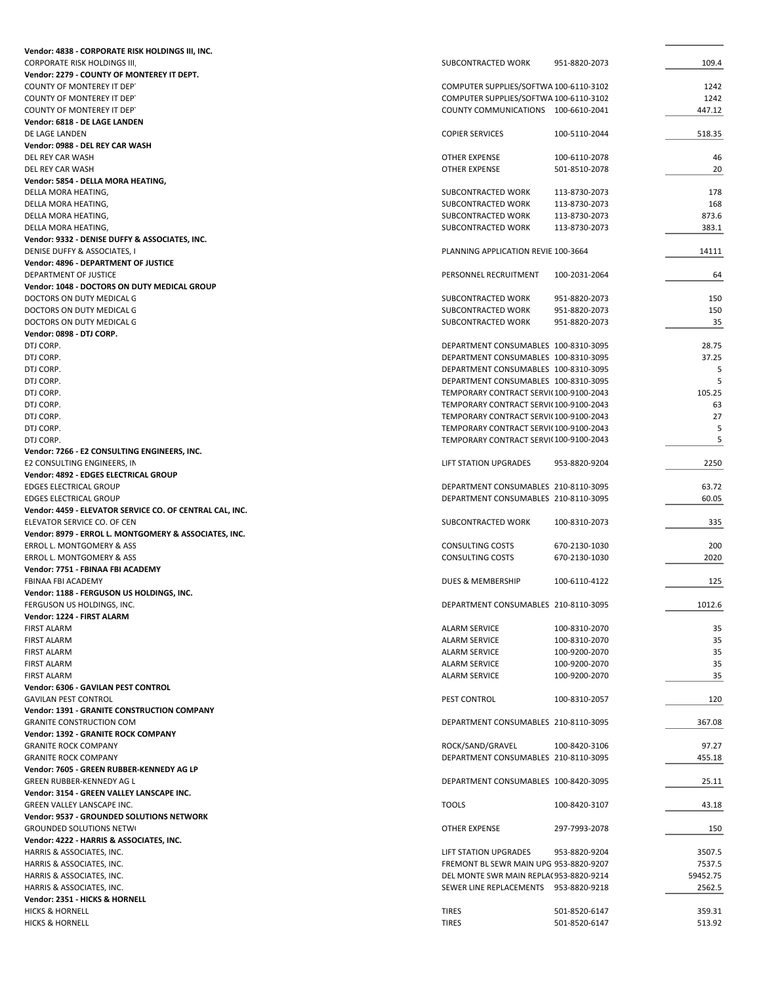| Vendor: 4838 - CORPORATE RISK HOLDINGS III, INC.         |                                                    |               |             |
|----------------------------------------------------------|----------------------------------------------------|---------------|-------------|
| <b>CORPORATE RISK HOLDINGS III</b>                       | SUBCONTRACTED WORK                                 | 951-8820-2073 | 109.4       |
| Vendor: 2279 - COUNTY OF MONTEREY IT DEPT.               |                                                    |               |             |
| COUNTY OF MONTEREY IT DEP'                               | COMPUTER SUPPLIES/SOFTWA 100-6110-3102             |               | 1242        |
| COUNTY OF MONTEREY IT DEPT                               | COMPUTER SUPPLIES/SOFTWA 100-6110-3102             |               | 1242        |
| COUNTY OF MONTEREY IT DEP'                               | COUNTY COMMUNICATIONS 100-6610-2041                |               | 447.12      |
| Vendor: 6818 - DE LAGE LANDEN                            |                                                    |               |             |
| DE LAGE LANDEN                                           | <b>COPIER SERVICES</b>                             | 100-5110-2044 | 518.35      |
| Vendor: 0988 - DEL REY CAR WASH                          |                                                    |               |             |
| DEL REY CAR WASH                                         | <b>OTHER EXPENSE</b>                               | 100-6110-2078 | 46          |
| DEL REY CAR WASH                                         | OTHER EXPENSE                                      | 501-8510-2078 | 20          |
| Vendor: 5854 - DELLA MORA HEATING,                       | SUBCONTRACTED WORK                                 | 113-8730-2073 | 178         |
| DELLA MORA HEATING,<br>DELLA MORA HEATING,               | SUBCONTRACTED WORK                                 | 113-8730-2073 | 168         |
| DELLA MORA HEATING,                                      | SUBCONTRACTED WORK                                 | 113-8730-2073 | 873.6       |
| DELLA MORA HEATING,                                      | SUBCONTRACTED WORK                                 | 113-8730-2073 | 383.1       |
| Vendor: 9332 - DENISE DUFFY & ASSOCIATES, INC.           |                                                    |               |             |
| DENISE DUFFY & ASSOCIATES, I                             | PLANNING APPLICATION REVIE 100-3664                |               | 14111       |
| Vendor: 4896 - DEPARTMENT OF JUSTICE                     |                                                    |               |             |
| DEPARTMENT OF JUSTICE                                    | PERSONNEL RECRUITMENT                              | 100-2031-2064 | 64          |
| Vendor: 1048 - DOCTORS ON DUTY MEDICAL GROUP             |                                                    |               |             |
| DOCTORS ON DUTY MEDICAL G                                | SUBCONTRACTED WORK                                 | 951-8820-2073 | 150         |
| DOCTORS ON DUTY MEDICAL G                                | SUBCONTRACTED WORK                                 | 951-8820-2073 | 150         |
| DOCTORS ON DUTY MEDICAL G                                | SUBCONTRACTED WORK                                 | 951-8820-2073 | 35          |
| Vendor: 0898 - DTJ CORP.                                 |                                                    |               |             |
| DTJ CORP.                                                | DEPARTMENT CONSUMABLES 100-8310-3095               |               | 28.75       |
| DTJ CORP.                                                | DEPARTMENT CONSUMABLES 100-8310-3095               |               | 37.25       |
| DTJ CORP.                                                | DEPARTMENT CONSUMABLES 100-8310-3095               |               | 5           |
| DTJ CORP.                                                | DEPARTMENT CONSUMABLES 100-8310-3095               |               | 5           |
| DTJ CORP.                                                | TEMPORARY CONTRACT SERVI(100-9100-2043             |               | 105.25      |
| DTJ CORP.                                                | TEMPORARY CONTRACT SERVI(100-9100-2043             |               | 63          |
| DTJ CORP.                                                | TEMPORARY CONTRACT SERVI(100-9100-2043             |               | 27          |
| DTJ CORP.                                                | TEMPORARY CONTRACT SERVI(100-9100-2043             |               | 5           |
| DTJ CORP.                                                | TEMPORARY CONTRACT SERVI(100-9100-2043             |               | 5           |
| Vendor: 7266 - E2 CONSULTING ENGINEERS, INC.             |                                                    |               |             |
| E2 CONSULTING ENGINEERS, IN                              | LIFT STATION UPGRADES                              | 953-8820-9204 | 2250        |
| Vendor: 4892 - EDGES ELECTRICAL GROUP                    |                                                    |               |             |
| <b>EDGES ELECTRICAL GROUP</b>                            | DEPARTMENT CONSUMABLES 210-8110-3095               |               | 63.72       |
| <b>EDGES ELECTRICAL GROUP</b>                            | DEPARTMENT CONSUMABLES 210-8110-3095               |               | 60.05       |
| Vendor: 4459 - ELEVATOR SERVICE CO. OF CENTRAL CAL, INC. |                                                    |               |             |
| ELEVATOR SERVICE CO. OF CEN                              | SUBCONTRACTED WORK                                 | 100-8310-2073 | 335         |
| Vendor: 8979 - ERROL L. MONTGOMERY & ASSOCIATES, INC.    |                                                    |               |             |
| ERROL L. MONTGOMERY & ASS<br>ERROL L. MONTGOMERY & ASS   | <b>CONSULTING COSTS</b><br><b>CONSULTING COSTS</b> | 670-2130-1030 | 200<br>2020 |
| Vendor: 7751 - FBINAA FBI ACADEMY                        |                                                    | 670-2130-1030 |             |
| FBINAA FBI ACADEMY                                       | DUES & MEMBERSHIP                                  | 100-6110-4122 | 125         |
| Vendor: 1188 - FERGUSON US HOLDINGS, INC.                |                                                    |               |             |
| FERGUSON US HOLDINGS, INC.                               | DEPARTMENT CONSUMABLES 210-8110-3095               |               | 1012.6      |
| Vendor: 1224 - FIRST ALARM                               |                                                    |               |             |
| <b>FIRST ALARM</b>                                       | <b>ALARM SERVICE</b>                               | 100-8310-2070 | 35          |
| <b>FIRST ALARM</b>                                       | <b>ALARM SERVICE</b>                               | 100-8310-2070 | 35          |
| <b>FIRST ALARM</b>                                       | <b>ALARM SERVICE</b>                               | 100-9200-2070 | 35          |
| <b>FIRST ALARM</b>                                       | <b>ALARM SERVICE</b>                               | 100-9200-2070 | 35          |
| <b>FIRST ALARM</b>                                       | <b>ALARM SERVICE</b>                               | 100-9200-2070 | 35          |
| Vendor: 6306 - GAVILAN PEST CONTROL                      |                                                    |               |             |
| <b>GAVILAN PEST CONTROL</b>                              | PEST CONTROL                                       | 100-8310-2057 | 120         |
| Vendor: 1391 - GRANITE CONSTRUCTION COMPANY              |                                                    |               |             |
| <b>GRANITE CONSTRUCTION COM</b>                          | DEPARTMENT CONSUMABLES 210-8110-3095               |               | 367.08      |
| Vendor: 1392 - GRANITE ROCK COMPANY                      |                                                    |               |             |
| <b>GRANITE ROCK COMPANY</b>                              | ROCK/SAND/GRAVEL                                   | 100-8420-3106 | 97.27       |
| <b>GRANITE ROCK COMPANY</b>                              | DEPARTMENT CONSUMABLES 210-8110-3095               |               | 455.18      |
| Vendor: 7605 - GREEN RUBBER-KENNEDY AG LP                |                                                    |               |             |
| GREEN RUBBER-KENNEDY AG L                                | DEPARTMENT CONSUMABLES 100-8420-3095               |               | 25.11       |
| Vendor: 3154 - GREEN VALLEY LANSCAPE INC.                |                                                    |               |             |
| GREEN VALLEY LANSCAPE INC.                               | <b>TOOLS</b>                                       | 100-8420-3107 | 43.18       |
| Vendor: 9537 - GROUNDED SOLUTIONS NETWORK                |                                                    |               |             |
| <b>GROUNDED SOLUTIONS NETWI</b>                          | OTHER EXPENSE                                      | 297-7993-2078 | 150         |
| Vendor: 4222 - HARRIS & ASSOCIATES, INC.                 |                                                    |               |             |
| HARRIS & ASSOCIATES, INC.                                | <b>LIFT STATION UPGRADES</b>                       | 953-8820-9204 | 3507.5      |
| HARRIS & ASSOCIATES, INC.                                | FREMONT BL SEWR MAIN UPG 953-8820-9207             |               | 7537.5      |
| HARRIS & ASSOCIATES, INC.                                | DEL MONTE SWR MAIN REPLA(953-8820-9214             |               | 59452.75    |
| HARRIS & ASSOCIATES, INC.                                | SEWER LINE REPLACEMENTS 953-8820-9218              |               | 2562.5      |
| Vendor: 2351 - HICKS & HORNELL                           |                                                    |               |             |
| <b>HICKS &amp; HORNELL</b>                               | <b>TIRES</b>                                       | 501-8520-6147 | 359.31      |
| <b>HICKS &amp; HORNELL</b>                               | <b>TIRES</b>                                       | 501-8520-6147 | 513.92      |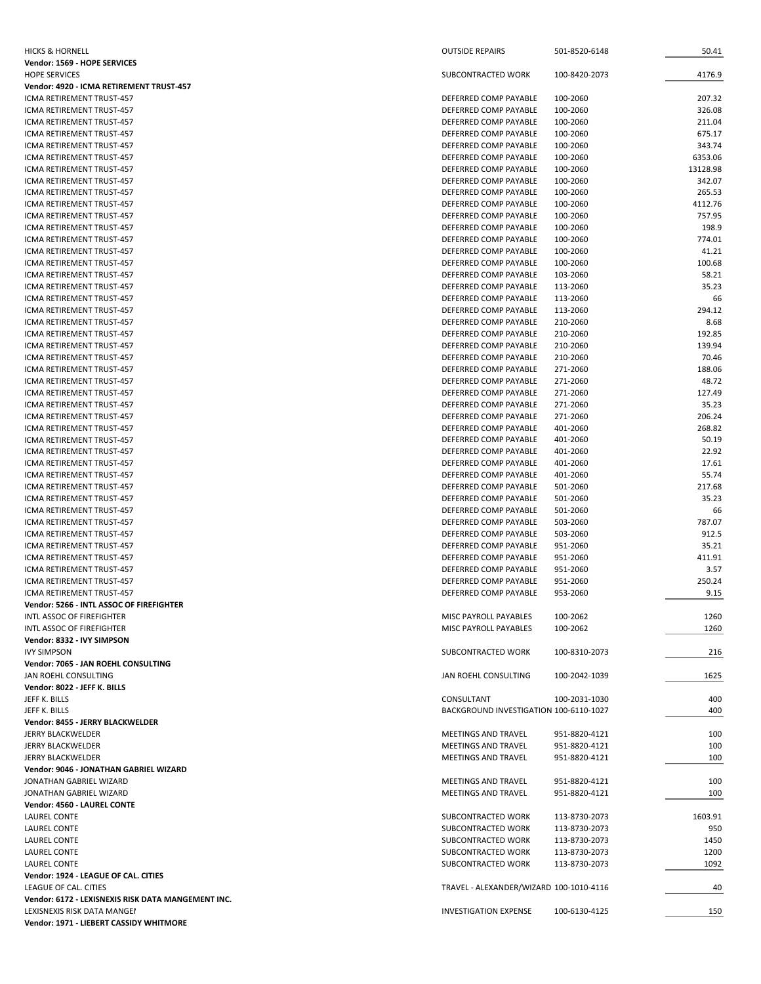| <b>HICKS &amp; HORNELL</b>                                            | <b>OUTSIDE REPAIRS</b>                               | 501-8520-6148        | 50.41           |
|-----------------------------------------------------------------------|------------------------------------------------------|----------------------|-----------------|
| Vendor: 1569 - HOPE SERVICES                                          |                                                      |                      |                 |
| <b>HOPE SERVICES</b>                                                  | SUBCONTRACTED WORK                                   | 100-8420-2073        | 4176.9          |
| Vendor: 4920 - ICMA RETIREMENT TRUST-457<br>ICMA RETIREMENT TRUST-457 | DEFERRED COMP PAYABLE                                | 100-2060             | 207.32          |
| ICMA RETIREMENT TRUST-457                                             | DEFERRED COMP PAYABLE                                | 100-2060             | 326.08          |
| ICMA RETIREMENT TRUST-457                                             | DEFERRED COMP PAYABLE                                | 100-2060             | 211.04          |
| ICMA RETIREMENT TRUST-457                                             | DEFERRED COMP PAYABLE                                | 100-2060             | 675.17          |
| ICMA RETIREMENT TRUST-457                                             | DEFERRED COMP PAYABLE                                | 100-2060             | 343.74          |
| ICMA RETIREMENT TRUST-457                                             | DEFERRED COMP PAYABLE                                | 100-2060             | 6353.06         |
| ICMA RETIREMENT TRUST-457                                             | DEFERRED COMP PAYABLE                                | 100-2060             | 13128.98        |
| ICMA RETIREMENT TRUST-457                                             | DEFERRED COMP PAYABLE                                | 100-2060             | 342.07          |
| ICMA RETIREMENT TRUST-457                                             | DEFERRED COMP PAYABLE                                | 100-2060             | 265.53          |
| ICMA RETIREMENT TRUST-457                                             | DEFERRED COMP PAYABLE                                | 100-2060             | 4112.76         |
| ICMA RETIREMENT TRUST-457<br>ICMA RETIREMENT TRUST-457                | DEFERRED COMP PAYABLE<br>DEFERRED COMP PAYABLE       | 100-2060<br>100-2060 | 757.95<br>198.9 |
| ICMA RETIREMENT TRUST-457                                             | DEFERRED COMP PAYABLE                                | 100-2060             | 774.01          |
| ICMA RETIREMENT TRUST-457                                             | DEFERRED COMP PAYABLE                                | 100-2060             | 41.21           |
| ICMA RETIREMENT TRUST-457                                             | DEFERRED COMP PAYABLE                                | 100-2060             | 100.68          |
| ICMA RETIREMENT TRUST-457                                             | DEFERRED COMP PAYABLE                                | 103-2060             | 58.21           |
| ICMA RETIREMENT TRUST-457                                             | DEFERRED COMP PAYABLE                                | 113-2060             | 35.23           |
| ICMA RETIREMENT TRUST-457                                             | DEFERRED COMP PAYABLE                                | 113-2060             | 66              |
| ICMA RETIREMENT TRUST-457                                             | DEFERRED COMP PAYABLE                                | 113-2060             | 294.12          |
| ICMA RETIREMENT TRUST-457                                             | DEFERRED COMP PAYABLE                                | 210-2060             | 8.68            |
| ICMA RETIREMENT TRUST-457                                             | DEFERRED COMP PAYABLE                                | 210-2060             | 192.85          |
| ICMA RETIREMENT TRUST-457                                             | DEFERRED COMP PAYABLE                                | 210-2060             | 139.94          |
| ICMA RETIREMENT TRUST-457                                             | DEFERRED COMP PAYABLE                                | 210-2060             | 70.46           |
| ICMA RETIREMENT TRUST-457                                             | DEFERRED COMP PAYABLE                                | 271-2060             | 188.06          |
| ICMA RETIREMENT TRUST-457<br>ICMA RETIREMENT TRUST-457                | DEFERRED COMP PAYABLE<br>DEFERRED COMP PAYABLE       | 271-2060<br>271-2060 | 48.72<br>127.49 |
| ICMA RETIREMENT TRUST-457                                             | DEFERRED COMP PAYABLE                                | 271-2060             | 35.23           |
| ICMA RETIREMENT TRUST-457                                             | DEFERRED COMP PAYABLE                                | 271-2060             | 206.24          |
| ICMA RETIREMENT TRUST-457                                             | DEFERRED COMP PAYABLE                                | 401-2060             | 268.82          |
| ICMA RETIREMENT TRUST-457                                             | DEFERRED COMP PAYABLE                                | 401-2060             | 50.19           |
| ICMA RETIREMENT TRUST-457                                             | DEFERRED COMP PAYABLE                                | 401-2060             | 22.92           |
| ICMA RETIREMENT TRUST-457                                             | DEFERRED COMP PAYABLE                                | 401-2060             | 17.61           |
| ICMA RETIREMENT TRUST-457                                             | DEFERRED COMP PAYABLE                                | 401-2060             | 55.74           |
| ICMA RETIREMENT TRUST-457                                             | DEFERRED COMP PAYABLE                                | 501-2060             | 217.68          |
| ICMA RETIREMENT TRUST-457                                             | DEFERRED COMP PAYABLE                                | 501-2060             | 35.23           |
| ICMA RETIREMENT TRUST-457                                             | DEFERRED COMP PAYABLE                                | 501-2060             | 66              |
| ICMA RETIREMENT TRUST-457                                             | DEFERRED COMP PAYABLE                                | 503-2060             | 787.07          |
| ICMA RETIREMENT TRUST-457                                             | DEFERRED COMP PAYABLE                                | 503-2060             | 912.5           |
| ICMA RETIREMENT TRUST-457<br>ICMA RETIREMENT TRUST-457                | DEFERRED COMP PAYABLE                                | 951-2060             | 35.21<br>411.91 |
| ICMA RETIREMENT TRUST-457                                             | DEFERRED COMP PAYABLE<br>DEFERRED COMP PAYABLE       | 951-2060<br>951-2060 | 3.57            |
| ICMA RETIREMENT TRUST-457                                             | DEFERRED COMP PAYABLE                                | 951-2060             | 250.24          |
| ICMA RETIREMENT TRUST-457                                             | DEFERRED COMP PAYABLE                                | 953-2060             | 9.15            |
| Vendor: 5266 - INTL ASSOC OF FIREFIGHTER                              |                                                      |                      |                 |
| INTL ASSOC OF FIREFIGHTER                                             | MISC PAYROLL PAYABLES                                | 100-2062             | 1260            |
| INTL ASSOC OF FIREFIGHTER                                             | MISC PAYROLL PAYABLES                                | 100-2062             | 1260            |
| Vendor: 8332 - IVY SIMPSON                                            |                                                      |                      |                 |
| <b>IVY SIMPSON</b>                                                    | SUBCONTRACTED WORK                                   | 100-8310-2073        | 216             |
| Vendor: 7065 - JAN ROEHL CONSULTING                                   |                                                      |                      |                 |
| JAN ROEHL CONSULTING                                                  | JAN ROEHL CONSULTING                                 | 100-2042-1039        | 1625            |
| Vendor: 8022 - JEFF K. BILLS                                          |                                                      |                      |                 |
| JEFF K. BILLS                                                         | CONSULTANT<br>BACKGROUND INVESTIGATION 100-6110-1027 | 100-2031-1030        | 400<br>400      |
| JEFF K. BILLS<br>Vendor: 8455 - JERRY BLACKWELDER                     |                                                      |                      |                 |
| JERRY BLACKWELDER                                                     | <b>MEETINGS AND TRAVEL</b>                           | 951-8820-4121        | 100             |
| <b>JERRY BLACKWELDER</b>                                              | <b>MEETINGS AND TRAVEL</b>                           | 951-8820-4121        | 100             |
| JERRY BLACKWELDER                                                     | <b>MEETINGS AND TRAVEL</b>                           | 951-8820-4121        | 100             |
| Vendor: 9046 - JONATHAN GABRIEL WIZARD                                |                                                      |                      |                 |
| JONATHAN GABRIEL WIZARD                                               | MEETINGS AND TRAVEL                                  | 951-8820-4121        | 100             |
| JONATHAN GABRIEL WIZARD                                               | MEETINGS AND TRAVEL                                  | 951-8820-4121        | 100             |
| Vendor: 4560 - LAUREL CONTE                                           |                                                      |                      |                 |
| <b>LAUREL CONTE</b>                                                   | SUBCONTRACTED WORK                                   | 113-8730-2073        | 1603.91         |
| <b>LAUREL CONTE</b>                                                   | SUBCONTRACTED WORK                                   | 113-8730-2073        | 950             |
| <b>LAUREL CONTE</b>                                                   | SUBCONTRACTED WORK                                   | 113-8730-2073        | 1450            |
| <b>LAUREL CONTE</b>                                                   | SUBCONTRACTED WORK                                   | 113-8730-2073        | 1200            |
| <b>LAUREL CONTE</b>                                                   | SUBCONTRACTED WORK                                   | 113-8730-2073        | 1092            |
| Vendor: 1924 - LEAGUE OF CAL. CITIES<br>LEAGUE OF CAL. CITIES         | TRAVEL - ALEXANDER/WIZARD 100-1010-4116              |                      | 40              |
| Vendor: 6172 - LEXISNEXIS RISK DATA MANGEMENT INC.                    |                                                      |                      |                 |
| LEXISNEXIS RISK DATA MANGEI                                           | <b>INVESTIGATION EXPENSE</b>                         | 100-6130-4125        | 150             |
| Vendor: 1971 - LIEBERT CASSIDY WHITMORE                               |                                                      |                      |                 |
|                                                                       |                                                      |                      |                 |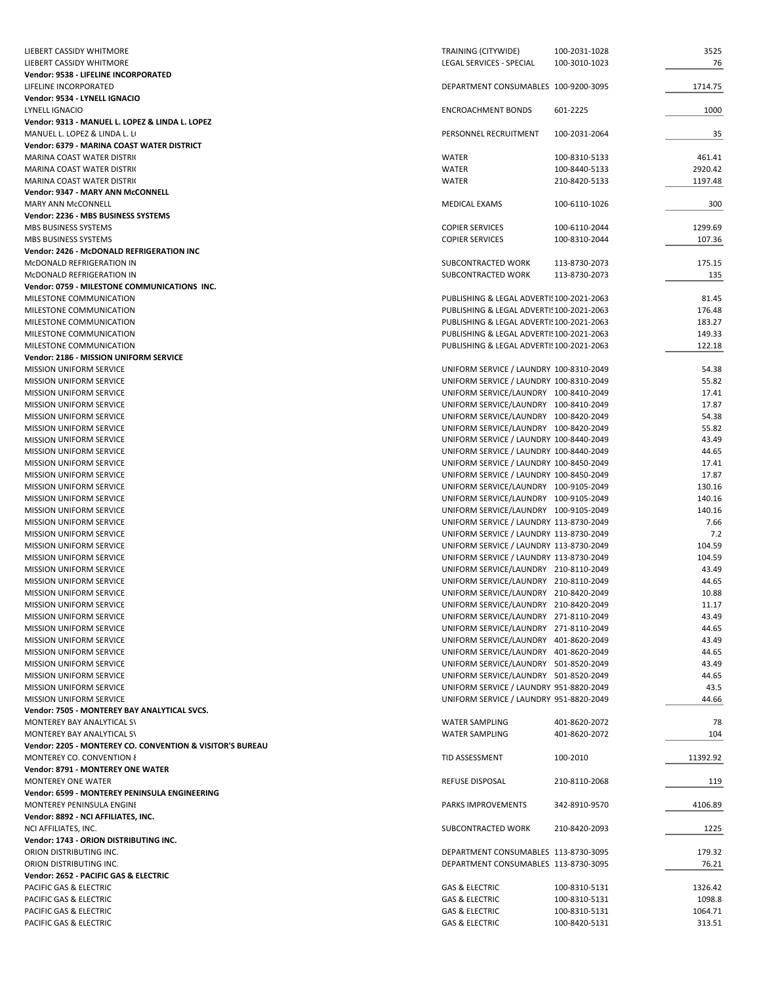| LIEBERT CASSIDY WHITMORE                                                         | TRAINING (CITYWIDE)                                                              | 100-2031-1028 | 3525            |
|----------------------------------------------------------------------------------|----------------------------------------------------------------------------------|---------------|-----------------|
| LIEBERT CASSIDY WHITMORE                                                         | <b>LEGAL SERVICES - SPECIAL</b>                                                  | 100-3010-1023 | 76              |
| Vendor: 9538 - LIFELINE INCORPORATED                                             |                                                                                  |               |                 |
| LIFELINE INCORPORATED                                                            | DEPARTMENT CONSUMABLES 100-9200-3095                                             |               | 1714.75         |
| Vendor: 9534 - LYNELL IGNACIO                                                    |                                                                                  |               |                 |
| LYNELL IGNACIO                                                                   | <b>ENCROACHMENT BONDS</b>                                                        | 601-2225      | 1000            |
| Vendor: 9313 - MANUEL L. LOPEZ & LINDA L. LOPEZ<br>MANUEL L. LOPEZ & LINDA L. LI | PERSONNEL RECRUITMENT                                                            | 100-2031-2064 | 35              |
| Vendor: 6379 - MARINA COAST WATER DISTRICT                                       |                                                                                  |               |                 |
| MARINA COAST WATER DISTRIC                                                       | WATER                                                                            | 100-8310-5133 | 461.41          |
| <b>MARINA COAST WATER DISTRIC</b>                                                | <b>WATER</b>                                                                     | 100-8440-5133 | 2920.42         |
| MARINA COAST WATER DISTRIC                                                       | WATER                                                                            | 210-8420-5133 | 1197.48         |
| Vendor: 9347 - MARY ANN McCONNELL                                                |                                                                                  |               |                 |
| <b>MARY ANN McCONNELL</b>                                                        | MEDICAL EXAMS                                                                    | 100-6110-1026 | 300             |
| Vendor: 2236 - MBS BUSINESS SYSTEMS                                              |                                                                                  |               |                 |
| MBS BUSINESS SYSTEMS                                                             | <b>COPIER SERVICES</b>                                                           | 100-6110-2044 | 1299.69         |
| MBS BUSINESS SYSTEMS                                                             | <b>COPIER SERVICES</b>                                                           | 100-8310-2044 | 107.36          |
| Vendor: 2426 - McDONALD REFRIGERATION INC                                        |                                                                                  |               |                 |
| McDONALD REFRIGERATION IN                                                        | SUBCONTRACTED WORK                                                               | 113-8730-2073 | 175.15          |
| MCDONALD REFRIGERATION IN<br>Vendor: 0759 - MILESTONE COMMUNICATIONS INC.        | SUBCONTRACTED WORK                                                               | 113-8730-2073 | 135             |
| MILESTONE COMMUNICATION                                                          | PUBLISHING & LEGAL ADVERTI! 100-2021-2063                                        |               | 81.45           |
| MILESTONE COMMUNICATION                                                          | PUBLISHING & LEGAL ADVERTI! 100-2021-2063                                        |               | 176.48          |
| MILESTONE COMMUNICATION                                                          | PUBLISHING & LEGAL ADVERTI! 100-2021-2063                                        |               | 183.27          |
| MILESTONE COMMUNICATION                                                          | PUBLISHING & LEGAL ADVERTI! 100-2021-2063                                        |               | 149.33          |
| MILESTONE COMMUNICATION                                                          | PUBLISHING & LEGAL ADVERTI! 100-2021-2063                                        |               | 122.18          |
| Vendor: 2186 - MISSION UNIFORM SERVICE                                           |                                                                                  |               |                 |
| MISSION UNIFORM SERVICE                                                          | UNIFORM SERVICE / LAUNDRY 100-8310-2049                                          |               | 54.38           |
| <b>MISSION UNIFORM SERVICE</b>                                                   | UNIFORM SERVICE / LAUNDRY 100-8310-2049                                          |               | 55.82           |
| <b>MISSION UNIFORM SERVICE</b>                                                   | UNIFORM SERVICE/LAUNDRY 100-8410-2049                                            |               | 17.41           |
| <b>MISSION UNIFORM SERVICE</b>                                                   | UNIFORM SERVICE/LAUNDRY 100-8410-2049                                            |               | 17.87           |
| <b>MISSION UNIFORM SERVICE</b>                                                   | UNIFORM SERVICE/LAUNDRY 100-8420-2049                                            |               | 54.38           |
| <b>MISSION UNIFORM SERVICE</b>                                                   | UNIFORM SERVICE/LAUNDRY 100-8420-2049                                            |               | 55.82           |
| <b>MISSION UNIFORM SERVICE</b>                                                   | UNIFORM SERVICE / LAUNDRY 100-8440-2049                                          |               | 43.49           |
| <b>MISSION UNIFORM SERVICE</b>                                                   | UNIFORM SERVICE / LAUNDRY 100-8440-2049                                          |               | 44.65           |
| <b>MISSION UNIFORM SERVICE</b>                                                   | UNIFORM SERVICE / LAUNDRY 100-8450-2049                                          |               | 17.41           |
| <b>MISSION UNIFORM SERVICE</b>                                                   | UNIFORM SERVICE / LAUNDRY 100-8450-2049<br>UNIFORM SERVICE/LAUNDRY 100-9105-2049 |               | 17.87<br>130.16 |
| <b>MISSION UNIFORM SERVICE</b><br><b>MISSION UNIFORM SERVICE</b>                 | UNIFORM SERVICE/LAUNDRY 100-9105-2049                                            |               | 140.16          |
| <b>MISSION UNIFORM SERVICE</b>                                                   | UNIFORM SERVICE/LAUNDRY 100-9105-2049                                            |               | 140.16          |
| <b>MISSION UNIFORM SERVICE</b>                                                   | UNIFORM SERVICE / LAUNDRY 113-8730-2049                                          |               | 7.66            |
| <b>MISSION UNIFORM SERVICE</b>                                                   | UNIFORM SERVICE / LAUNDRY 113-8730-2049                                          |               | 7.2             |
| <b>MISSION UNIFORM SERVICE</b>                                                   | UNIFORM SERVICE / LAUNDRY 113-8730-2049                                          |               | 104.59          |
| <b>MISSION UNIFORM SERVICE</b>                                                   | UNIFORM SERVICE / LAUNDRY 113-8730-2049                                          |               | 104.59          |
| <b>MISSION UNIFORM SERVICE</b>                                                   | UNIFORM SERVICE/LAUNDRY 210-8110-2049                                            |               | 43.49           |
| <b>MISSION UNIFORM SERVICE</b>                                                   | UNIFORM SERVICE/LAUNDRY 210-8110-2049                                            |               | 44.65           |
| <b>MISSION UNIFORM SERVICE</b>                                                   | UNIFORM SERVICE/LAUNDRY 210-8420-2049                                            |               | 10.88           |
| <b>MISSION UNIFORM SERVICE</b>                                                   | UNIFORM SERVICE/LAUNDRY 210-8420-2049                                            |               | 11.17           |
| MISSION UNIFORM SERVICE                                                          | UNIFORM SERVICE/LAUNDRY 271-8110-2049                                            |               | 43.49           |
| MISSION UNIFORM SERVICE                                                          | UNIFORM SERVICE/LAUNDRY 271-8110-2049                                            |               | 44.65           |
| <b>MISSION UNIFORM SERVICE</b>                                                   | UNIFORM SERVICE/LAUNDRY 401-8620-2049                                            |               | 43.49           |
| <b>MISSION UNIFORM SERVICE</b>                                                   | UNIFORM SERVICE/LAUNDRY 401-8620-2049                                            |               | 44.65           |
| MISSION UNIFORM SERVICE<br><b>MISSION UNIFORM SERVICE</b>                        | UNIFORM SERVICE/LAUNDRY 501-8520-2049<br>UNIFORM SERVICE/LAUNDRY 501-8520-2049   |               | 43.49<br>44.65  |
| <b>MISSION UNIFORM SERVICE</b>                                                   | UNIFORM SERVICE / LAUNDRY 951-8820-2049                                          |               | 43.5            |
| MISSION UNIFORM SERVICE                                                          | UNIFORM SERVICE / LAUNDRY 951-8820-2049                                          |               | 44.66           |
| Vendor: 7505 - MONTEREY BAY ANALYTICAL SVCS.                                     |                                                                                  |               |                 |
| MONTEREY BAY ANALYTICAL SV                                                       | <b>WATER SAMPLING</b>                                                            | 401-8620-2072 | 78              |
| MONTEREY BAY ANALYTICAL SV                                                       | <b>WATER SAMPLING</b>                                                            | 401-8620-2072 | 104             |
| Vendor: 2205 - MONTEREY CO. CONVENTION & VISITOR'S BUREAU                        |                                                                                  |               |                 |
| MONTEREY CO. CONVENTION {                                                        | TID ASSESSMENT                                                                   | 100-2010      | 11392.92        |
| Vendor: 8791 - MONTEREY ONE WATER                                                |                                                                                  |               |                 |
| <b>MONTEREY ONE WATER</b>                                                        | REFUSE DISPOSAL                                                                  | 210-8110-2068 | 119             |
| Vendor: 6599 - MONTEREY PENINSULA ENGINEERING                                    |                                                                                  |               |                 |
| MONTEREY PENINSULA ENGINI                                                        | PARKS IMPROVEMENTS                                                               | 342-8910-9570 | 4106.89         |
| Vendor: 8892 - NCI AFFILIATES, INC.                                              |                                                                                  |               |                 |
| NCI AFFILIATES, INC.                                                             | SUBCONTRACTED WORK                                                               | 210-8420-2093 | 1225            |
| Vendor: 1743 - ORION DISTRIBUTING INC.<br>ORION DISTRIBUTING INC.                | DEPARTMENT CONSUMABLES 113-8730-3095                                             |               | 179.32          |
| ORION DISTRIBUTING INC.                                                          | DEPARTMENT CONSUMABLES 113-8730-3095                                             |               | 76.21           |
| Vendor: 2652 - PACIFIC GAS & ELECTRIC                                            |                                                                                  |               |                 |
| PACIFIC GAS & ELECTRIC                                                           | <b>GAS &amp; ELECTRIC</b>                                                        | 100-8310-5131 | 1326.42         |
| PACIFIC GAS & ELECTRIC                                                           | <b>GAS &amp; ELECTRIC</b>                                                        | 100-8310-5131 | 1098.8          |
| PACIFIC GAS & ELECTRIC                                                           | <b>GAS &amp; ELECTRIC</b>                                                        | 100-8310-5131 | 1064.71         |
| PACIFIC GAS & ELECTRIC                                                           | <b>GAS &amp; ELECTRIC</b>                                                        | 100-8420-5131 | 313.51          |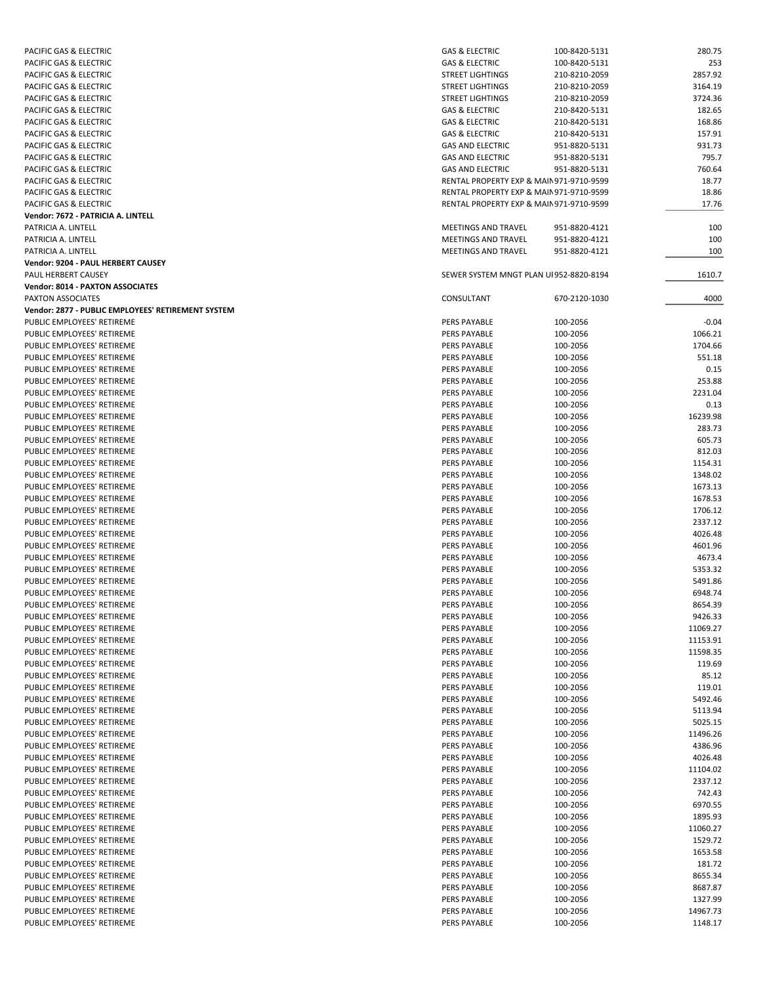| PACIFIC GAS & ELECTRIC                             | <b>GAS &amp; ELECTRIC</b>                | 100-8420-5131 | 280.75   |
|----------------------------------------------------|------------------------------------------|---------------|----------|
| <b>PACIFIC GAS &amp; ELECTRIC</b>                  | <b>GAS &amp; ELECTRIC</b>                | 100-8420-5131 | 253      |
| PACIFIC GAS & ELECTRIC                             | <b>STREET LIGHTINGS</b>                  | 210-8210-2059 | 2857.92  |
| PACIFIC GAS & ELECTRIC                             | <b>STREET LIGHTINGS</b>                  | 210-8210-2059 | 3164.19  |
| PACIFIC GAS & ELECTRIC                             | <b>STREET LIGHTINGS</b>                  | 210-8210-2059 | 3724.36  |
|                                                    |                                          |               |          |
| PACIFIC GAS & ELECTRIC                             | <b>GAS &amp; ELECTRIC</b>                | 210-8420-5131 | 182.65   |
| PACIFIC GAS & ELECTRIC                             | <b>GAS &amp; ELECTRIC</b>                | 210-8420-5131 | 168.86   |
| PACIFIC GAS & ELECTRIC                             | <b>GAS &amp; ELECTRIC</b>                | 210-8420-5131 | 157.91   |
| PACIFIC GAS & ELECTRIC                             | <b>GAS AND ELECTRIC</b>                  | 951-8820-5131 | 931.73   |
| PACIFIC GAS & ELECTRIC                             | <b>GAS AND ELECTRIC</b>                  | 951-8820-5131 | 795.7    |
| <b>PACIFIC GAS &amp; ELECTRIC</b>                  | <b>GAS AND ELECTRIC</b>                  | 951-8820-5131 | 760.64   |
| PACIFIC GAS & ELECTRIC                             | RENTAL PROPERTY EXP & MAIN 971-9710-9599 |               | 18.77    |
| PACIFIC GAS & ELECTRIC                             | RENTAL PROPERTY EXP & MAIN 971-9710-9599 |               | 18.86    |
| <b>PACIFIC GAS &amp; ELECTRIC</b>                  | RENTAL PROPERTY EXP & MAIN 971-9710-9599 |               | 17.76    |
| Vendor: 7672 - PATRICIA A. LINTELL                 |                                          |               |          |
| PATRICIA A. LINTELL                                | MEETINGS AND TRAVEL                      | 951-8820-4121 | 100      |
| PATRICIA A. LINTELL                                | MEETINGS AND TRAVEL                      | 951-8820-4121 | 100      |
| PATRICIA A. LINTELL                                | MEETINGS AND TRAVEL                      | 951-8820-4121 | 100      |
|                                                    |                                          |               |          |
| Vendor: 9204 - PAUL HERBERT CAUSEY                 |                                          |               |          |
| PAUL HERBERT CAUSEY                                | SEWER SYSTEM MNGT PLAN UI 952-8820-8194  |               | 1610.7   |
| <b>Vendor: 8014 - PAXTON ASSOCIATES</b>            |                                          |               |          |
| PAXTON ASSOCIATES                                  | CONSULTANT                               | 670-2120-1030 | 4000     |
| Vendor: 2877 - PUBLIC EMPLOYEES' RETIREMENT SYSTEM |                                          |               |          |
| PUBLIC EMPLOYEES' RETIREME                         | PERS PAYABLE                             | 100-2056      | $-0.04$  |
| PUBLIC EMPLOYEES' RETIREME                         | PERS PAYABLE                             | 100-2056      | 1066.21  |
| PUBLIC EMPLOYEES' RETIREME                         | PERS PAYABLE                             | 100-2056      | 1704.66  |
| PUBLIC EMPLOYEES' RETIREME                         | PERS PAYABLE                             | 100-2056      | 551.18   |
| PUBLIC EMPLOYEES' RETIREME                         | PERS PAYABLE                             | 100-2056      | 0.15     |
| PUBLIC EMPLOYEES' RETIREME                         | <b>PERS PAYABLE</b>                      | 100-2056      | 253.88   |
| PUBLIC EMPLOYEES' RETIREME                         | PERS PAYABLE                             | 100-2056      | 2231.04  |
| PUBLIC EMPLOYEES' RETIREME                         | PERS PAYABLE                             | 100-2056      | 0.13     |
|                                                    |                                          |               |          |
| PUBLIC EMPLOYEES' RETIREME                         | PERS PAYABLE                             | 100-2056      | 16239.98 |
| PUBLIC EMPLOYEES' RETIREME                         | PERS PAYABLE                             | 100-2056      | 283.73   |
| PUBLIC EMPLOYEES' RETIREME                         | PERS PAYABLE                             | 100-2056      | 605.73   |
| PUBLIC EMPLOYEES' RETIREME                         | PERS PAYABLE                             | 100-2056      | 812.03   |
| PUBLIC EMPLOYEES' RETIREME                         | PERS PAYABLE                             | 100-2056      | 1154.31  |
| PUBLIC EMPLOYEES' RETIREME                         | PERS PAYABLE                             | 100-2056      | 1348.02  |
| PUBLIC EMPLOYEES' RETIREME                         | PERS PAYABLE                             | 100-2056      | 1673.13  |
| PUBLIC EMPLOYEES' RETIREME                         | PERS PAYABLE                             | 100-2056      | 1678.53  |
| PUBLIC EMPLOYEES' RETIREME                         | PERS PAYABLE                             | 100-2056      | 1706.12  |
| PUBLIC EMPLOYEES' RETIREME                         | PERS PAYABLE                             | 100-2056      | 2337.12  |
| PUBLIC EMPLOYEES' RETIREME                         | <b>PERS PAYABLE</b>                      | 100-2056      | 4026.48  |
| PUBLIC EMPLOYEES' RETIREME                         | PERS PAYABLE                             | 100-2056      | 4601.96  |
| PUBLIC EMPLOYEES' RETIREME                         | PERS PAYABLE                             | 100-2056      | 4673.4   |
| PUBLIC EMPLOYEES' RETIREME                         | PERS PAYABLE                             | 100-2056      | 5353.32  |
|                                                    |                                          |               |          |
| PUBLIC EMPLOYEES' RETIREME                         | <b>PERS PAYABLE</b>                      | 100-2056      | 5491.86  |
| PUBLIC EMPLOYEES' RETIREME                         | PERS PAYABLE                             | 100-2056      | 6948.74  |
| PUBLIC EMPLOYEES' RETIREME                         | PERS PAYABLE                             | 100-2056      | 8654.39  |
| PUBLIC EMPLOYEES' RETIREME                         | PERS PAYABLE                             | 100-2056      | 9426.33  |
| PUBLIC EMPLOYEES' RETIREME                         | PERS PAYABLE                             | 100-2056      | 11069.27 |
| PUBLIC EMPLOYEES' RETIREME                         | PERS PAYABLE                             | 100-2056      | 11153.91 |
| PUBLIC EMPLOYEES' RETIREME                         | PERS PAYABLE                             | 100-2056      | 11598.35 |
| PUBLIC EMPLOYEES' RETIREME                         | PERS PAYABLE                             | 100-2056      | 119.69   |
| PUBLIC EMPLOYEES' RETIREME                         | PERS PAYABLE                             | 100-2056      | 85.12    |
| PUBLIC EMPLOYEES' RETIREME                         | PERS PAYABLE                             | 100-2056      | 119.01   |
| PUBLIC EMPLOYEES' RETIREME                         | PERS PAYABLE                             | 100-2056      | 5492.46  |
| PUBLIC EMPLOYEES' RETIREME                         | PERS PAYABLE                             | 100-2056      | 5113.94  |
| PUBLIC EMPLOYEES' RETIREME                         |                                          |               |          |
|                                                    | PERS PAYABLE                             | 100-2056      | 5025.15  |
| PUBLIC EMPLOYEES' RETIREME                         | PERS PAYABLE                             | 100-2056      | 11496.26 |
| PUBLIC EMPLOYEES' RETIREME                         | PERS PAYABLE                             | 100-2056      | 4386.96  |
| PUBLIC EMPLOYEES' RETIREME                         | PERS PAYABLE                             | 100-2056      | 4026.48  |
| PUBLIC EMPLOYEES' RETIREME                         | PERS PAYABLE                             | 100-2056      | 11104.02 |
| PUBLIC EMPLOYEES' RETIREME                         | PERS PAYABLE                             | 100-2056      | 2337.12  |
| PUBLIC EMPLOYEES' RETIREME                         | PERS PAYABLE                             | 100-2056      | 742.43   |
| PUBLIC EMPLOYEES' RETIREME                         | PERS PAYABLE                             | 100-2056      | 6970.55  |
| PUBLIC EMPLOYEES' RETIREME                         | PERS PAYABLE                             | 100-2056      | 1895.93  |
| PUBLIC EMPLOYEES' RETIREME                         | PERS PAYABLE                             | 100-2056      | 11060.27 |
| PUBLIC EMPLOYEES' RETIREME                         | PERS PAYABLE                             | 100-2056      | 1529.72  |
| PUBLIC EMPLOYEES' RETIREME                         | PERS PAYABLE                             | 100-2056      | 1653.58  |
| PUBLIC EMPLOYEES' RETIREME                         | PERS PAYABLE                             | 100-2056      | 181.72   |
|                                                    |                                          |               |          |
| PUBLIC EMPLOYEES' RETIREME                         | PERS PAYABLE                             | 100-2056      | 8655.34  |
| PUBLIC EMPLOYEES' RETIREME                         | PERS PAYABLE                             | 100-2056      | 8687.87  |
| PUBLIC EMPLOYEES' RETIREME                         | PERS PAYABLE                             | 100-2056      | 1327.99  |
| PUBLIC EMPLOYEES' RETIREME                         | PERS PAYABLE                             | 100-2056      | 14967.73 |
| PUBLIC EMPLOYEES' RETIREME                         | PERS PAYABLE                             | 100-2056      | 1148.17  |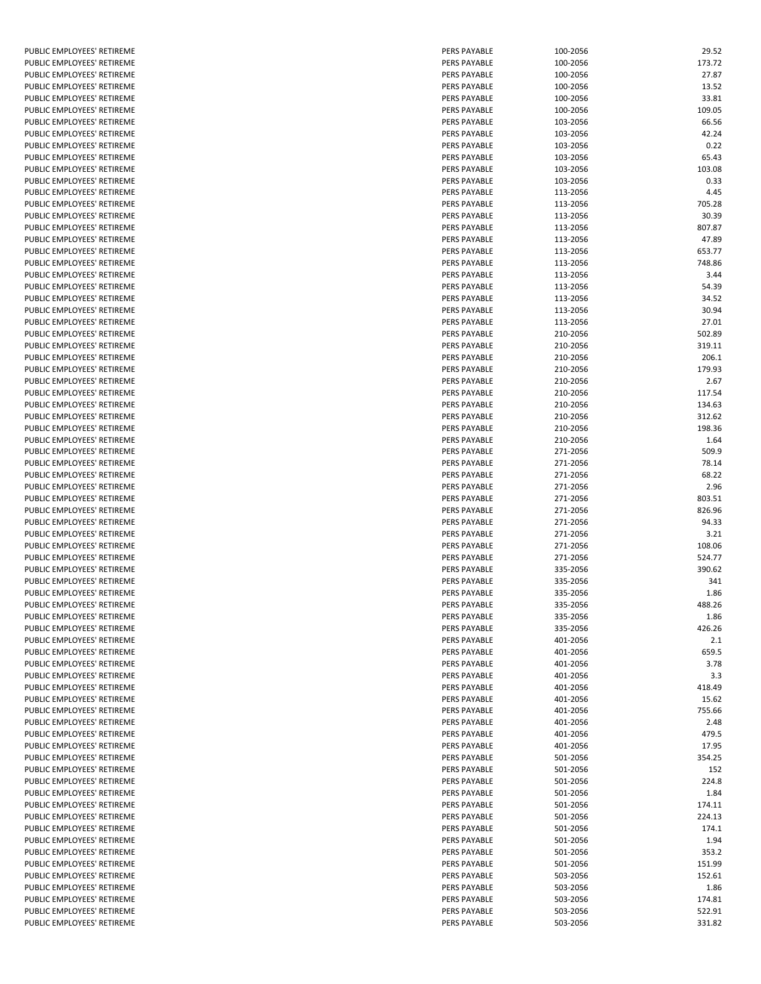|        | PUBLIC EMPLOYEES'                                        | RETIREME                           |
|--------|----------------------------------------------------------|------------------------------------|
|        | PUBLIC EMPLOYEES' RETIREME<br>PUBLIC EMPLOYEES'          | RETIREME                           |
|        | PUBLIC EMPLOYEES'                                        | RETIREME                           |
|        | PUBLIC EMPLOYEES'                                        | RETIREME                           |
|        | PUBLIC EMPLOYEES'                                        | <b>RETIREME</b>                    |
|        | PUBLIC EMPLOYEES'<br>PUBLIC EMPLOYEES'                   | RETIREME<br>RETIREME               |
|        | PUBLIC EMPLOYEES'                                        | RETIREME                           |
|        | PUBLIC EMPLOYEES'                                        | RETIREME                           |
|        | PUBLIC EMPLOYEES'                                        | <b>RETIREME</b><br><b>RETIREME</b> |
|        | PUBLIC EMPLOYEES'<br>PUBLIC EMPLOYEES'                   | RETIREME                           |
|        | PUBLIC EMPLOYEES'                                        | RETIREME                           |
|        | PUBLIC EMPLOYEES'                                        | RETIREME                           |
|        | PUBLIC EMPLOYEES'<br>PUBLIC EMPLOYEES'                   | RETIREME<br>RETIREME               |
|        | PUBLIC EMPLOYEES'                                        | RETIREME                           |
|        | PUBLIC EMPLOYEES'                                        | RETIREME                           |
|        | PUBLIC EMPLOYEES'                                        | RETIREME                           |
|        | PUBLIC EMPLOYEES'<br>PUBLIC EMPLOYEES'                   | RETIREME<br><b>RETIREME</b>        |
|        | PUBLIC EMPLOYEES'                                        | RETIREME                           |
|        | PUBLIC EMPLOYEES'                                        | RETIREME                           |
|        | PUBLIC EMPLOYEES'<br>PUBLIC EMPLOYEES'                   | RETIREME<br><b>RETIREME</b>        |
|        | PUBLIC EMPLOYEES'                                        | RETIREME                           |
|        | PUBLIC EMPLOYEES'                                        | <b>RETIREME</b>                    |
|        | PUBLIC EMPLOYEES'                                        | RETIREME                           |
|        | PUBLIC EMPLOYEES'<br>PUBLIC EMPLOYEES'                   | RETIREME<br><b>RETIREME</b>        |
|        | PUBLIC EMPLOYEES'                                        | RETIREME                           |
|        | PUBLIC EMPLOYEES'                                        | RETIREME                           |
|        | PUBLIC EMPLOYEES'<br>PUBLIC EMPLOYEES'                   | RETIREME                           |
|        | PUBLIC EMPLOYEES'                                        | RETIREME<br>RETIREME               |
|        | PUBLIC EMPLOYEES'                                        | RETIREME                           |
|        | PUBLIC EMPLOYEES'                                        | RETIREME                           |
|        | PUBLIC EMPLOYEES'<br>PUBLIC EMPLOYEES'                   | RETIREME<br>RETIREME               |
|        | PUBLIC EMPLOYEES'                                        | RETIREME                           |
|        | PUBLIC EMPLOYEES'                                        | <b>RETIREME</b>                    |
|        | PUBLIC EMPLOYEES'<br>PUBLIC EMPLOYEES'                   | RETIREME<br>RETIREME               |
|        | PUBLIC EMPLOYEES' RETIREME                               |                                    |
|        | PUBLIC EMPLOYEES'                                        | <b>RETIREME</b>                    |
|        | PUBLIC EMPLOYEES'                                        | RETIREME                           |
| PUBLIC | EMPLOYEES'<br>PUBLIC EMPLOYEES' RETIREME                 | RETIREME                           |
|        | PUBLIC EMPLOYEES' RETIREME                               |                                    |
|        | PUBLIC EMPLOYEES'                                        | RETIREME                           |
|        | PUBLIC EMPLOYEES' RETIREME<br>PUBLIC EMPLOYEES'          | <b>RETIREME</b>                    |
|        | PUBLIC EMPLOYEES'                                        | RETIREME                           |
|        | PUBLIC EMPLOYEES'                                        | RETIREME                           |
|        | PUBLIC EMPLOYEES'                                        | RETIREME                           |
|        | PUBLIC EMPLOYEES'<br>PUBLIC EMPLOYEES'                   | RETIREME<br>RETIREME               |
|        | PUBLIC EMPLOYEES'                                        | <b>RETIREME</b>                    |
|        | PUBLIC EMPLOYEES'                                        | RETIREME                           |
|        | PUBLIC EMPLOYEES'<br>PUBLIC EMPLOYEES'                   | RETIREME<br>RETIREME               |
|        | PUBLIC EMPLOYEES'                                        | RETIREME                           |
|        | PUBLIC EMPLOYEES'                                        | RETIREME                           |
|        | PUBLIC EMPLOYEES'                                        | RETIREME                           |
|        | PUBLIC EMPLOYEES'<br>PUBLIC EMPLOYEES'                   | RETIREME<br>RETIREME               |
|        | PUBLIC EMPLOYEES'                                        | RETIREME                           |
|        | PUBLIC EMPLOYEES'                                        | RETIREME                           |
|        | PUBLIC EMPLOYEES'<br>PUBLIC EMPLOYEES'                   | RETIREME<br>RETIREME               |
|        | PUBLIC EMPLOYEES'                                        | RETIREME                           |
|        | PUBLIC EMPLOYEES' RETIREME                               |                                    |
|        | PUBLIC EMPLOYEES' RETIREME<br>PUBLIC EMPLOYEES' RETIREME |                                    |
|        |                                                          |                                    |

| PUBLIC EMPLOYEES' RETIREME | <b>PERS PAYABLE</b> | 100-2056 | 29.52  |
|----------------------------|---------------------|----------|--------|
| PUBLIC EMPLOYEES' RETIREME | <b>PERS PAYABLE</b> | 100-2056 | 173.72 |
| PUBLIC EMPLOYEES' RETIREME | PERS PAYABLE        | 100-2056 | 27.87  |
| PUBLIC EMPLOYEES' RETIREME | PERS PAYABLE        | 100-2056 | 13.52  |
| PUBLIC EMPLOYEES' RETIREME | PERS PAYABLE        | 100-2056 | 33.81  |
| PUBLIC EMPLOYEES' RETIREME | <b>PERS PAYABLE</b> | 100-2056 | 109.05 |
|                            |                     |          |        |
| PUBLIC EMPLOYEES' RETIREME | <b>PERS PAYABLE</b> | 103-2056 | 66.56  |
| PUBLIC EMPLOYEES' RETIREME | PERS PAYABLE        | 103-2056 | 42.24  |
| PUBLIC EMPLOYEES' RETIREME | PERS PAYABLE        | 103-2056 | 0.22   |
| PUBLIC EMPLOYEES' RETIREME | PERS PAYABLE        | 103-2056 | 65.43  |
| PUBLIC EMPLOYEES' RETIREME | PERS PAYABLE        | 103-2056 | 103.08 |
| PUBLIC EMPLOYEES' RETIREME | <b>PERS PAYABLE</b> | 103-2056 | 0.33   |
| PUBLIC EMPLOYEES' RETIREME | <b>PERS PAYABLE</b> | 113-2056 | 4.45   |
|                            | PERS PAYABLE        | 113-2056 | 705.28 |
| PUBLIC EMPLOYEES' RETIREME |                     |          |        |
| PUBLIC EMPLOYEES' RETIREME | PERS PAYABLE        | 113-2056 | 30.39  |
| PUBLIC EMPLOYEES' RETIREME | PERS PAYABLE        | 113-2056 | 807.87 |
| PUBLIC EMPLOYEES' RETIREME | PERS PAYABLE        | 113-2056 | 47.89  |
| PUBLIC EMPLOYEES' RETIREME | <b>PERS PAYABLE</b> | 113-2056 | 653.77 |
| PUBLIC EMPLOYEES' RETIREME | PERS PAYABLE        | 113-2056 | 748.86 |
| PUBLIC EMPLOYEES' RETIREME | <b>PERS PAYABLE</b> | 113-2056 | 3.44   |
| PUBLIC EMPLOYEES' RETIREME | PERS PAYABLE        | 113-2056 | 54.39  |
|                            |                     |          |        |
| PUBLIC EMPLOYEES' RETIREME | <b>PERS PAYABLE</b> | 113-2056 | 34.52  |
| PUBLIC EMPLOYEES' RETIREME | <b>PERS PAYABLE</b> | 113-2056 | 30.94  |
| PUBLIC EMPLOYEES' RETIREME | <b>PERS PAYABLE</b> | 113-2056 | 27.01  |
| PUBLIC EMPLOYEES' RETIREME | PERS PAYABLE        | 210-2056 | 502.89 |
| PUBLIC EMPLOYEES' RETIREME | <b>PERS PAYABLE</b> | 210-2056 | 319.11 |
| PUBLIC EMPLOYEES' RETIREME | PERS PAYABLE        | 210-2056 | 206.1  |
| PUBLIC EMPLOYEES' RETIREME | <b>PERS PAYABLE</b> | 210-2056 | 179.93 |
| PUBLIC EMPLOYEES' RETIREME |                     |          |        |
|                            | PERS PAYABLE        | 210-2056 | 2.67   |
| PUBLIC EMPLOYEES' RETIREME | PERS PAYABLE        | 210-2056 | 117.54 |
| PUBLIC EMPLOYEES' RETIREME | PERS PAYABLE        | 210-2056 | 134.63 |
| PUBLIC EMPLOYEES' RETIREME | <b>PERS PAYABLE</b> | 210-2056 | 312.62 |
| PUBLIC EMPLOYEES' RETIREME | PERS PAYABLE        | 210-2056 | 198.36 |
| PUBLIC EMPLOYEES' RETIREME | PERS PAYABLE        | 210-2056 | 1.64   |
| PUBLIC EMPLOYEES' RETIREME | <b>PERS PAYABLE</b> | 271-2056 | 509.9  |
| PUBLIC EMPLOYEES' RETIREME | PERS PAYABLE        |          | 78.14  |
|                            |                     | 271-2056 |        |
| PUBLIC EMPLOYEES' RETIREME | PERS PAYABLE        | 271-2056 | 68.22  |
| PUBLIC EMPLOYEES' RETIREME | <b>PERS PAYABLE</b> | 271-2056 | 2.96   |
| PUBLIC EMPLOYEES' RETIREME | PERS PAYABLE        | 271-2056 | 803.51 |
| PUBLIC EMPLOYEES' RETIREME | PERS PAYABLE        | 271-2056 | 826.96 |
| PUBLIC EMPLOYEES' RETIREME | PERS PAYABLE        | 271-2056 | 94.33  |
| PUBLIC EMPLOYEES' RETIREME | PERS PAYABLE        | 271-2056 | 3.21   |
| PUBLIC EMPLOYEES' RETIREME | PERS PAYABLE        | 271-2056 | 108.06 |
|                            |                     |          |        |
| PUBLIC EMPLOYEES' RETIREME | PERS PAYABLE        | 271-2056 | 524.77 |
| PUBLIC EMPLOYEES' RETIREME | <b>PERS PAYABLE</b> | 335-2056 | 390.62 |
| PUBLIC EMPLOYEES' RETIREME | PERS PAYABLE        | 335-2056 | 341    |
| PUBLIC EMPLOYEES' RETIREME | <b>PERS PAYABLE</b> | 335-2056 | 1.86   |
| PUBLIC EMPLOYEES' RETIREME | PERS PAYABLE        | 335-2056 | 488.26 |
| PUBLIC EMPLOYEES' RETIREME | PERS PAYABLE        | 335-2056 | 1.86   |
| PUBLIC EMPLOYEES' RETIREME | PERS PAYABLE        | 335-2056 | 426.26 |
| PUBLIC EMPLOYEES' RETIREME |                     | 401-2056 | 2.1    |
|                            | PERS PAYABLE        |          |        |
| PUBLIC EMPLOYEES' RETIREME | PERS PAYABLE        | 401-2056 | 659.5  |
| PUBLIC EMPLOYEES' RETIREME | PERS PAYABLE        | 401-2056 | 3.78   |
| PUBLIC EMPLOYEES' RETIREME | PERS PAYABLE        | 401-2056 | 3.3    |
| PUBLIC EMPLOYEES' RETIREME | PERS PAYABLE        | 401-2056 | 418.49 |
| PUBLIC EMPLOYEES' RETIREME | PERS PAYABLE        | 401-2056 | 15.62  |
| PUBLIC EMPLOYEES' RETIREME | PERS PAYABLE        | 401-2056 | 755.66 |
| PUBLIC EMPLOYEES' RETIREME | <b>PERS PAYABLE</b> | 401-2056 | 2.48   |
|                            |                     |          |        |
| PUBLIC EMPLOYEES' RETIREME | PERS PAYABLE        | 401-2056 | 479.5  |
| PUBLIC EMPLOYEES' RETIREME | PERS PAYABLE        | 401-2056 | 17.95  |
| PUBLIC EMPLOYEES' RETIREME | PERS PAYABLE        | 501-2056 | 354.25 |
| PUBLIC EMPLOYEES' RETIREME | PERS PAYABLE        | 501-2056 | 152    |
| PUBLIC EMPLOYEES' RETIREME | PERS PAYABLE        | 501-2056 | 224.8  |
| PUBLIC EMPLOYEES' RETIREME | PERS PAYABLE        | 501-2056 | 1.84   |
| PUBLIC EMPLOYEES' RETIREME | PERS PAYABLE        |          |        |
|                            |                     | 501-2056 | 174.11 |
| PUBLIC EMPLOYEES' RETIREME | PERS PAYABLE        | 501-2056 | 224.13 |
| PUBLIC EMPLOYEES' RETIREME | PERS PAYABLE        | 501-2056 | 174.1  |
| PUBLIC EMPLOYEES' RETIREME | PERS PAYABLE        | 501-2056 | 1.94   |
| PUBLIC EMPLOYEES' RETIREME | PERS PAYABLE        | 501-2056 | 353.2  |
| PUBLIC EMPLOYEES' RETIREME | PERS PAYABLE        | 501-2056 | 151.99 |
| PUBLIC EMPLOYEES' RETIREME | PERS PAYABLE        | 503-2056 | 152.61 |
| PUBLIC EMPLOYEES' RETIREME | PERS PAYABLE        | 503-2056 | 1.86   |
|                            |                     |          |        |
| PUBLIC EMPLOYEES' RETIREME | PERS PAYABLE        | 503-2056 | 174.81 |
| PUBLIC EMPLOYEES' RETIREME | PERS PAYABLE        | 503-2056 | 522.91 |
| PUBLIC EMPLOYEES' RETIREME | PERS PAYABLE        | 503-2056 | 331.82 |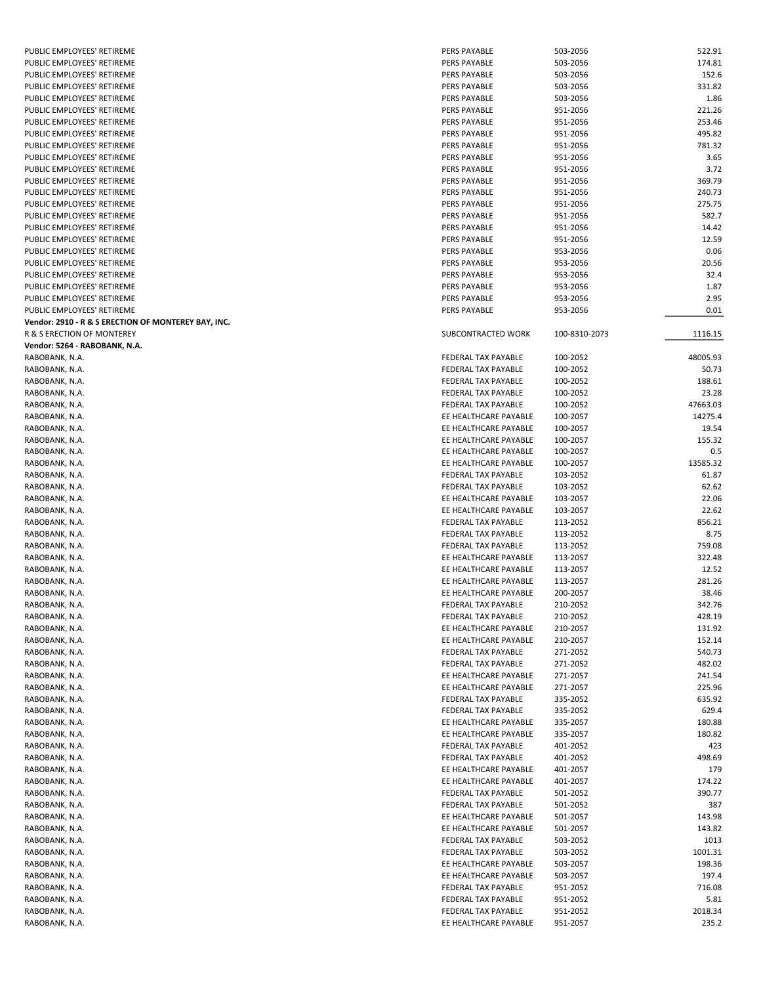| PUBLIC EMPLOYEES' RETIREME                          | PERS PAYABLE               | 503-2056      | 522.91   |
|-----------------------------------------------------|----------------------------|---------------|----------|
| PUBLIC EMPLOYEES' RETIREME                          | PERS PAYABLE               | 503-2056      | 174.81   |
| PUBLIC EMPLOYEES' RETIREME                          | <b>PERS PAYABLE</b>        | 503-2056      | 152.6    |
| PUBLIC EMPLOYEES' RETIREME                          | PERS PAYABLE               | 503-2056      | 331.82   |
| PUBLIC EMPLOYEES' RETIREME                          | PERS PAYABLE               | 503-2056      | 1.86     |
|                                                     |                            |               |          |
| PUBLIC EMPLOYEES' RETIREME                          | <b>PERS PAYABLE</b>        | 951-2056      | 221.26   |
| PUBLIC EMPLOYEES' RETIREME                          | PERS PAYABLE               | 951-2056      | 253.46   |
| PUBLIC EMPLOYEES' RETIREME                          | PERS PAYABLE               | 951-2056      | 495.82   |
| PUBLIC EMPLOYEES' RETIREME                          | PERS PAYABLE               | 951-2056      | 781.32   |
| PUBLIC EMPLOYEES' RETIREME                          | PERS PAYABLE               | 951-2056      | 3.65     |
| PUBLIC EMPLOYEES' RETIREME                          | PERS PAYABLE               | 951-2056      | 3.72     |
| PUBLIC EMPLOYEES' RETIREME                          | PERS PAYABLE               | 951-2056      | 369.79   |
| PUBLIC EMPLOYEES' RETIREME                          | PERS PAYABLE               | 951-2056      | 240.73   |
|                                                     |                            |               |          |
| PUBLIC EMPLOYEES' RETIREME                          | PERS PAYABLE               | 951-2056      | 275.75   |
| PUBLIC EMPLOYEES' RETIREME                          | PERS PAYABLE               | 951-2056      | 582.7    |
| PUBLIC EMPLOYEES' RETIREME                          | PERS PAYABLE               | 951-2056      | 14.42    |
| PUBLIC EMPLOYEES' RETIREME                          | PERS PAYABLE               | 951-2056      | 12.59    |
| PUBLIC EMPLOYEES' RETIREME                          | PERS PAYABLE               | 953-2056      | 0.06     |
| PUBLIC EMPLOYEES' RETIREME                          | PERS PAYABLE               | 953-2056      | 20.56    |
| PUBLIC EMPLOYEES' RETIREME                          | PERS PAYABLE               | 953-2056      | 32.4     |
| PUBLIC EMPLOYEES' RETIREME                          | PERS PAYABLE               | 953-2056      | 1.87     |
|                                                     |                            |               |          |
| PUBLIC EMPLOYEES' RETIREME                          | PERS PAYABLE               | 953-2056      | 2.95     |
| PUBLIC EMPLOYEES' RETIREME                          | PERS PAYABLE               | 953-2056      | 0.01     |
| Vendor: 2910 - R & S ERECTION OF MONTEREY BAY, INC. |                            |               |          |
| R & S ERECTION OF MONTEREY                          | SUBCONTRACTED WORK         | 100-8310-2073 | 1116.15  |
| Vendor: 5264 - RABOBANK, N.A.                       |                            |               |          |
| RABOBANK, N.A.                                      | FEDERAL TAX PAYABLE        | 100-2052      | 48005.93 |
| RABOBANK, N.A.                                      | FEDERAL TAX PAYABLE        | 100-2052      | 50.73    |
| RABOBANK, N.A.                                      | <b>FEDERAL TAX PAYABLE</b> | 100-2052      | 188.61   |
|                                                     | FEDERAL TAX PAYABLE        |               |          |
| RABOBANK, N.A.                                      |                            | 100-2052      | 23.28    |
| RABOBANK, N.A.                                      | FEDERAL TAX PAYABLE        | 100-2052      | 47663.03 |
| RABOBANK, N.A.                                      | EE HEALTHCARE PAYABLE      | 100-2057      | 14275.4  |
| RABOBANK, N.A.                                      | EE HEALTHCARE PAYABLE      | 100-2057      | 19.54    |
| RABOBANK, N.A.                                      | EE HEALTHCARE PAYABLE      | 100-2057      | 155.32   |
| RABOBANK, N.A.                                      | EE HEALTHCARE PAYABLE      | 100-2057      | 0.5      |
| RABOBANK, N.A.                                      | EE HEALTHCARE PAYABLE      | 100-2057      | 13585.32 |
| RABOBANK, N.A.                                      | FEDERAL TAX PAYABLE        | 103-2052      | 61.87    |
|                                                     |                            |               |          |
| RABOBANK, N.A.                                      | FEDERAL TAX PAYABLE        | 103-2052      | 62.62    |
| RABOBANK, N.A.                                      | EE HEALTHCARE PAYABLE      | 103-2057      | 22.06    |
| RABOBANK, N.A.                                      | EE HEALTHCARE PAYABLE      | 103-2057      | 22.62    |
| RABOBANK, N.A.                                      | FEDERAL TAX PAYABLE        | 113-2052      | 856.21   |
| RABOBANK, N.A.                                      | FEDERAL TAX PAYABLE        | 113-2052      | 8.75     |
| RABOBANK, N.A.                                      | FEDERAL TAX PAYABLE        | 113-2052      | 759.08   |
| RABOBANK, N.A.                                      | EE HEALTHCARE PAYABLE      | 113-2057      | 322.48   |
| RABOBANK, N.A.                                      | EE HEALTHCARE PAYABLE      | 113-2057      | 12.52    |
|                                                     |                            |               |          |
| RABOBANK, N.A.                                      | EE HEALTHCARE PAYABLE      | 113-2057      | 281.26   |
| RABOBANK, N.A.                                      | EE HEALTHCARE PAYABLE      | 200-2057      | 38.46    |
| RABOBANK, N.A.                                      | FEDERAL TAX PAYABLE        | 210-2052      | 342.76   |
| RABOBANK, N.A.                                      | FEDERAL TAX PAYABLE        | 210-2052      | 428.19   |
| RABOBANK, N.A.                                      | EE HEALTHCARE PAYABLE      | 210-2057      | 131.92   |
| RABOBANK, N.A.                                      | EE HEALTHCARE PAYABLE      | 210-2057      | 152.14   |
| RABOBANK, N.A.                                      | FEDERAL TAX PAYABLE        | 271-2052      | 540.73   |
| RABOBANK, N.A.                                      | FEDERAL TAX PAYABLE        | 271-2052      | 482.02   |
| RABOBANK, N.A.                                      | EE HEALTHCARE PAYABLE      | 271-2057      | 241.54   |
|                                                     |                            |               |          |
| RABOBANK, N.A.                                      | EE HEALTHCARE PAYABLE      | 271-2057      | 225.96   |
| RABOBANK, N.A.                                      | FEDERAL TAX PAYABLE        | 335-2052      | 635.92   |
| RABOBANK, N.A.                                      | FEDERAL TAX PAYABLE        | 335-2052      | 629.4    |
| RABOBANK, N.A.                                      | EE HEALTHCARE PAYABLE      | 335-2057      | 180.88   |
| RABOBANK, N.A.                                      | EE HEALTHCARE PAYABLE      | 335-2057      | 180.82   |
| RABOBANK, N.A.                                      | FEDERAL TAX PAYABLE        | 401-2052      | 423      |
| RABOBANK, N.A.                                      | FEDERAL TAX PAYABLE        | 401-2052      | 498.69   |
|                                                     |                            |               |          |
| RABOBANK, N.A.                                      | EE HEALTHCARE PAYABLE      | 401-2057      | 179      |
| RABOBANK, N.A.                                      | EE HEALTHCARE PAYABLE      | 401-2057      | 174.22   |
| RABOBANK, N.A.                                      | FEDERAL TAX PAYABLE        | 501-2052      | 390.77   |
| RABOBANK, N.A.                                      | FEDERAL TAX PAYABLE        | 501-2052      | 387      |
| RABOBANK, N.A.                                      | EE HEALTHCARE PAYABLE      | 501-2057      | 143.98   |
| RABOBANK, N.A.                                      | EE HEALTHCARE PAYABLE      | 501-2057      | 143.82   |
| RABOBANK, N.A.                                      | FEDERAL TAX PAYABLE        | 503-2052      | 1013     |
| RABOBANK, N.A.                                      | FEDERAL TAX PAYABLE        | 503-2052      | 1001.31  |
|                                                     |                            |               |          |
| RABOBANK, N.A.                                      | EE HEALTHCARE PAYABLE      | 503-2057      | 198.36   |
| RABOBANK, N.A.                                      | EE HEALTHCARE PAYABLE      | 503-2057      | 197.4    |
| RABOBANK, N.A.                                      | FEDERAL TAX PAYABLE        | 951-2052      | 716.08   |
| RABOBANK, N.A.                                      | FEDERAL TAX PAYABLE        | 951-2052      | 5.81     |
| RABOBANK, N.A.                                      | FEDERAL TAX PAYABLE        | 951-2052      | 2018.34  |
| RABOBANK, N.A.                                      | EE HEALTHCARE PAYABLE      | 951-2057      | 235.2    |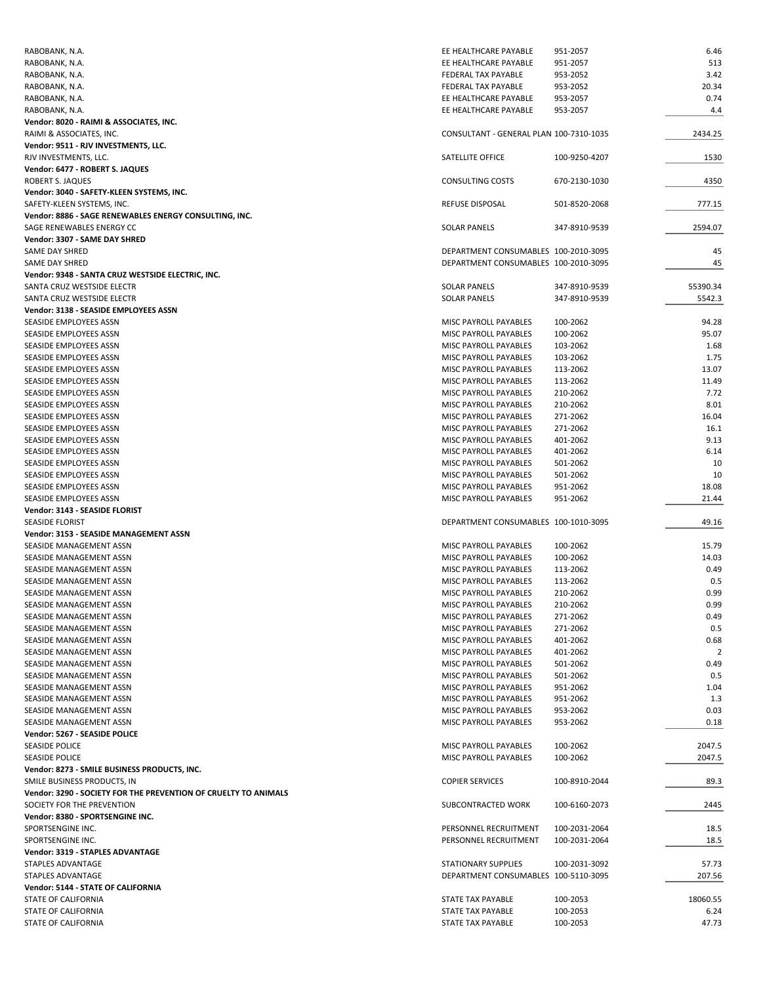| RABOBANK, N.A.                                                  | EE HEALTHCARE PAYABLE                   | 951-2057      | 6.46     |
|-----------------------------------------------------------------|-----------------------------------------|---------------|----------|
| RABOBANK, N.A.                                                  | EE HEALTHCARE PAYABLE                   | 951-2057      | 513      |
| RABOBANK, N.A.                                                  | FEDERAL TAX PAYABLE                     | 953-2052      | 3.42     |
| RABOBANK, N.A.                                                  | <b>FEDERAL TAX PAYABLE</b>              | 953-2052      | 20.34    |
| RABOBANK, N.A.                                                  | EE HEALTHCARE PAYABLE                   | 953-2057      | 0.74     |
| RABOBANK, N.A.                                                  | EE HEALTHCARE PAYABLE                   | 953-2057      | 4.4      |
| Vendor: 8020 - RAIMI & ASSOCIATES, INC.                         |                                         |               |          |
| RAIMI & ASSOCIATES, INC.                                        | CONSULTANT - GENERAL PLAN 100-7310-1035 |               | 2434.25  |
| Vendor: 9511 - RJV INVESTMENTS, LLC.                            |                                         |               |          |
| RJV INVESTMENTS, LLC.                                           | SATELLITE OFFICE                        | 100-9250-4207 | 1530     |
| Vendor: 6477 - ROBERT S. JAQUES                                 |                                         |               |          |
| ROBERT S. JAQUES                                                | <b>CONSULTING COSTS</b>                 | 670-2130-1030 | 4350     |
| Vendor: 3040 - SAFETY-KLEEN SYSTEMS, INC.                       |                                         |               |          |
| SAFETY-KLEEN SYSTEMS, INC.                                      | <b>REFUSE DISPOSAL</b>                  | 501-8520-2068 | 777.15   |
| Vendor: 8886 - SAGE RENEWABLES ENERGY CONSULTING, INC.          |                                         |               |          |
| SAGE RENEWABLES ENERGY CC                                       | <b>SOLAR PANELS</b>                     |               | 2594.07  |
|                                                                 |                                         | 347-8910-9539 |          |
| Vendor: 3307 - SAME DAY SHRED                                   |                                         |               |          |
| SAME DAY SHRED                                                  | DEPARTMENT CONSUMABLES 100-2010-3095    |               | 45       |
| SAME DAY SHRED                                                  | DEPARTMENT CONSUMABLES 100-2010-3095    |               | 45       |
| Vendor: 9348 - SANTA CRUZ WESTSIDE ELECTRIC, INC.               |                                         |               |          |
| SANTA CRUZ WESTSIDE ELECTR                                      | <b>SOLAR PANELS</b>                     | 347-8910-9539 | 55390.34 |
| SANTA CRUZ WESTSIDE ELECTR                                      | <b>SOLAR PANELS</b>                     | 347-8910-9539 | 5542.3   |
| Vendor: 3138 - SEASIDE EMPLOYEES ASSN                           |                                         |               |          |
| SEASIDE EMPLOYEES ASSN                                          | MISC PAYROLL PAYABLES                   | 100-2062      | 94.28    |
| SEASIDE EMPLOYEES ASSN                                          | MISC PAYROLL PAYABLES                   | 100-2062      | 95.07    |
| SEASIDE EMPLOYEES ASSN                                          | MISC PAYROLL PAYABLES                   | 103-2062      | 1.68     |
| SEASIDE EMPLOYEES ASSN                                          | MISC PAYROLL PAYABLES                   | 103-2062      | 1.75     |
| SEASIDE EMPLOYEES ASSN                                          | MISC PAYROLL PAYABLES                   | 113-2062      | 13.07    |
| SEASIDE EMPLOYEES ASSN                                          | MISC PAYROLL PAYABLES                   | 113-2062      | 11.49    |
| SEASIDE EMPLOYEES ASSN                                          | MISC PAYROLL PAYABLES                   | 210-2062      | 7.72     |
| SEASIDE EMPLOYEES ASSN                                          | <b>MISC PAYROLL PAYABLES</b>            | 210-2062      | 8.01     |
| SEASIDE EMPLOYEES ASSN                                          | MISC PAYROLL PAYABLES                   | 271-2062      | 16.04    |
| SEASIDE EMPLOYEES ASSN                                          | MISC PAYROLL PAYABLES                   | 271-2062      | 16.1     |
| SEASIDE EMPLOYEES ASSN                                          | MISC PAYROLL PAYABLES                   | 401-2062      | 9.13     |
| SEASIDE EMPLOYEES ASSN                                          | MISC PAYROLL PAYABLES                   | 401-2062      | 6.14     |
| SEASIDE EMPLOYEES ASSN                                          | MISC PAYROLL PAYABLES                   | 501-2062      | 10       |
| SEASIDE EMPLOYEES ASSN                                          | MISC PAYROLL PAYABLES                   | 501-2062      | 10       |
|                                                                 |                                         |               |          |
| SEASIDE EMPLOYEES ASSN                                          | MISC PAYROLL PAYABLES                   | 951-2062      | 18.08    |
| SEASIDE EMPLOYEES ASSN                                          | MISC PAYROLL PAYABLES                   | 951-2062      | 21.44    |
| Vendor: 3143 - SEASIDE FLORIST                                  |                                         |               |          |
| <b>SEASIDE FLORIST</b>                                          | DEPARTMENT CONSUMABLES 100-1010-3095    |               | 49.16    |
| Vendor: 3153 - SEASIDE MANAGEMENT ASSN                          |                                         |               |          |
| SEASIDE MANAGEMENT ASSN                                         | <b>MISC PAYROLL PAYABLES</b>            | 100-2062      | 15.79    |
| SEASIDE MANAGEMENT ASSN                                         | MISC PAYROLL PAYABLES                   | 100-2062      | 14.03    |
| SEASIDE MANAGEMENT ASSN                                         | MISC PAYROLL PAYABLES                   | 113-2062      | 0.49     |
| SEASIDE MANAGEMENT ASSN                                         | <b>MISC PAYROLL PAYABLES</b>            | 113-2062      | 0.5      |
| SEASIDE MANAGEMENT ASSN                                         | MISC PAYROLL PAYABLES                   | 210-2062      | 0.99     |
| SEASIDE MANAGEMENT ASSN                                         | MISC PAYROLL PAYABLES                   | 210-2062      | 0.99     |
| SEASIDE MANAGEMENT ASSN                                         | MISC PAYROLL PAYABLES                   | 271-2062      | 0.49     |
| SEASIDE MANAGEMENT ASSN                                         | MISC PAYROLL PAYABLES                   | 271-2062      | 0.5      |
| SEASIDE MANAGEMENT ASSN                                         | MISC PAYROLL PAYABLES                   | 401-2062      | 0.68     |
| SEASIDE MANAGEMENT ASSN                                         | MISC PAYROLL PAYABLES                   | 401-2062      | 2        |
| SEASIDE MANAGEMENT ASSN                                         | MISC PAYROLL PAYABLES                   | 501-2062      | 0.49     |
| SEASIDE MANAGEMENT ASSN                                         | MISC PAYROLL PAYABLES                   | 501-2062      | 0.5      |
| SEASIDE MANAGEMENT ASSN                                         | MISC PAYROLL PAYABLES                   | 951-2062      | 1.04     |
| SEASIDE MANAGEMENT ASSN                                         | MISC PAYROLL PAYABLES                   | 951-2062      | 1.3      |
| SEASIDE MANAGEMENT ASSN                                         | MISC PAYROLL PAYABLES                   | 953-2062      | 0.03     |
|                                                                 | MISC PAYROLL PAYABLES                   |               |          |
| SEASIDE MANAGEMENT ASSN                                         |                                         | 953-2062      | 0.18     |
| Vendor: 5267 - SEASIDE POLICE                                   |                                         |               |          |
| SEASIDE POLICE                                                  | MISC PAYROLL PAYABLES                   | 100-2062      | 2047.5   |
| <b>SEASIDE POLICE</b>                                           | MISC PAYROLL PAYABLES                   | 100-2062      | 2047.5   |
| Vendor: 8273 - SMILE BUSINESS PRODUCTS, INC.                    |                                         |               |          |
| SMILE BUSINESS PRODUCTS, IN                                     | <b>COPIER SERVICES</b>                  | 100-8910-2044 | 89.3     |
| Vendor: 3290 - SOCIETY FOR THE PREVENTION OF CRUELTY TO ANIMALS |                                         |               |          |
| SOCIETY FOR THE PREVENTION                                      | SUBCONTRACTED WORK                      | 100-6160-2073 | 2445     |
| Vendor: 8380 - SPORTSENGINE INC.                                |                                         |               |          |
| SPORTSENGINE INC.                                               | PERSONNEL RECRUITMENT                   | 100-2031-2064 | 18.5     |
| SPORTSENGINE INC.                                               | PERSONNEL RECRUITMENT                   | 100-2031-2064 | 18.5     |
| Vendor: 3319 - STAPLES ADVANTAGE                                |                                         |               |          |
| STAPLES ADVANTAGE                                               | <b>STATIONARY SUPPLIES</b>              | 100-2031-3092 | 57.73    |
| STAPLES ADVANTAGE                                               | DEPARTMENT CONSUMABLES 100-5110-3095    |               | 207.56   |
| Vendor: 5144 - STATE OF CALIFORNIA                              |                                         |               |          |
| STATE OF CALIFORNIA                                             |                                         |               |          |
|                                                                 | STATE TAX PAYABLE                       | 100-2053      | 18060.55 |
| STATE OF CALIFORNIA                                             | STATE TAX PAYABLE                       | 100-2053      | 6.24     |
| STATE OF CALIFORNIA                                             | STATE TAX PAYABLE                       | 100-2053      | 47.73    |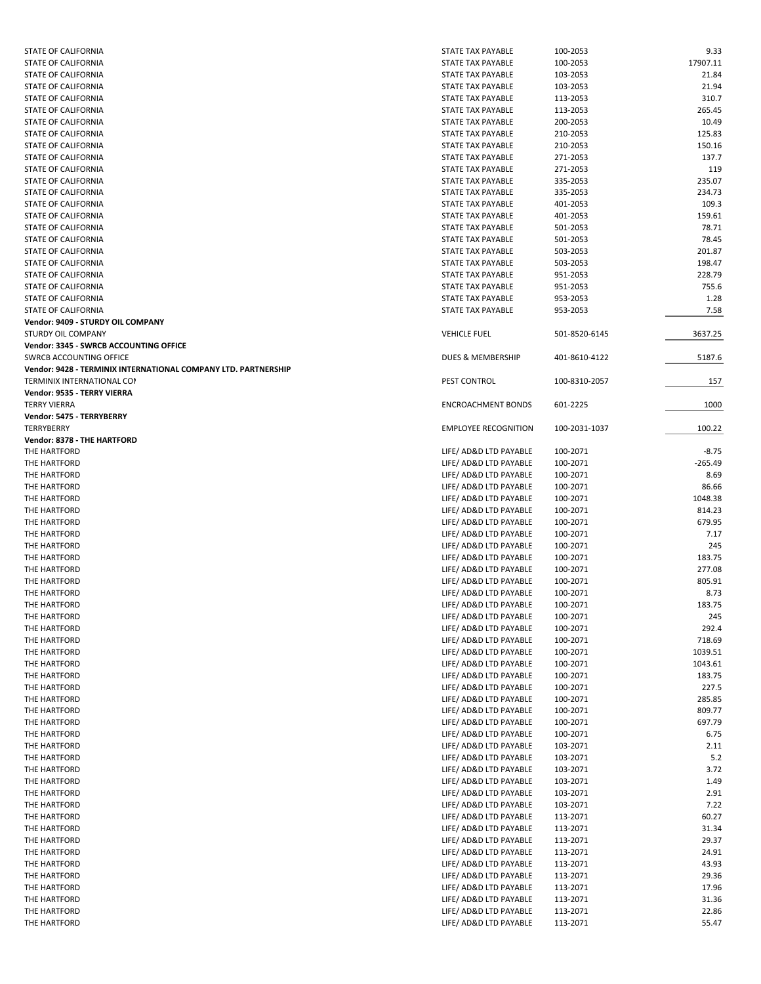| STATE OF CALIFORNIA                                            | STATE TAX PAYABLE           | 100-2053      | 9.33      |
|----------------------------------------------------------------|-----------------------------|---------------|-----------|
| STATE OF CALIFORNIA                                            | STATE TAX PAYABLE           | 100-2053      | 17907.11  |
| STATE OF CALIFORNIA                                            | STATE TAX PAYABLE           | 103-2053      | 21.84     |
| STATE OF CALIFORNIA                                            | STATE TAX PAYABLE           | 103-2053      | 21.94     |
| STATE OF CALIFORNIA                                            | STATE TAX PAYABLE           | 113-2053      | 310.7     |
| <b>STATE OF CALIFORNIA</b>                                     | STATE TAX PAYABLE           | 113-2053      | 265.45    |
| STATE OF CALIFORNIA                                            | STATE TAX PAYABLE           | 200-2053      | 10.49     |
| STATE OF CALIFORNIA                                            | <b>STATE TAX PAYABLE</b>    | 210-2053      | 125.83    |
| STATE OF CALIFORNIA                                            | STATE TAX PAYABLE           | 210-2053      | 150.16    |
| STATE OF CALIFORNIA                                            | STATE TAX PAYABLE           | 271-2053      | 137.7     |
| STATE OF CALIFORNIA                                            | STATE TAX PAYABLE           | 271-2053      | 119       |
| STATE OF CALIFORNIA                                            | STATE TAX PAYABLE           | 335-2053      | 235.07    |
| STATE OF CALIFORNIA                                            | STATE TAX PAYABLE           | 335-2053      | 234.73    |
| STATE OF CALIFORNIA                                            | STATE TAX PAYABLE           | 401-2053      | 109.3     |
|                                                                |                             |               | 159.61    |
| STATE OF CALIFORNIA                                            | STATE TAX PAYABLE           | 401-2053      |           |
| STATE OF CALIFORNIA                                            | STATE TAX PAYABLE           | 501-2053      | 78.71     |
| STATE OF CALIFORNIA                                            | STATE TAX PAYABLE           | 501-2053      | 78.45     |
| STATE OF CALIFORNIA                                            | STATE TAX PAYABLE           | 503-2053      | 201.87    |
| STATE OF CALIFORNIA                                            | STATE TAX PAYABLE           | 503-2053      | 198.47    |
| STATE OF CALIFORNIA                                            | STATE TAX PAYABLE           | 951-2053      | 228.79    |
| STATE OF CALIFORNIA                                            | STATE TAX PAYABLE           | 951-2053      | 755.6     |
| STATE OF CALIFORNIA                                            | <b>STATE TAX PAYABLE</b>    | 953-2053      | 1.28      |
| STATE OF CALIFORNIA                                            | STATE TAX PAYABLE           | 953-2053      | 7.58      |
| Vendor: 9409 - STURDY OIL COMPANY                              |                             |               |           |
| STURDY OIL COMPANY                                             | <b>VEHICLE FUEL</b>         | 501-8520-6145 | 3637.25   |
| Vendor: 3345 - SWRCB ACCOUNTING OFFICE                         |                             |               |           |
| SWRCB ACCOUNTING OFFICE                                        | DUES & MEMBERSHIP           | 401-8610-4122 | 5187.6    |
| Vendor: 9428 - TERMINIX INTERNATIONAL COMPANY LTD. PARTNERSHIP |                             |               |           |
| <b>TERMINIX INTERNATIONAL CON</b>                              | PEST CONTROL                | 100-8310-2057 | 157       |
| Vendor: 9535 - TERRY VIERRA                                    |                             |               |           |
| <b>TERRY VIERRA</b>                                            | <b>ENCROACHMENT BONDS</b>   | 601-2225      | 1000      |
| Vendor: 5475 - TERRYBERRY                                      |                             |               |           |
| TERRYBERRY                                                     | <b>EMPLOYEE RECOGNITION</b> | 100-2031-1037 | 100.22    |
| <b>Vendor: 8378 - THE HARTFORD</b>                             |                             |               |           |
| THE HARTFORD                                                   | LIFE/ AD&D LTD PAYABLE      | 100-2071      | $-8.75$   |
|                                                                |                             |               |           |
| THE HARTFORD                                                   | LIFE/ AD&D LTD PAYABLE      | 100-2071      | $-265.49$ |
| THE HARTFORD                                                   | LIFE/ AD&D LTD PAYABLE      | 100-2071      | 8.69      |
| THE HARTFORD                                                   | LIFE/ AD&D LTD PAYABLE      | 100-2071      | 86.66     |
| THE HARTFORD                                                   | LIFE/ AD&D LTD PAYABLE      | 100-2071      | 1048.38   |
| THE HARTFORD                                                   | LIFE/ AD&D LTD PAYABLE      | 100-2071      | 814.23    |
| THE HARTFORD                                                   | LIFE/ AD&D LTD PAYABLE      | 100-2071      | 679.95    |
| THE HARTFORD                                                   | LIFE/ AD&D LTD PAYABLE      | 100-2071      | 7.17      |
| THE HARTFORD                                                   | LIFE/ AD&D LTD PAYABLE      | 100-2071      | 245       |
| THE HARTFORD                                                   | LIFE/ AD&D LTD PAYABLE      | 100-2071      | 183.75    |
| THE HARTFORD                                                   | LIFE/ AD&D LTD PAYABLE      | 100-2071      | 277.08    |
| THE HARTFORD                                                   | LIFE/ AD&D LTD PAYABLE      | 100-2071      | 805.91    |
| THE HARTFORD                                                   | LIFE/ AD&D LTD PAYABLE      | 100-2071      | 8.73      |
| THE HARTFORD                                                   | LIFE/ AD&D LTD PAYABLE      | 100-2071      | 183.75    |
| THE HARTFORD                                                   | LIFE/ AD&D LTD PAYABLE      | 100-2071      | 245       |
| THE HARTFORD                                                   | LIFE/ AD&D LTD PAYABLE      | 100-2071      | 292.4     |
|                                                                |                             |               |           |
| THE HARTFORD                                                   | LIFE/ AD&D LTD PAYABLE      | 100-2071      | 718.69    |
| THE HARTFORD                                                   | LIFE/ AD&D LTD PAYABLE      | 100-2071      | 1039.51   |
| THE HARTFORD                                                   | LIFE/ AD&D LTD PAYABLE      | 100-2071      | 1043.61   |
| THE HARTFORD                                                   | LIFE/ AD&D LTD PAYABLE      | 100-2071      | 183.75    |
| THE HARTFORD                                                   | LIFE/ AD&D LTD PAYABLE      | 100-2071      | 227.5     |
| THE HARTFORD                                                   | LIFE/ AD&D LTD PAYABLE      | 100-2071      | 285.85    |
| THE HARTFORD                                                   | LIFE/ AD&D LTD PAYABLE      | 100-2071      | 809.77    |
| THE HARTFORD                                                   | LIFE/ AD&D LTD PAYABLE      | 100-2071      | 697.79    |
| THE HARTFORD                                                   | LIFE/ AD&D LTD PAYABLE      | 100-2071      | 6.75      |
| THE HARTFORD                                                   | LIFE/ AD&D LTD PAYABLE      | 103-2071      | 2.11      |
| THE HARTFORD                                                   | LIFE/ AD&D LTD PAYABLE      | 103-2071      | 5.2       |
| THE HARTFORD                                                   | LIFE/ AD&D LTD PAYABLE      | 103-2071      | 3.72      |
| THE HARTFORD                                                   | LIFE/ AD&D LTD PAYABLE      | 103-2071      | 1.49      |
| THE HARTFORD                                                   | LIFE/ AD&D LTD PAYABLE      | 103-2071      | 2.91      |
| THE HARTFORD                                                   | LIFE/ AD&D LTD PAYABLE      | 103-2071      | 7.22      |
| THE HARTFORD                                                   | LIFE/ AD&D LTD PAYABLE      | 113-2071      | 60.27     |
|                                                                |                             |               |           |
| THE HARTFORD                                                   | LIFE/ AD&D LTD PAYABLE      | 113-2071      | 31.34     |
| THE HARTFORD                                                   | LIFE/ AD&D LTD PAYABLE      | 113-2071      | 29.37     |
| THE HARTFORD                                                   | LIFE/ AD&D LTD PAYABLE      | 113-2071      | 24.91     |
| THE HARTFORD                                                   | LIFE/ AD&D LTD PAYABLE      | 113-2071      | 43.93     |
| THE HARTFORD                                                   | LIFE/ AD&D LTD PAYABLE      | 113-2071      | 29.36     |
| THE HARTFORD                                                   | LIFE/ AD&D LTD PAYABLE      | 113-2071      | 17.96     |
| THE HARTFORD                                                   | LIFE/ AD&D LTD PAYABLE      | 113-2071      | 31.36     |
| THE HARTFORD                                                   | LIFE/ AD&D LTD PAYABLE      | 113-2071      | 22.86     |
| THE HARTFORD                                                   | LIFE/ AD&D LTD PAYABLE      | 113-2071      | 55.47     |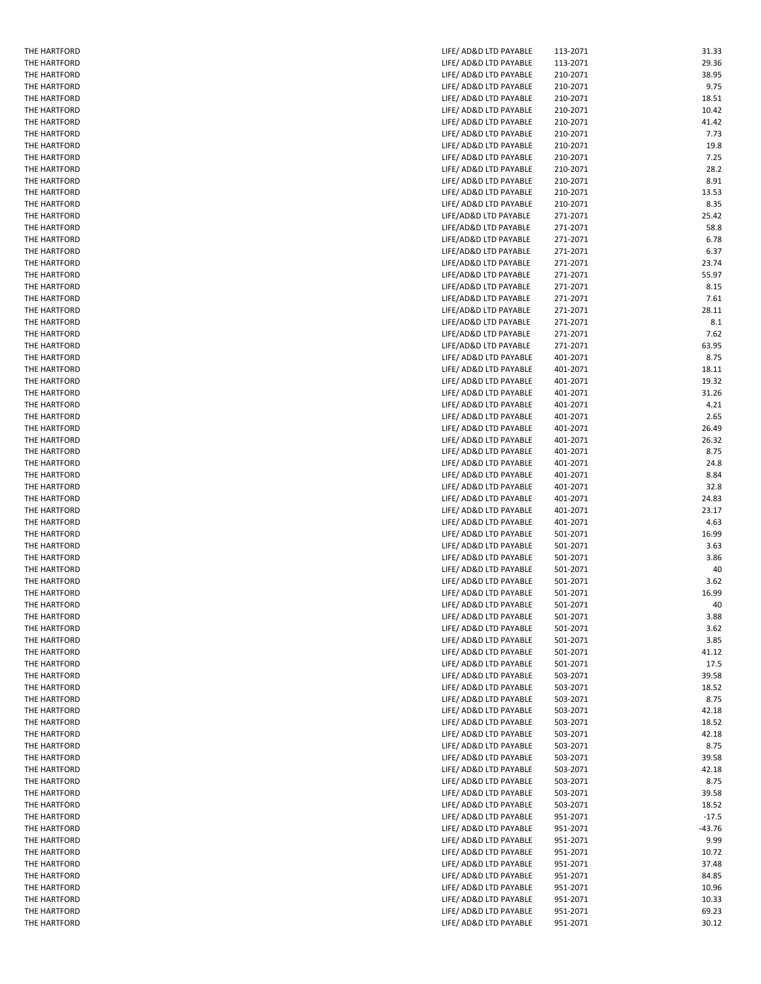| THE HARTFORD | LIFE/ AD&D LTD PAYABLE | 113-2071 | 31.33    |
|--------------|------------------------|----------|----------|
| THE HARTFORD | LIFE/ AD&D LTD PAYABLE | 113-2071 | 29.36    |
| THE HARTFORD | LIFE/ AD&D LTD PAYABLE | 210-2071 | 38.95    |
|              |                        |          |          |
| THE HARTFORD | LIFE/ AD&D LTD PAYABLE | 210-2071 | 9.75     |
| THE HARTFORD | LIFE/ AD&D LTD PAYABLE | 210-2071 | 18.51    |
| THE HARTFORD | LIFE/ AD&D LTD PAYABLE | 210-2071 | 10.42    |
| THE HARTFORD | LIFE/ AD&D LTD PAYABLE | 210-2071 | 41.42    |
| THE HARTFORD | LIFE/ AD&D LTD PAYABLE | 210-2071 | 7.73     |
|              |                        |          | 19.8     |
| THE HARTFORD | LIFE/ AD&D LTD PAYABLE | 210-2071 |          |
| THE HARTFORD | LIFE/ AD&D LTD PAYABLE | 210-2071 | 7.25     |
| THE HARTFORD | LIFE/ AD&D LTD PAYABLE | 210-2071 | 28.2     |
| THE HARTFORD | LIFE/ AD&D LTD PAYABLE | 210-2071 | 8.91     |
| THE HARTFORD | LIFE/ AD&D LTD PAYABLE | 210-2071 | 13.53    |
|              |                        |          |          |
| THE HARTFORD | LIFE/ AD&D LTD PAYABLE | 210-2071 | 8.35     |
| THE HARTFORD | LIFE/AD&D LTD PAYABLE  | 271-2071 | 25.42    |
| THE HARTFORD | LIFE/AD&D LTD PAYABLE  | 271-2071 | 58.8     |
| THE HARTFORD | LIFE/AD&D LTD PAYABLE  | 271-2071 | 6.78     |
| THE HARTFORD | LIFE/AD&D LTD PAYABLE  | 271-2071 | 6.37     |
|              |                        |          |          |
| THE HARTFORD | LIFE/AD&D LTD PAYABLE  | 271-2071 | 23.74    |
| THE HARTFORD | LIFE/AD&D LTD PAYABLE  | 271-2071 | 55.97    |
| THE HARTFORD | LIFE/AD&D LTD PAYABLE  | 271-2071 | 8.15     |
| THE HARTFORD | LIFE/AD&D LTD PAYABLE  | 271-2071 | 7.61     |
| THE HARTFORD | LIFE/AD&D LTD PAYABLE  | 271-2071 | 28.11    |
| THE HARTFORD | LIFE/AD&D LTD PAYABLE  |          |          |
|              |                        | 271-2071 | 8.1      |
| THE HARTFORD | LIFE/AD&D LTD PAYABLE  | 271-2071 | 7.62     |
| THE HARTFORD | LIFE/AD&D LTD PAYABLE  | 271-2071 | 63.95    |
| THE HARTFORD | LIFE/ AD&D LTD PAYABLE | 401-2071 | 8.75     |
| THE HARTFORD | LIFE/ AD&D LTD PAYABLE | 401-2071 | 18.11    |
|              |                        |          | 19.32    |
| THE HARTFORD | LIFE/ AD&D LTD PAYABLE | 401-2071 |          |
| THE HARTFORD | LIFE/ AD&D LTD PAYABLE | 401-2071 | 31.26    |
| THE HARTFORD | LIFE/ AD&D LTD PAYABLE | 401-2071 | 4.21     |
| THE HARTFORD | LIFE/ AD&D LTD PAYABLE | 401-2071 | 2.65     |
| THE HARTFORD | LIFE/ AD&D LTD PAYABLE | 401-2071 | 26.49    |
| THE HARTFORD | LIFE/ AD&D LTD PAYABLE | 401-2071 | 26.32    |
|              |                        |          |          |
| THE HARTFORD | LIFE/ AD&D LTD PAYABLE | 401-2071 | 8.75     |
| THE HARTFORD | LIFE/ AD&D LTD PAYABLE | 401-2071 | 24.8     |
| THE HARTFORD | LIFE/ AD&D LTD PAYABLE | 401-2071 | 8.84     |
| THE HARTFORD | LIFE/ AD&D LTD PAYABLE | 401-2071 | 32.8     |
| THE HARTFORD | LIFE/ AD&D LTD PAYABLE | 401-2071 | 24.83    |
|              |                        |          |          |
| THE HARTFORD | LIFE/ AD&D LTD PAYABLE | 401-2071 | 23.17    |
| THE HARTFORD | LIFE/ AD&D LTD PAYABLE | 401-2071 | 4.63     |
| THE HARTFORD | LIFE/ AD&D LTD PAYABLE | 501-2071 | 16.99    |
| THE HARTFORD | LIFE/ AD&D LTD PAYABLE | 501-2071 | 3.63     |
| THE HARTFORD | LIFE/ AD&D LTD PAYABLE | 501-2071 | 3.86     |
|              |                        |          |          |
| THE HARTFORD | LIFE/ AD&D LTD PAYABLE | 501-2071 | 40       |
| THE HARTFORD | LIFE/ AD&D LTD PAYABLE | 501-2071 | 3.62     |
| THE HARTFORD | LIFE/ AD&D LTD PAYABLE | 501-2071 | 16.99    |
| THE HARTFORD | LIFE/ AD&D LTD PAYABLE | 501-2071 | 40       |
| THE HARTFORD | LIFE/ AD&D LTD PAYABLE | 501-2071 | 3.88     |
|              |                        |          |          |
| THE HARTFORD | LIFE/ AD&D LTD PAYABLE | 501-2071 | 3.62     |
| THE HARTFORD | LIFE/ AD&D LTD PAYABLE | 501-2071 | 3.85     |
| THE HARTFORD | LIFE/ AD&D LTD PAYABLE | 501-2071 | 41.12    |
| THE HARTFORD | LIFE/ AD&D LTD PAYABLE | 501-2071 | 17.5     |
| THE HARTFORD | LIFE/ AD&D LTD PAYABLE | 503-2071 | 39.58    |
| THE HARTFORD |                        | 503-2071 | 18.52    |
|              | LIFE/ AD&D LTD PAYABLE |          |          |
| THE HARTFORD | LIFE/ AD&D LTD PAYABLE | 503-2071 | 8.75     |
| THE HARTFORD | LIFE/ AD&D LTD PAYABLE | 503-2071 | 42.18    |
| THE HARTFORD | LIFE/ AD&D LTD PAYABLE | 503-2071 | 18.52    |
| THE HARTFORD | LIFE/ AD&D LTD PAYABLE | 503-2071 | 42.18    |
| THE HARTFORD | LIFE/ AD&D LTD PAYABLE | 503-2071 | 8.75     |
|              |                        |          |          |
| THE HARTFORD | LIFE/ AD&D LTD PAYABLE | 503-2071 | 39.58    |
| THE HARTFORD | LIFE/ AD&D LTD PAYABLE | 503-2071 | 42.18    |
| THE HARTFORD | LIFE/ AD&D LTD PAYABLE | 503-2071 | 8.75     |
| THE HARTFORD | LIFE/ AD&D LTD PAYABLE | 503-2071 | 39.58    |
| THE HARTFORD | LIFE/ AD&D LTD PAYABLE | 503-2071 | 18.52    |
|              |                        |          |          |
| THE HARTFORD | LIFE/ AD&D LTD PAYABLE | 951-2071 | $-17.5$  |
| THE HARTFORD | LIFE/ AD&D LTD PAYABLE | 951-2071 | $-43.76$ |
| THE HARTFORD | LIFE/ AD&D LTD PAYABLE | 951-2071 | 9.99     |
| THE HARTFORD | LIFE/ AD&D LTD PAYABLE | 951-2071 | 10.72    |
| THE HARTFORD | LIFE/ AD&D LTD PAYABLE | 951-2071 | 37.48    |
|              |                        |          |          |
| THE HARTFORD | LIFE/ AD&D LTD PAYABLE | 951-2071 | 84.85    |
| THE HARTFORD | LIFE/ AD&D LTD PAYABLE | 951-2071 | 10.96    |
| THE HARTFORD | LIFE/ AD&D LTD PAYABLE | 951-2071 | 10.33    |
| THE HARTFORD | LIFE/ AD&D LTD PAYABLE | 951-2071 | 69.23    |
| THE HARTFORD | LIFE/ AD&D LTD PAYABLE | 951-2071 | 30.12    |
|              |                        |          |          |

THE HARTFORD<br>THE HARTFORD THE HARTFORD THE HARTFORD THE HARTFORD THE HARTFORD THE HARTFORD THE HARTFORD<br>THE HARTFORD THE HARTFORD THE HARTFORD THE HARTFORD<br>THE HARTFORD THE HARTFORD<br>THE HARTFORD THE HARTFORD THE HARTFORD THE HARTFORD THE HARTFORD THE HARTFORD THE HARTFORD<br>THE HARTFORD THE HARTFORD THE HARTFORD THE HARTFORD THE HARTFORD THE HARTFORD THE HARTFORD THE HARTFORD THE HARTFORD THE HARTFORD<br>THE HARTFORD THE HARTFORD THE HARTFORD THE HARTFORD THE HARTFORD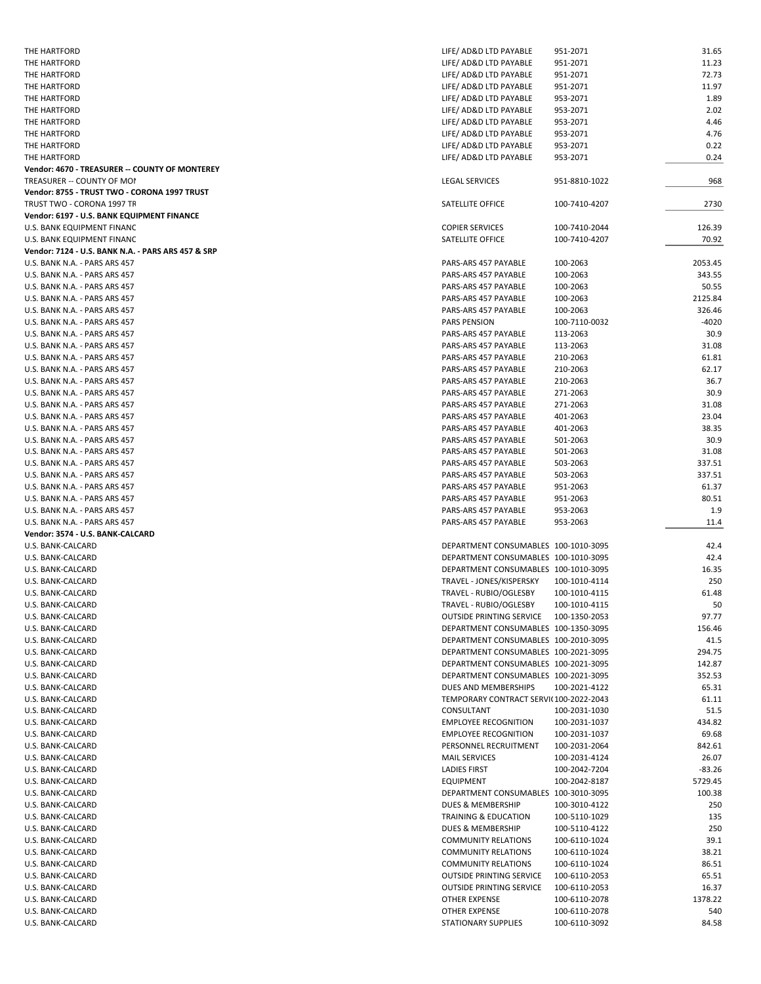| THE HARTFORD                                       | LIFE/ AD&D LTD PAYABLE                 | 951-2071                       | 31.65        |
|----------------------------------------------------|----------------------------------------|--------------------------------|--------------|
| THE HARTFORD                                       | LIFE/ AD&D LTD PAYABLE                 | 951-2071                       | 11.23        |
|                                                    |                                        |                                |              |
| THE HARTFORD                                       | LIFE/ AD&D LTD PAYABLE                 | 951-2071                       | 72.73        |
| THE HARTFORD                                       | LIFE/ AD&D LTD PAYABLE                 | 951-2071                       | 11.97        |
| THE HARTFORD                                       | LIFE/ AD&D LTD PAYABLE                 | 953-2071                       | 1.89         |
| THE HARTFORD                                       | LIFE/ AD&D LTD PAYABLE                 | 953-2071                       | 2.02         |
| THE HARTFORD                                       | LIFE/ AD&D LTD PAYABLE                 | 953-2071                       | 4.46         |
|                                                    |                                        |                                |              |
| THE HARTFORD                                       | LIFE/ AD&D LTD PAYABLE                 | 953-2071                       | 4.76         |
| THE HARTFORD                                       | LIFE/ AD&D LTD PAYABLE                 | 953-2071                       | 0.22         |
| THE HARTFORD                                       | LIFE/ AD&D LTD PAYABLE                 | 953-2071                       | 0.24         |
| Vendor: 4670 - TREASURER -- COUNTY OF MONTEREY     |                                        |                                |              |
|                                                    |                                        |                                |              |
| TREASURER -- COUNTY OF MOI                         | <b>LEGAL SERVICES</b>                  | 951-8810-1022                  | 968          |
| Vendor: 8755 - TRUST TWO - CORONA 1997 TRUST       |                                        |                                |              |
| TRUST TWO - CORONA 1997 TR                         | SATELLITE OFFICE                       | 100-7410-4207                  | 2730         |
| Vendor: 6197 - U.S. BANK EQUIPMENT FINANCE         |                                        |                                |              |
| U.S. BANK EQUIPMENT FINANC                         | <b>COPIER SERVICES</b>                 | 100-7410-2044                  | 126.39       |
|                                                    |                                        |                                |              |
| U.S. BANK EQUIPMENT FINANC                         | SATELLITE OFFICE                       | 100-7410-4207                  | 70.92        |
| Vendor: 7124 - U.S. BANK N.A. - PARS ARS 457 & SRP |                                        |                                |              |
| U.S. BANK N.A. - PARS ARS 457                      | PARS-ARS 457 PAYABLE                   | 100-2063                       | 2053.45      |
| U.S. BANK N.A. - PARS ARS 457                      | PARS-ARS 457 PAYABLE                   | 100-2063                       | 343.55       |
|                                                    |                                        |                                |              |
| U.S. BANK N.A. - PARS ARS 457                      | PARS-ARS 457 PAYABLE                   | 100-2063                       | 50.55        |
| U.S. BANK N.A. - PARS ARS 457                      | PARS-ARS 457 PAYABLE                   | 100-2063                       | 2125.84      |
| U.S. BANK N.A. - PARS ARS 457                      | PARS-ARS 457 PAYABLE                   | 100-2063                       | 326.46       |
| U.S. BANK N.A. - PARS ARS 457                      | <b>PARS PENSION</b>                    | 100-7110-0032                  | -4020        |
| U.S. BANK N.A. - PARS ARS 457                      | PARS-ARS 457 PAYABLE                   | 113-2063                       | 30.9         |
|                                                    |                                        |                                |              |
| U.S. BANK N.A. - PARS ARS 457                      | PARS-ARS 457 PAYABLE                   | 113-2063                       | 31.08        |
| U.S. BANK N.A. - PARS ARS 457                      | PARS-ARS 457 PAYABLE                   | 210-2063                       | 61.81        |
| U.S. BANK N.A. - PARS ARS 457                      | PARS-ARS 457 PAYABLE                   | 210-2063                       | 62.17        |
| U.S. BANK N.A. - PARS ARS 457                      | PARS-ARS 457 PAYABLE                   | 210-2063                       | 36.7         |
|                                                    |                                        |                                |              |
| U.S. BANK N.A. - PARS ARS 457                      | PARS-ARS 457 PAYABLE                   | 271-2063                       | 30.9         |
| U.S. BANK N.A. - PARS ARS 457                      | PARS-ARS 457 PAYABLE                   | 271-2063                       | 31.08        |
| U.S. BANK N.A. - PARS ARS 457                      | PARS-ARS 457 PAYABLE                   | 401-2063                       | 23.04        |
| U.S. BANK N.A. - PARS ARS 457                      | PARS-ARS 457 PAYABLE                   | 401-2063                       | 38.35        |
|                                                    |                                        |                                |              |
| U.S. BANK N.A. - PARS ARS 457                      | PARS-ARS 457 PAYABLE                   | 501-2063                       | 30.9         |
| U.S. BANK N.A. - PARS ARS 457                      | PARS-ARS 457 PAYABLE                   | 501-2063                       | 31.08        |
| U.S. BANK N.A. - PARS ARS 457                      | PARS-ARS 457 PAYABLE                   | 503-2063                       | 337.51       |
| U.S. BANK N.A. - PARS ARS 457                      | PARS-ARS 457 PAYABLE                   | 503-2063                       | 337.51       |
|                                                    |                                        |                                | 61.37        |
| U.S. BANK N.A. - PARS ARS 457                      | PARS-ARS 457 PAYABLE                   | 951-2063                       |              |
| U.S. BANK N.A. - PARS ARS 457                      | PARS-ARS 457 PAYABLE                   | 951-2063                       | 80.51        |
| U.S. BANK N.A. - PARS ARS 457                      | PARS-ARS 457 PAYABLE                   | 953-2063                       | 1.9          |
| U.S. BANK N.A. - PARS ARS 457                      | PARS-ARS 457 PAYABLE                   | 953-2063                       | 11.4         |
| Vendor: 3574 - U.S. BANK-CALCARD                   |                                        |                                |              |
|                                                    |                                        |                                |              |
|                                                    | DEPARTMENT CONSUMABLES 100-1010-3095   |                                | 42.4         |
| U.S. BANK-CALCARD                                  |                                        |                                |              |
| U.S. BANK-CALCARD                                  | DEPARTMENT CONSUMABLES 100-1010-3095   |                                | 42.4         |
| U.S. BANK-CALCARD                                  | DEPARTMENT CONSUMABLES 100-1010-3095   |                                | 16.35        |
|                                                    |                                        |                                |              |
| U.S. BANK-CALCARD                                  | TRAVEL - JONES/KISPERSKY               | 100-1010-4114                  | 250          |
| U.S. BANK-CALCARD                                  | TRAVEL - RUBIO/OGLESBY                 | 100-1010-4115                  | 61.48        |
| U.S. BANK-CALCARD                                  | TRAVEL - RUBIO/OGLESBY                 | 100-1010-4115                  | 50           |
| U.S. BANK-CALCARD                                  | OUTSIDE PRINTING SERVICE 100-1350-2053 |                                | 97.77        |
|                                                    |                                        |                                |              |
| U.S. BANK-CALCARD                                  | DEPARTMENT CONSUMABLES 100-1350-3095   |                                | 156.46       |
| U.S. BANK-CALCARD                                  | DEPARTMENT CONSUMABLES 100-2010-3095   |                                | 41.5         |
| U.S. BANK-CALCARD                                  | DEPARTMENT CONSUMABLES 100-2021-3095   |                                | 294.75       |
| U.S. BANK-CALCARD                                  | DEPARTMENT CONSUMABLES 100-2021-3095   |                                | 142.87       |
| U.S. BANK-CALCARD                                  | DEPARTMENT CONSUMABLES 100-2021-3095   |                                | 352.53       |
|                                                    |                                        |                                |              |
| U.S. BANK-CALCARD                                  | DUES AND MEMBERSHIPS                   | 100-2021-4122                  | 65.31        |
| U.S. BANK-CALCARD                                  | TEMPORARY CONTRACT SERVI(100-2022-2043 |                                | 61.11        |
| U.S. BANK-CALCARD                                  | CONSULTANT                             | 100-2031-1030                  | 51.5         |
| U.S. BANK-CALCARD                                  | <b>EMPLOYEE RECOGNITION</b>            | 100-2031-1037                  | 434.82       |
| U.S. BANK-CALCARD                                  | <b>EMPLOYEE RECOGNITION</b>            | 100-2031-1037                  | 69.68        |
|                                                    |                                        |                                |              |
| U.S. BANK-CALCARD                                  | PERSONNEL RECRUITMENT                  | 100-2031-2064                  | 842.61       |
| U.S. BANK-CALCARD                                  | <b>MAIL SERVICES</b>                   | 100-2031-4124                  | 26.07        |
| U.S. BANK-CALCARD                                  | <b>LADIES FIRST</b>                    | 100-2042-7204                  | -83.26       |
| U.S. BANK-CALCARD                                  | <b>EQUIPMENT</b>                       | 100-2042-8187                  | 5729.45      |
|                                                    |                                        |                                |              |
| U.S. BANK-CALCARD                                  | DEPARTMENT CONSUMABLES 100-3010-3095   |                                | 100.38       |
| U.S. BANK-CALCARD                                  | DUES & MEMBERSHIP                      | 100-3010-4122                  | 250          |
| U.S. BANK-CALCARD                                  | TRAINING & EDUCATION                   | 100-5110-1029                  | 135          |
| U.S. BANK-CALCARD                                  | DUES & MEMBERSHIP                      | 100-5110-4122                  | 250          |
| U.S. BANK-CALCARD                                  | <b>COMMUNITY RELATIONS</b>             | 100-6110-1024                  | 39.1         |
|                                                    |                                        |                                |              |
| U.S. BANK-CALCARD                                  | <b>COMMUNITY RELATIONS</b>             | 100-6110-1024                  | 38.21        |
| U.S. BANK-CALCARD                                  | <b>COMMUNITY RELATIONS</b>             | 100-6110-1024                  | 86.51        |
| U.S. BANK-CALCARD                                  | <b>OUTSIDE PRINTING SERVICE</b>        | 100-6110-2053                  | 65.51        |
| U.S. BANK-CALCARD                                  | <b>OUTSIDE PRINTING SERVICE</b>        | 100-6110-2053                  | 16.37        |
|                                                    |                                        |                                |              |
| U.S. BANK-CALCARD                                  | OTHER EXPENSE                          | 100-6110-2078                  | 1378.22      |
| U.S. BANK-CALCARD<br>U.S. BANK-CALCARD             | OTHER EXPENSE<br>STATIONARY SUPPLIES   | 100-6110-2078<br>100-6110-3092 | 540<br>84.58 |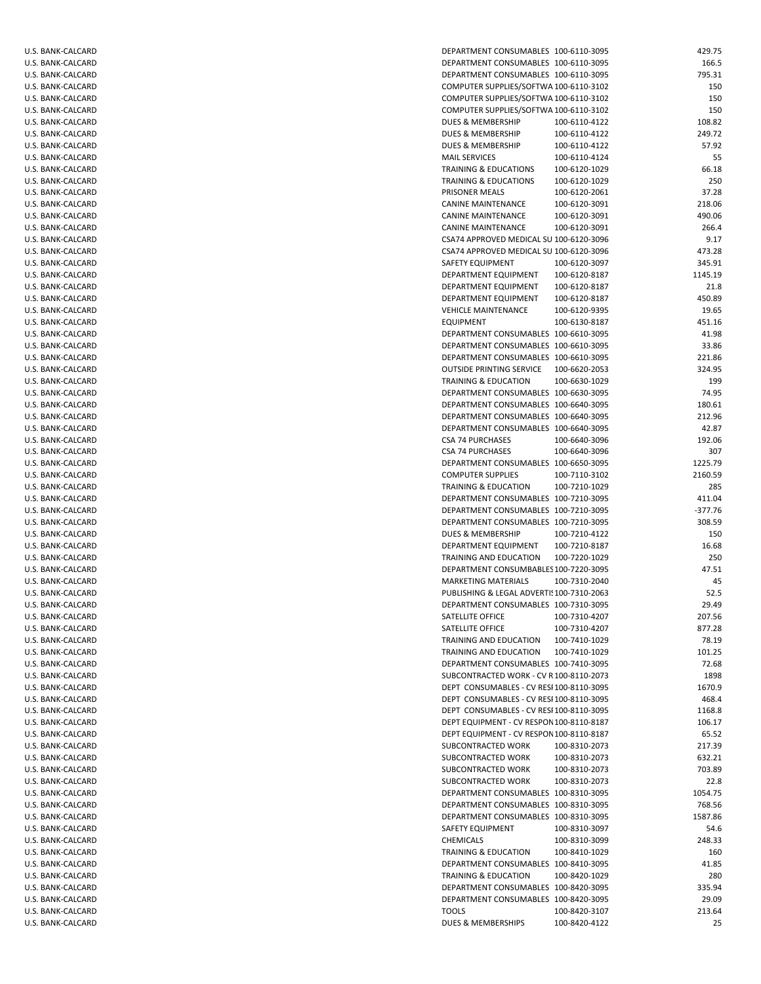| U.S. BANK-CALCARD                      | DEPARTMENT CONSUMABLES 100-6110-3095      |               | 429.75  |
|----------------------------------------|-------------------------------------------|---------------|---------|
| U.S. BANK-CALCARD                      | DEPARTMENT CONSUMABLES 100-6110-3095      |               | 166.5   |
| U.S. BANK-CALCARD                      | DEPARTMENT CONSUMABLES 100-6110-3095      |               | 795.31  |
| U.S. BANK-CALCARD                      | COMPUTER SUPPLIES/SOFTWA 100-6110-3102    |               | 150     |
| U.S. BANK-CALCARD                      | COMPUTER SUPPLIES/SOFTWA 100-6110-3102    |               | 150     |
| U.S. BANK-CALCARD                      | COMPUTER SUPPLIES/SOFTWA 100-6110-3102    |               | 150     |
| U.S. BANK-CALCARD                      | <b>DUES &amp; MEMBERSHIP</b>              | 100-6110-4122 | 108.82  |
| U.S. BANK-CALCARD                      | <b>DUES &amp; MEMBERSHIP</b>              | 100-6110-4122 | 249.72  |
|                                        |                                           |               |         |
| U.S. BANK-CALCARD                      | DUES & MEMBERSHIP                         | 100-6110-4122 | 57.92   |
| U.S. BANK-CALCARD                      | <b>MAIL SERVICES</b>                      | 100-6110-4124 | 55      |
| U.S. BANK-CALCARD                      | <b>TRAINING &amp; EDUCATIONS</b>          | 100-6120-1029 | 66.18   |
| U.S. BANK-CALCARD                      | <b>TRAINING &amp; EDUCATIONS</b>          | 100-6120-1029 | 250     |
| U.S. BANK-CALCARD                      | PRISONER MEALS                            | 100-6120-2061 | 37.28   |
| U.S. BANK-CALCARD                      | CANINE MAINTENANCE                        | 100-6120-3091 | 218.06  |
| U.S. BANK-CALCARD                      | CANINE MAINTENANCE                        | 100-6120-3091 | 490.06  |
| U.S. BANK-CALCARD                      | <b>CANINE MAINTENANCE</b>                 | 100-6120-3091 | 266.4   |
| U.S. BANK-CALCARD                      | CSA74 APPROVED MEDICAL SU 100-6120-3096   |               | 9.17    |
| U.S. BANK-CALCARD                      | CSA74 APPROVED MEDICAL SU 100-6120-3096   |               | 473.28  |
| U.S. BANK-CALCARD                      | SAFETY EQUIPMENT                          | 100-6120-3097 | 345.91  |
|                                        |                                           |               | 1145.19 |
| U.S. BANK-CALCARD                      | DEPARTMENT EQUIPMENT                      | 100-6120-8187 |         |
| U.S. BANK-CALCARD                      | DEPARTMENT EQUIPMENT                      | 100-6120-8187 | 21.8    |
| U.S. BANK-CALCARD                      | DEPARTMENT EQUIPMENT                      | 100-6120-8187 | 450.89  |
| U.S. BANK-CALCARD                      | <b>VEHICLE MAINTENANCE</b>                | 100-6120-9395 | 19.65   |
| U.S. BANK-CALCARD                      | <b>EQUIPMENT</b>                          | 100-6130-8187 | 451.16  |
| U.S. BANK-CALCARD                      | DEPARTMENT CONSUMABLES 100-6610-3095      |               | 41.98   |
| U.S. BANK-CALCARD                      | DEPARTMENT CONSUMABLES 100-6610-3095      |               | 33.86   |
| U.S. BANK-CALCARD                      | DEPARTMENT CONSUMABLES 100-6610-3095      |               | 221.86  |
| U.S. BANK-CALCARD                      | <b>OUTSIDE PRINTING SERVICE</b>           | 100-6620-2053 | 324.95  |
| U.S. BANK-CALCARD                      | <b>TRAINING &amp; EDUCATION</b>           | 100-6630-1029 | 199     |
| U.S. BANK-CALCARD                      | DEPARTMENT CONSUMABLES 100-6630-3095      |               | 74.95   |
| U.S. BANK-CALCARD                      | DEPARTMENT CONSUMABLES 100-6640-3095      |               | 180.61  |
| U.S. BANK-CALCARD                      | DEPARTMENT CONSUMABLES 100-6640-3095      |               | 212.96  |
|                                        | DEPARTMENT CONSUMABLES 100-6640-3095      |               | 42.87   |
| U.S. BANK-CALCARD                      |                                           |               |         |
| U.S. BANK-CALCARD                      | <b>CSA 74 PURCHASES</b>                   | 100-6640-3096 | 192.06  |
| U.S. BANK-CALCARD                      | <b>CSA 74 PURCHASES</b>                   | 100-6640-3096 | 307     |
| U.S. BANK-CALCARD                      | DEPARTMENT CONSUMABLES 100-6650-3095      |               | 1225.79 |
| U.S. BANK-CALCARD                      | <b>COMPUTER SUPPLIES</b>                  | 100-7110-3102 | 2160.59 |
| U.S. BANK-CALCARD                      | <b>TRAINING &amp; EDUCATION</b>           | 100-7210-1029 | 285     |
| U.S. BANK-CALCARD                      | DEPARTMENT CONSUMABLES 100-7210-3095      |               | 411.04  |
| U.S. BANK-CALCARD                      | DEPARTMENT CONSUMABLES 100-7210-3095      |               | -377.76 |
| U.S. BANK-CALCARD                      | DEPARTMENT CONSUMABLES 100-7210-3095      |               | 308.59  |
| U.S. BANK-CALCARD                      | DUES & MEMBERSHIP                         | 100-7210-4122 | 150     |
| U.S. BANK-CALCARD                      | DEPARTMENT EQUIPMENT                      | 100-7210-8187 | 16.68   |
| U.S. BANK-CALCARD                      | TRAINING AND EDUCATION                    | 100-7220-1029 | 250     |
| U.S. BANK-CALCARD                      | DEPARTMENT CONSUMBABLES 100-7220-3095     |               | 47.51   |
| U.S. BANK-CALCARD                      | <b>MARKETING MATERIALS</b>                | 100-7310-2040 | 45      |
|                                        |                                           |               |         |
| U.S. BANK-CALCARD                      | PUBLISHING & LEGAL ADVERTI! 100-7310-2063 |               | 52.5    |
| U.S. BANK-CALCARD                      | DEPARTMENT CONSUMABLES 100-7310-3095      |               | 29.49   |
| U.S. BANK-CALCARD                      | SATELLITE OFFICE                          | 100-7310-4207 | 207.56  |
| U.S. BANK-CALCARD                      | SATELLITE OFFICE                          | 100-7310-4207 | 877.28  |
| U.S. BANK-CALCARD                      | TRAINING AND EDUCATION                    | 100-7410-1029 | 78.19   |
| U.S. BANK-CALCARD                      | TRAINING AND EDUCATION                    | 100-7410-1029 | 101.25  |
| U.S. BANK-CALCARD                      | DEPARTMENT CONSUMABLES 100-7410-3095      |               | 72.68   |
| U.S. BANK-CALCARD                      | SUBCONTRACTED WORK - CV R 100-8110-2073   |               | 1898    |
| U.S. BANK-CALCARD                      | DEPT CONSUMABLES - CV RESI 100-8110-3095  |               | 1670.9  |
| U.S. BANK-CALCARD                      | DEPT CONSUMABLES - CV RESI 100-8110-3095  |               | 468.4   |
| U.S. BANK-CALCARD                      | DEPT CONSUMABLES - CV RESI 100-8110-3095  |               | 1168.8  |
| U.S. BANK-CALCARD                      | DEPT EQUIPMENT - CV RESPON 100-8110-8187  |               | 106.17  |
| U.S. BANK-CALCARD                      | DEPT EQUIPMENT - CV RESPON 100-8110-8187  |               | 65.52   |
|                                        |                                           |               |         |
| U.S. BANK-CALCARD                      | SUBCONTRACTED WORK                        | 100-8310-2073 | 217.39  |
| U.S. BANK-CALCARD                      | SUBCONTRACTED WORK                        | 100-8310-2073 | 632.21  |
| U.S. BANK-CALCARD                      | SUBCONTRACTED WORK                        | 100-8310-2073 | 703.89  |
| U.S. BANK-CALCARD                      | SUBCONTRACTED WORK                        | 100-8310-2073 | 22.8    |
| U.S. BANK-CALCARD                      | DEPARTMENT CONSUMABLES 100-8310-3095      |               | 1054.75 |
| U.S. BANK-CALCARD                      | DEPARTMENT CONSUMABLES 100-8310-3095      |               | 768.56  |
| U.S. BANK-CALCARD                      | DEPARTMENT CONSUMABLES 100-8310-3095      |               | 1587.86 |
| U.S. BANK-CALCARD                      | SAFETY EQUIPMENT                          | 100-8310-3097 | 54.6    |
| U.S. BANK-CALCARD                      | CHEMICALS                                 | 100-8310-3099 | 248.33  |
| U.S. BANK-CALCARD                      | TRAINING & EDUCATION                      | 100-8410-1029 | 160     |
| U.S. BANK-CALCARD                      | DEPARTMENT CONSUMABLES 100-8410-3095      |               | 41.85   |
| U.S. BANK-CALCARD                      | <b>TRAINING &amp; EDUCATION</b>           | 100-8420-1029 | 280     |
|                                        |                                           |               |         |
| U.S. BANK-CALCARD                      | DEPARTMENT CONSUMABLES 100-8420-3095      |               | 335.94  |
| U.S. BANK-CALCARD                      | DEPARTMENT CONSUMABLES 100-8420-3095      |               | 29.09   |
| U.S. BANK-CALCARD<br>U.S. BANK-CALCARD | <b>TOOLS</b>                              | 100-8420-3107 | 213.64  |
|                                        | DUES & MEMBERSHIPS                        | 100-8420-4122 | 25      |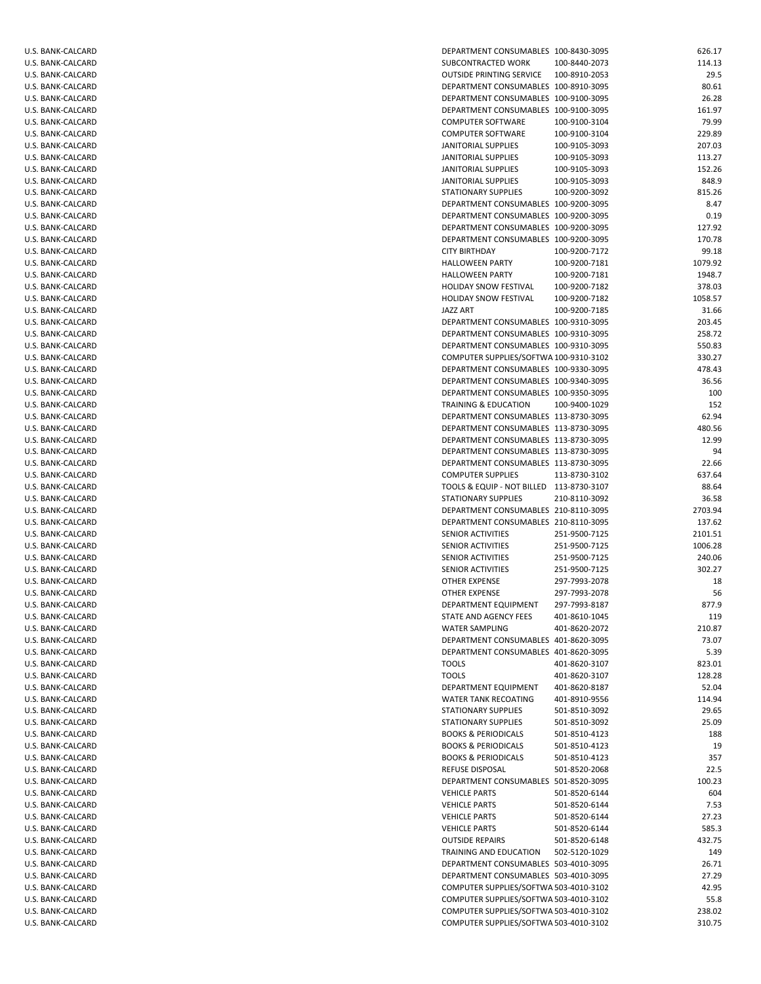| U.S. BANK-CALCARD | DEPARTMENT CONSUMABLES 100-8430-3095     |               | 626.17  |
|-------------------|------------------------------------------|---------------|---------|
| U.S. BANK-CALCARD | SUBCONTRACTED WORK                       | 100-8440-2073 | 114.13  |
| U.S. BANK-CALCARD | <b>OUTSIDE PRINTING SERVICE</b>          | 100-8910-2053 | 29.5    |
| U.S. BANK-CALCARD | DEPARTMENT CONSUMABLES 100-8910-3095     |               | 80.61   |
| U.S. BANK-CALCARD | DEPARTMENT CONSUMABLES 100-9100-3095     |               | 26.28   |
| U.S. BANK-CALCARD | DEPARTMENT CONSUMABLES 100-9100-3095     |               | 161.97  |
| U.S. BANK-CALCARD | <b>COMPUTER SOFTWARE</b>                 | 100-9100-3104 | 79.99   |
| U.S. BANK-CALCARD | <b>COMPUTER SOFTWARE</b>                 | 100-9100-3104 | 229.89  |
| U.S. BANK-CALCARD | JANITORIAL SUPPLIES                      | 100-9105-3093 | 207.03  |
| U.S. BANK-CALCARD | JANITORIAL SUPPLIES                      | 100-9105-3093 | 113.27  |
| U.S. BANK-CALCARD | JANITORIAL SUPPLIES                      | 100-9105-3093 | 152.26  |
| U.S. BANK-CALCARD | JANITORIAL SUPPLIES                      | 100-9105-3093 | 848.9   |
| U.S. BANK-CALCARD | STATIONARY SUPPLIES                      | 100-9200-3092 | 815.26  |
| U.S. BANK-CALCARD | DEPARTMENT CONSUMABLES 100-9200-3095     |               | 8.47    |
| U.S. BANK-CALCARD | DEPARTMENT CONSUMABLES 100-9200-3095     |               | 0.19    |
| U.S. BANK-CALCARD | DEPARTMENT CONSUMABLES 100-9200-3095     |               | 127.92  |
| U.S. BANK-CALCARD | DEPARTMENT CONSUMABLES 100-9200-3095     |               | 170.78  |
| U.S. BANK-CALCARD | <b>CITY BIRTHDAY</b>                     | 100-9200-7172 | 99.18   |
| U.S. BANK-CALCARD | <b>HALLOWEEN PARTY</b>                   | 100-9200-7181 | 1079.92 |
|                   |                                          |               | 1948.7  |
| U.S. BANK-CALCARD | <b>HALLOWEEN PARTY</b>                   | 100-9200-7181 |         |
| U.S. BANK-CALCARD | HOLIDAY SNOW FESTIVAL                    | 100-9200-7182 | 378.03  |
| U.S. BANK-CALCARD | <b>HOLIDAY SNOW FESTIVAL</b>             | 100-9200-7182 | 1058.57 |
| U.S. BANK-CALCARD | JAZZ ART                                 | 100-9200-7185 | 31.66   |
| U.S. BANK-CALCARD | DEPARTMENT CONSUMABLES 100-9310-3095     |               | 203.45  |
| U.S. BANK-CALCARD | DEPARTMENT CONSUMABLES 100-9310-3095     |               | 258.72  |
| U.S. BANK-CALCARD | DEPARTMENT CONSUMABLES 100-9310-3095     |               | 550.83  |
| U.S. BANK-CALCARD | COMPUTER SUPPLIES/SOFTWA 100-9310-3102   |               | 330.27  |
| U.S. BANK-CALCARD | DEPARTMENT CONSUMABLES 100-9330-3095     |               | 478.43  |
| U.S. BANK-CALCARD | DEPARTMENT CONSUMABLES 100-9340-3095     |               | 36.56   |
| U.S. BANK-CALCARD | DEPARTMENT CONSUMABLES 100-9350-3095     |               | 100     |
| U.S. BANK-CALCARD | TRAINING & EDUCATION                     | 100-9400-1029 | 152     |
| U.S. BANK-CALCARD | DEPARTMENT CONSUMABLES 113-8730-3095     |               | 62.94   |
| U.S. BANK-CALCARD | DEPARTMENT CONSUMABLES 113-8730-3095     |               | 480.56  |
| U.S. BANK-CALCARD | DEPARTMENT CONSUMABLES 113-8730-3095     |               | 12.99   |
| U.S. BANK-CALCARD | DEPARTMENT CONSUMABLES 113-8730-3095     |               | 94      |
| U.S. BANK-CALCARD | DEPARTMENT CONSUMABLES 113-8730-3095     |               | 22.66   |
| U.S. BANK-CALCARD | <b>COMPUTER SUPPLIES</b>                 | 113-8730-3102 | 637.64  |
| U.S. BANK-CALCARD | TOOLS & EQUIP - NOT BILLED 113-8730-3107 |               | 88.64   |
| U.S. BANK-CALCARD | STATIONARY SUPPLIES                      | 210-8110-3092 | 36.58   |
| U.S. BANK-CALCARD | DEPARTMENT CONSUMABLES 210-8110-3095     |               | 2703.94 |
| U.S. BANK-CALCARD | DEPARTMENT CONSUMABLES 210-8110-3095     |               | 137.62  |
| U.S. BANK-CALCARD | SENIOR ACTIVITIES                        | 251-9500-7125 | 2101.51 |
| U.S. BANK-CALCARD | <b>SENIOR ACTIVITIES</b>                 | 251-9500-7125 | 1006.28 |
| U.S. BANK-CALCARD | SENIOR ACTIVITIES                        | 251-9500-7125 | 240.06  |
| U.S. BANK-CALCARD | SENIOR ACTIVITIES                        | 251-9500-7125 | 302.27  |
| U.S. BANK-CALCARD | <b>OTHER EXPENSE</b>                     | 297-7993-2078 | 18      |
| U.S. BANK-CALCARD | OTHER EXPENSE                            | 297-7993-2078 | 56      |
| U.S. BANK-CALCARD | DEPARTMENT EQUIPMENT                     | 297-7993-8187 | 877.9   |
| U.S. BANK-CALCARD | STATE AND AGENCY FEES                    | 401-8610-1045 | 119     |
| U.S. BANK-CALCARD | <b>WATER SAMPLING</b>                    | 401-8620-2072 | 210.87  |
| U.S. BANK-CALCARD | DEPARTMENT CONSUMABLES 401-8620-3095     |               | 73.07   |
| U.S. BANK-CALCARD | DEPARTMENT CONSUMABLES 401-8620-3095     |               | 5.39    |
| U.S. BANK-CALCARD | TOOLS                                    | 401-8620-3107 | 823.01  |
| U.S. BANK-CALCARD | <b>TOOLS</b>                             | 401-8620-3107 | 128.28  |
|                   |                                          |               | 52.04   |
| U.S. BANK-CALCARD | DEPARTMENT EQUIPMENT                     | 401-8620-8187 |         |
| U.S. BANK-CALCARD | <b>WATER TANK RECOATING</b>              | 401-8910-9556 | 114.94  |
| U.S. BANK-CALCARD | STATIONARY SUPPLIES                      | 501-8510-3092 | 29.65   |
| U.S. BANK-CALCARD | STATIONARY SUPPLIES                      | 501-8510-3092 | 25.09   |
| U.S. BANK-CALCARD | <b>BOOKS &amp; PERIODICALS</b>           | 501-8510-4123 | 188     |
| U.S. BANK-CALCARD | <b>BOOKS &amp; PERIODICALS</b>           | 501-8510-4123 | 19      |
| U.S. BANK-CALCARD | <b>BOOKS &amp; PERIODICALS</b>           | 501-8510-4123 | 357     |
| U.S. BANK-CALCARD | REFUSE DISPOSAL                          | 501-8520-2068 | 22.5    |
| U.S. BANK-CALCARD | DEPARTMENT CONSUMABLES 501-8520-3095     |               | 100.23  |
| U.S. BANK-CALCARD | <b>VEHICLE PARTS</b>                     | 501-8520-6144 | 604     |
| U.S. BANK-CALCARD | <b>VEHICLE PARTS</b>                     | 501-8520-6144 | 7.53    |
| U.S. BANK-CALCARD | <b>VEHICLE PARTS</b>                     | 501-8520-6144 | 27.23   |
| U.S. BANK-CALCARD | <b>VEHICLE PARTS</b>                     | 501-8520-6144 | 585.3   |
| U.S. BANK-CALCARD | <b>OUTSIDE REPAIRS</b>                   | 501-8520-6148 | 432.75  |
| U.S. BANK-CALCARD | TRAINING AND EDUCATION                   | 502-5120-1029 | 149     |
| U.S. BANK-CALCARD | DEPARTMENT CONSUMABLES 503-4010-3095     |               | 26.71   |
| U.S. BANK-CALCARD | DEPARTMENT CONSUMABLES 503-4010-3095     |               | 27.29   |
| U.S. BANK-CALCARD | COMPUTER SUPPLIES/SOFTWA 503-4010-3102   |               | 42.95   |
| U.S. BANK-CALCARD | COMPUTER SUPPLIES/SOFTWA 503-4010-3102   |               | 55.8    |
| U.S. BANK-CALCARD | COMPUTER SUPPLIES/SOFTWA 503-4010-3102   |               | 238.02  |
| U.S. BANK-CALCARD | COMPUTER SUPPLIES/SOFTWA 503-4010-3102   |               | 310.75  |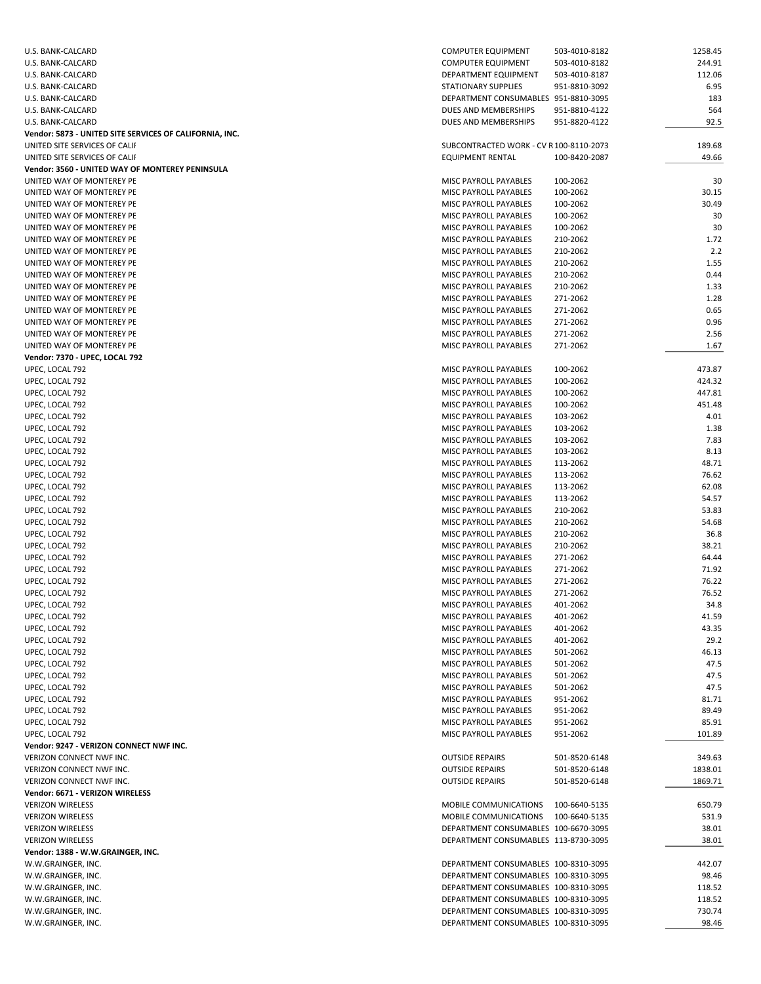| U.S. BANK-CALCARD                                       | COMPUTER EQUIPMENT                      | 503-4010-8182 | 1258.45 |
|---------------------------------------------------------|-----------------------------------------|---------------|---------|
| U.S. BANK-CALCARD                                       | <b>COMPUTER EQUIPMENT</b>               | 503-4010-8182 | 244.91  |
| U.S. BANK-CALCARD                                       | DEPARTMENT EQUIPMENT                    | 503-4010-8187 | 112.06  |
| U.S. BANK-CALCARD                                       | STATIONARY SUPPLIES                     | 951-8810-3092 | 6.95    |
| U.S. BANK-CALCARD                                       | DEPARTMENT CONSUMABLES 951-8810-3095    |               | 183     |
| U.S. BANK-CALCARD                                       | DUES AND MEMBERSHIPS                    | 951-8810-4122 | 564     |
| U.S. BANK-CALCARD                                       | DUES AND MEMBERSHIPS                    | 951-8820-4122 | 92.5    |
| Vendor: 5873 - UNITED SITE SERVICES OF CALIFORNIA, INC. |                                         |               |         |
| UNITED SITE SERVICES OF CALIF                           | SUBCONTRACTED WORK - CV R 100-8110-2073 |               | 189.68  |
| UNITED SITE SERVICES OF CALIF                           | <b>EQUIPMENT RENTAL</b>                 | 100-8420-2087 | 49.66   |
| Vendor: 3560 - UNITED WAY OF MONTEREY PENINSULA         |                                         |               |         |
| UNITED WAY OF MONTEREY PE                               | MISC PAYROLL PAYABLES                   | 100-2062      | 30      |
| UNITED WAY OF MONTEREY PE                               | MISC PAYROLL PAYABLES                   | 100-2062      | 30.15   |
| UNITED WAY OF MONTEREY PE                               | <b>MISC PAYROLL PAYABLES</b>            | 100-2062      | 30.49   |
| UNITED WAY OF MONTEREY PE                               | MISC PAYROLL PAYABLES                   | 100-2062      | 30      |
| UNITED WAY OF MONTEREY PE                               | MISC PAYROLL PAYABLES                   | 100-2062      | 30      |
| UNITED WAY OF MONTEREY PE                               | MISC PAYROLL PAYABLES                   | 210-2062      | 1.72    |
| UNITED WAY OF MONTEREY PE                               | MISC PAYROLL PAYABLES                   | 210-2062      | 2.2     |
| UNITED WAY OF MONTEREY PE                               | MISC PAYROLL PAYABLES                   | 210-2062      | 1.55    |
| UNITED WAY OF MONTEREY PE                               | MISC PAYROLL PAYABLES                   | 210-2062      | 0.44    |
| UNITED WAY OF MONTEREY PE                               | MISC PAYROLL PAYABLES                   |               | 1.33    |
| UNITED WAY OF MONTEREY PE                               | MISC PAYROLL PAYABLES                   | 210-2062      | 1.28    |
|                                                         |                                         | 271-2062      |         |
| UNITED WAY OF MONTEREY PE                               | MISC PAYROLL PAYABLES                   | 271-2062      | 0.65    |
| UNITED WAY OF MONTEREY PE                               | MISC PAYROLL PAYABLES                   | 271-2062      | 0.96    |
| UNITED WAY OF MONTEREY PE                               | MISC PAYROLL PAYABLES                   | 271-2062      | 2.56    |
| UNITED WAY OF MONTEREY PE                               | MISC PAYROLL PAYABLES                   | 271-2062      | 1.67    |
| Vendor: 7370 - UPEC, LOCAL 792                          |                                         |               |         |
| UPEC, LOCAL 792                                         | MISC PAYROLL PAYABLES                   | 100-2062      | 473.87  |
| UPEC, LOCAL 792                                         | MISC PAYROLL PAYABLES                   | 100-2062      | 424.32  |
| UPEC, LOCAL 792                                         | MISC PAYROLL PAYABLES                   | 100-2062      | 447.81  |
| UPEC, LOCAL 792                                         | MISC PAYROLL PAYABLES                   | 100-2062      | 451.48  |
| UPEC, LOCAL 792                                         | MISC PAYROLL PAYABLES                   | 103-2062      | 4.01    |
| UPEC, LOCAL 792                                         | MISC PAYROLL PAYABLES                   | 103-2062      | 1.38    |
| UPEC, LOCAL 792                                         | MISC PAYROLL PAYABLES                   | 103-2062      | 7.83    |
| UPEC, LOCAL 792                                         | MISC PAYROLL PAYABLES                   | 103-2062      | 8.13    |
| UPEC, LOCAL 792                                         | MISC PAYROLL PAYABLES                   | 113-2062      | 48.71   |
| UPEC, LOCAL 792                                         | MISC PAYROLL PAYABLES                   | 113-2062      | 76.62   |
| UPEC, LOCAL 792                                         | MISC PAYROLL PAYABLES                   | 113-2062      | 62.08   |
| UPEC, LOCAL 792                                         | MISC PAYROLL PAYABLES                   | 113-2062      | 54.57   |
| UPEC, LOCAL 792                                         | MISC PAYROLL PAYABLES                   | 210-2062      | 53.83   |
| UPEC, LOCAL 792                                         | MISC PAYROLL PAYABLES                   | 210-2062      | 54.68   |
| UPEC, LOCAL 792                                         | MISC PAYROLL PAYABLES                   | 210-2062      | 36.8    |
| UPEC, LOCAL 792                                         | MISC PAYROLL PAYABLES                   | 210-2062      | 38.21   |
| UPEC, LOCAL 792                                         | MISC PAYROLL PAYABLES                   | 271-2062      | 64.44   |
| UPEC, LOCAL 792                                         | MISC PAYROLL PAYABLES                   | 271-2062      | 71.92   |
| UPEC, LOCAL 792                                         | MISC PAYROLL PAYABLES                   | 271-2062      | 76.22   |
| UPEC, LOCAL 792                                         | MISC PAYROLL PAYABLES                   | 271-2062      | 76.52   |
| UPEC, LOCAL 792                                         | MISC PAYROLL PAYABLES                   | 401-2062      | 34.8    |
| UPEC, LOCAL 792                                         | MISC PAYROLL PAYABLES                   | 401-2062      | 41.59   |
| UPEC, LOCAL 792                                         | MISC PAYROLL PAYABLES                   | 401-2062      | 43.35   |
| UPEC, LOCAL 792                                         | MISC PAYROLL PAYABLES                   | 401-2062      | 29.2    |
| UPEC, LOCAL 792                                         | MISC PAYROLL PAYABLES                   | 501-2062      | 46.13   |
| UPEC, LOCAL 792                                         | MISC PAYROLL PAYABLES                   | 501-2062      | 47.5    |
| UPEC, LOCAL 792                                         | MISC PAYROLL PAYABLES                   | 501-2062      | 47.5    |
| UPEC, LOCAL 792                                         | MISC PAYROLL PAYABLES                   | 501-2062      | 47.5    |
| UPEC, LOCAL 792                                         | MISC PAYROLL PAYABLES                   | 951-2062      | 81.71   |
| UPEC, LOCAL 792                                         | MISC PAYROLL PAYABLES                   | 951-2062      | 89.49   |
| UPEC, LOCAL 792                                         | MISC PAYROLL PAYABLES                   | 951-2062      | 85.91   |
| UPEC, LOCAL 792                                         |                                         |               |         |
|                                                         | MISC PAYROLL PAYABLES                   | 951-2062      | 101.89  |
| Vendor: 9247 - VERIZON CONNECT NWF INC.                 |                                         |               |         |
| VERIZON CONNECT NWF INC.                                | <b>OUTSIDE REPAIRS</b>                  | 501-8520-6148 | 349.63  |
| VERIZON CONNECT NWF INC.                                | <b>OUTSIDE REPAIRS</b>                  | 501-8520-6148 | 1838.01 |
| VERIZON CONNECT NWF INC.                                | <b>OUTSIDE REPAIRS</b>                  | 501-8520-6148 | 1869.71 |
| Vendor: 6671 - VERIZON WIRELESS                         |                                         |               |         |
| <b>VERIZON WIRELESS</b>                                 | MOBILE COMMUNICATIONS                   | 100-6640-5135 | 650.79  |
| <b>VERIZON WIRELESS</b>                                 | MOBILE COMMUNICATIONS 100-6640-5135     |               | 531.9   |
| <b>VERIZON WIRELESS</b>                                 | DEPARTMENT CONSUMABLES 100-6670-3095    |               | 38.01   |
| <b>VERIZON WIRELESS</b>                                 | DEPARTMENT CONSUMABLES 113-8730-3095    |               | 38.01   |
| Vendor: 1388 - W.W.GRAINGER, INC.                       |                                         |               |         |
| W.W.GRAINGER, INC.                                      | DEPARTMENT CONSUMABLES 100-8310-3095    |               | 442.07  |
| W.W.GRAINGER, INC.                                      | DEPARTMENT CONSUMABLES 100-8310-3095    |               | 98.46   |
| W.W.GRAINGER, INC.                                      | DEPARTMENT CONSUMABLES 100-8310-3095    |               | 118.52  |
| W.W.GRAINGER, INC.                                      | DEPARTMENT CONSUMABLES 100-8310-3095    |               | 118.52  |
| W.W.GRAINGER, INC.                                      | DEPARTMENT CONSUMABLES 100-8310-3095    |               | 730.74  |
| W.W.GRAINGER, INC.                                      | DEPARTMENT CONSUMABLES 100-8310-3095    |               | 98.46   |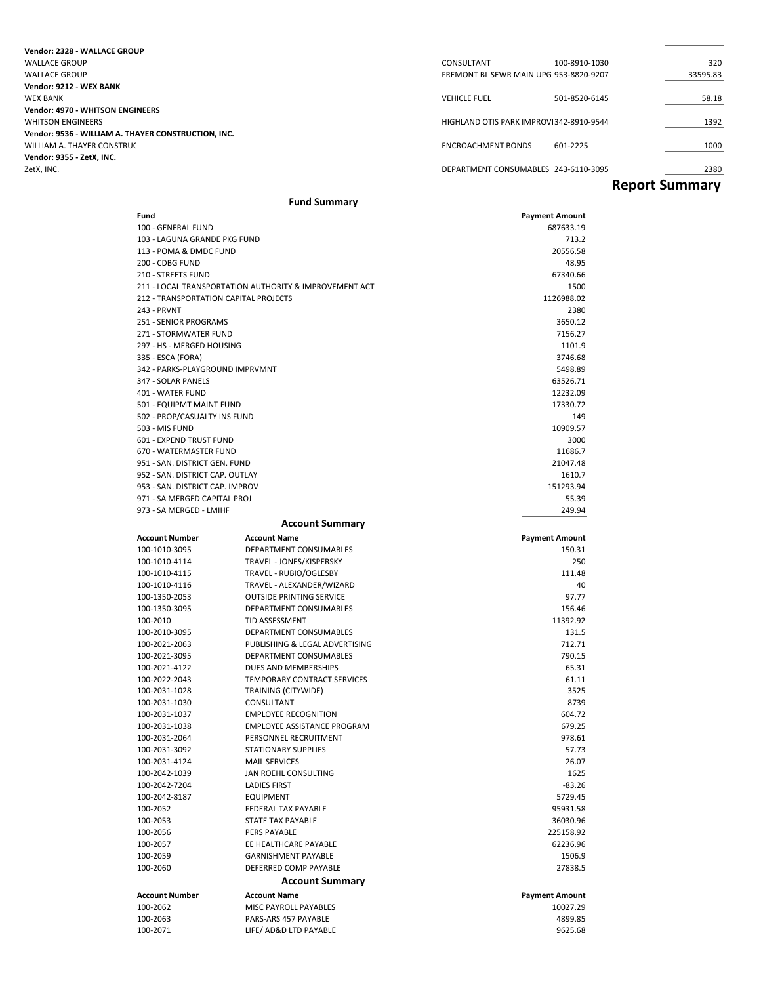| Vendor: 2328 - WALLACE GROUP                        |                                         |               |                       |
|-----------------------------------------------------|-----------------------------------------|---------------|-----------------------|
| <b>WALLACE GROUP</b>                                | CONSULTANT                              | 100-8910-1030 | 320                   |
| <b>WALLACE GROUP</b>                                | FREMONT BL SEWR MAIN UPG 953-8820-9207  |               | 33595.83              |
| Vendor: 9212 - WEX BANK                             |                                         |               |                       |
| <b>WEX BANK</b>                                     | <b>VEHICLE FUEL</b>                     | 501-8520-6145 | 58.18                 |
| <b>Vendor: 4970 - WHITSON ENGINEERS</b>             |                                         |               |                       |
| <b>WHITSON ENGINEERS</b>                            | HIGHLAND OTIS PARK IMPROVI342-8910-9544 |               | 1392                  |
| Vendor: 9536 - WILLIAM A. THAYER CONSTRUCTION, INC. |                                         |               |                       |
| WILLIAM A. THAYER CONSTRUC                          | <b>ENCROACHMENT BONDS</b>               | 601-2225      | 1000                  |
| Vendor: 9355 - ZetX. INC.                           |                                         |               |                       |
| ZetX, INC.                                          | DEPARTMENT CONSUMABLES 243-6110-3095    |               | 2380                  |
|                                                     |                                         |               | <b>Report Summary</b> |

### **Fund Summary**

| Fund                                                             |                                                              | <b>Payment Amount</b> |
|------------------------------------------------------------------|--------------------------------------------------------------|-----------------------|
| 100 - GENERAL FUND                                               |                                                              | 687633.19             |
| 103 - LAGUNA GRANDE PKG FUND                                     |                                                              | 713.2                 |
| 113 - POMA & DMDC FUND                                           |                                                              | 20556.58              |
| 200 - CDBG FUND                                                  |                                                              | 48.95                 |
| 210 - STREETS FUND                                               |                                                              | 67340.66              |
|                                                                  | 211 - LOCAL TRANSPORTATION AUTHORITY & IMPROVEMENT ACT       | 1500                  |
| 212 - TRANSPORTATION CAPITAL PROJECTS                            |                                                              | 1126988.02            |
| 243 - PRVNT                                                      |                                                              | 2380                  |
| 251 - SENIOR PROGRAMS                                            |                                                              | 3650.12               |
| 271 - STORMWATER FUND                                            |                                                              | 7156.27               |
| 297 - HS - MERGED HOUSING                                        |                                                              | 1101.9                |
| 335 - ESCA (FORA)                                                |                                                              | 3746.68               |
| 342 - PARKS-PLAYGROUND IMPRVMNT                                  |                                                              | 5498.89               |
| 347 - SOLAR PANELS                                               |                                                              | 63526.71              |
| 401 - WATER FUND                                                 |                                                              | 12232.09              |
| 501 - EQUIPMT MAINT FUND                                         |                                                              | 17330.72              |
| 502 - PROP/CASUALTY INS FUND                                     |                                                              | 149                   |
| 503 - MIS FUND                                                   |                                                              | 10909.57              |
| 601 - EXPEND TRUST FUND                                          |                                                              | 3000                  |
| 670 - WATERMASTER FUND                                           |                                                              | 11686.7               |
| 951 - SAN. DISTRICT GEN. FUND<br>952 - SAN. DISTRICT CAP. OUTLAY |                                                              | 21047.48<br>1610.7    |
| 953 - SAN. DISTRICT CAP. IMPROV                                  |                                                              | 151293.94             |
| 971 - SA MERGED CAPITAL PROJ                                     |                                                              | 55.39                 |
| 973 - SA MERGED - LMIHF                                          |                                                              | 249.94                |
|                                                                  |                                                              |                       |
|                                                                  | <b>Account Summary</b>                                       |                       |
| <b>Account Number</b>                                            | <b>Account Name</b>                                          | <b>Payment Amount</b> |
| 100-1010-3095                                                    | DEPARTMENT CONSUMABLES                                       | 150.31                |
| 100-1010-4114                                                    | TRAVEL - JONES/KISPERSKY                                     | 250                   |
| 100-1010-4115                                                    | TRAVEL - RUBIO/OGLESBY                                       | 111.48<br>40          |
| 100-1010-4116<br>100-1350-2053                                   | TRAVEL - ALEXANDER/WIZARD<br><b>OUTSIDE PRINTING SERVICE</b> | 97.77                 |
| 100-1350-3095                                                    | DEPARTMENT CONSUMABLES                                       | 156.46                |
| 100-2010                                                         | <b>TID ASSESSMENT</b>                                        | 11392.92              |
| 100-2010-3095                                                    | DEPARTMENT CONSUMABLES                                       | 131.5                 |
| 100-2021-2063                                                    | PUBLISHING & LEGAL ADVERTISING                               | 712.71                |
| 100-2021-3095                                                    | DEPARTMENT CONSUMABLES                                       | 790.15                |
| 100-2021-4122                                                    | DUES AND MEMBERSHIPS                                         | 65.31                 |
| 100-2022-2043                                                    | TEMPORARY CONTRACT SERVICES                                  | 61.11                 |
| 100-2031-1028                                                    | <b>TRAINING (CITYWIDE)</b>                                   | 3525                  |
| 100-2031-1030                                                    | CONSULTANT                                                   | 8739                  |
| 100-2031-1037                                                    | <b>EMPLOYEE RECOGNITION</b>                                  | 604.72                |
| 100-2031-1038                                                    | EMPLOYEE ASSISTANCE PROGRAM                                  | 679.25                |
| 100-2031-2064                                                    | PERSONNEL RECRUITMENT                                        | 978.61                |
| 100-2031-3092                                                    | <b>STATIONARY SUPPLIES</b>                                   | 57.73                 |
| 100-2031-4124                                                    | <b>MAIL SERVICES</b>                                         | 26.07                 |
| 100-2042-1039                                                    | JAN ROEHL CONSULTING                                         | 1625                  |
| 100-2042-7204                                                    | <b>LADIES FIRST</b>                                          | $-83.26$              |
| 100-2042-8187                                                    | EQUIPMENT                                                    | 5729.45               |
| 100-2052                                                         | FEDERAL TAX PAYABLE                                          | 95931.58              |
| 100-2053                                                         | STATE TAX PAYABLE                                            | 36030.96              |
| 100-2056                                                         | PERS PAYABLE                                                 | 225158.92             |
| 100-2057                                                         | EE HEALTHCARE PAYABLE                                        | 62236.96              |
| 100-2059                                                         | <b>GARNISHMENT PAYABLE</b>                                   | 1506.9                |
| 100-2060                                                         | DEFERRED COMP PAYABLE                                        | 27838.5               |
|                                                                  | <b>Account Summary</b>                                       |                       |
| <b>Account Number</b>                                            | <b>Account Name</b>                                          | <b>Payment Amount</b> |
| 100-2062                                                         | MISC PAYROLL PAYABLES                                        | 10027.29              |
| 100-2063                                                         | PARS-ARS 457 PAYABLE                                         | 4899.85               |
| 100-2071                                                         | LIFE/ AD&D LTD PAYABLE                                       | 9625.68               |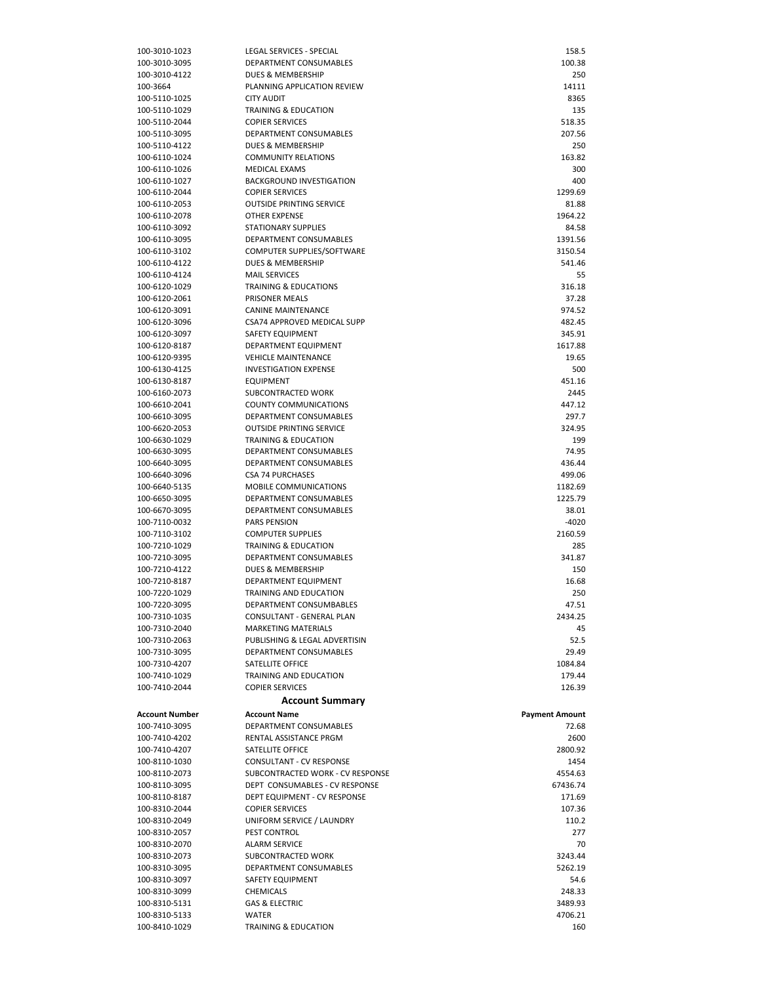| 100-3010-1023         | LEGAL SERVICES - SPECIAL         | 158.5                 |
|-----------------------|----------------------------------|-----------------------|
| 100-3010-3095         | DEPARTMENT CONSUMABLES           | 100.38                |
| 100-3010-4122         | DUES & MEMBERSHIP                | 250                   |
| 100-3664              | PLANNING APPLICATION REVIEW      | 14111                 |
| 100-5110-1025         | <b>CITY AUDIT</b>                | 8365                  |
| 100-5110-1029         | <b>TRAINING &amp; EDUCATION</b>  | 135                   |
| 100-5110-2044         | <b>COPIER SERVICES</b>           | 518.35                |
| 100-5110-3095         | DEPARTMENT CONSUMABLES           | 207.56                |
| 100-5110-4122         | DUES & MEMBERSHIP                | 250                   |
| 100-6110-1024         | <b>COMMUNITY RELATIONS</b>       | 163.82                |
|                       |                                  |                       |
| 100-6110-1026         | <b>MEDICAL EXAMS</b>             | 300                   |
| 100-6110-1027         | BACKGROUND INVESTIGATION         | 400                   |
| 100-6110-2044         | <b>COPIER SERVICES</b>           | 1299.69               |
| 100-6110-2053         | <b>OUTSIDE PRINTING SERVICE</b>  | 81.88                 |
| 100-6110-2078         | <b>OTHER EXPENSE</b>             | 1964.22               |
| 100-6110-3092         | <b>STATIONARY SUPPLIES</b>       | 84.58                 |
| 100-6110-3095         | DEPARTMENT CONSUMABLES           | 1391.56               |
| 100-6110-3102         | COMPUTER SUPPLIES/SOFTWARE       | 3150.54               |
| 100-6110-4122         | DUES & MEMBERSHIP                | 541.46                |
| 100-6110-4124         | <b>MAIL SERVICES</b>             | 55                    |
| 100-6120-1029         | <b>TRAINING &amp; EDUCATIONS</b> | 316.18                |
| 100-6120-2061         | PRISONER MEALS                   | 37.28                 |
| 100-6120-3091         | <b>CANINE MAINTENANCE</b>        | 974.52                |
| 100-6120-3096         | CSA74 APPROVED MEDICAL SUPP      | 482.45                |
| 100-6120-3097         | SAFETY EQUIPMENT                 | 345.91                |
| 100-6120-8187         | DEPARTMENT EQUIPMENT             | 1617.88               |
| 100-6120-9395         | <b>VEHICLE MAINTENANCE</b>       | 19.65                 |
| 100-6130-4125         |                                  |                       |
|                       | <b>INVESTIGATION EXPENSE</b>     | 500                   |
| 100-6130-8187         | <b>EQUIPMENT</b>                 | 451.16                |
| 100-6160-2073         | SUBCONTRACTED WORK               | 2445                  |
| 100-6610-2041         | <b>COUNTY COMMUNICATIONS</b>     | 447.12                |
| 100-6610-3095         | DEPARTMENT CONSUMABLES           | 297.7                 |
| 100-6620-2053         | <b>OUTSIDE PRINTING SERVICE</b>  | 324.95                |
| 100-6630-1029         | <b>TRAINING &amp; EDUCATION</b>  | 199                   |
| 100-6630-3095         | DEPARTMENT CONSUMABLES           | 74.95                 |
| 100-6640-3095         | DEPARTMENT CONSUMABLES           | 436.44                |
| 100-6640-3096         | <b>CSA 74 PURCHASES</b>          | 499.06                |
| 100-6640-5135         | MOBILE COMMUNICATIONS            | 1182.69               |
| 100-6650-3095         | DEPARTMENT CONSUMABLES           | 1225.79               |
| 100-6670-3095         | DEPARTMENT CONSUMABLES           | 38.01                 |
| 100-7110-0032         | <b>PARS PENSION</b>              | -4020                 |
| 100-7110-3102         | <b>COMPUTER SUPPLIES</b>         | 2160.59               |
| 100-7210-1029         | <b>TRAINING &amp; EDUCATION</b>  | 285                   |
| 100-7210-3095         | DEPARTMENT CONSUMABLES           | 341.87                |
| 100-7210-4122         | DUES & MEMBERSHIP                | 150                   |
| 100-7210-8187         | DEPARTMENT EQUIPMENT             | 16.68                 |
| 100-7220-1029         |                                  | 250                   |
|                       | TRAINING AND EDUCATION           |                       |
| 100-7220-3095         | DEPARTMENT CONSUMBABLES          | 47.51                 |
| 100-7310-1035         | CONSULTANT - GENERAL PLAN        | 2434.25               |
| 100-7310-2040         | <b>MARKETING MATERIALS</b>       | 45                    |
| 100-7310-2063         | PUBLISHING & LEGAL ADVERTISIN    | 52.5                  |
| 100-7310-3095         | DEPARTMENT CONSUMABLES           | 29.49                 |
| 100-7310-4207         | SATELLITE OFFICE                 | 1084.84               |
| 100-7410-1029         | TRAINING AND EDUCATION           | 179.44                |
| 100-7410-2044         | <b>COPIER SERVICES</b>           | 126.39                |
|                       | <b>Account Summary</b>           |                       |
| <b>Account Number</b> | <b>Account Name</b>              | <b>Payment Amount</b> |
| 100-7410-3095         | DEPARTMENT CONSUMABLES           | 72.68                 |
| 100-7410-4202         |                                  |                       |
|                       | RENTAL ASSISTANCE PRGM           | 2600                  |
| 100-7410-4207         | SATELLITE OFFICE                 | 2800.92               |
| 100-8110-1030         | CONSULTANT - CV RESPONSE         | 1454                  |
| 100-8110-2073         | SUBCONTRACTED WORK - CV RESPONSE | 4554.63               |
| 100-8110-3095         | DEPT CONSUMABLES - CV RESPONSE   | 67436.74              |
| 100-8110-8187         | DEPT EQUIPMENT - CV RESPONSE     | 171.69                |
| 100-8310-2044         | <b>COPIER SERVICES</b>           | 107.36                |
| 100-8310-2049         | UNIFORM SERVICE / LAUNDRY        | 110.2                 |
| 100-8310-2057         | PEST CONTROL                     | 277                   |
| 100-8310-2070         | <b>ALARM SERVICE</b>             | 70                    |
| 100-8310-2073         | SUBCONTRACTED WORK               | 3243.44               |
| 100-8310-3095         | DEPARTMENT CONSUMABLES           | 5262.19               |
| 100-8310-3097         | SAFETY EQUIPMENT                 | 54.6                  |
| 100-8310-3099         | CHEMICALS                        | 248.33                |
| 100-8310-5131         | <b>GAS &amp; ELECTRIC</b>        | 3489.93               |
| 100-8310-5133         | WATER                            | 4706.21               |
|                       | TRAINING & EDUCATION             | 160                   |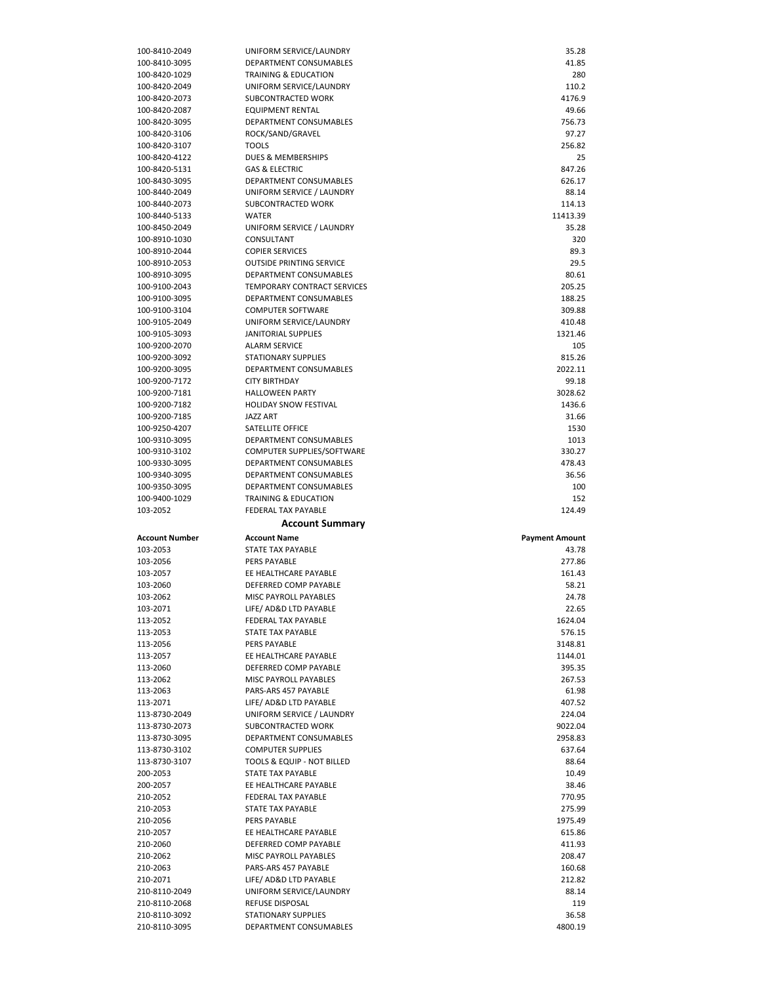| 100-8410-2049         | UNIFORM SERVICE/LAUNDRY         | 35.28                 |
|-----------------------|---------------------------------|-----------------------|
| 100-8410-3095         | DEPARTMENT CONSUMABLES          | 41.85                 |
| 100-8420-1029         | <b>TRAINING &amp; EDUCATION</b> | 280                   |
| 100-8420-2049         | UNIFORM SERVICE/LAUNDRY         | 110.2                 |
| 100-8420-2073         | SUBCONTRACTED WORK              | 4176.9                |
|                       |                                 |                       |
| 100-8420-2087         | <b>EQUIPMENT RENTAL</b>         | 49.66                 |
| 100-8420-3095         | DEPARTMENT CONSUMABLES          | 756.73                |
| 100-8420-3106         | ROCK/SAND/GRAVEL                | 97.27                 |
| 100-8420-3107         | <b>TOOLS</b>                    | 256.82                |
| 100-8420-4122         | DUES & MEMBERSHIPS              | 25                    |
| 100-8420-5131         | <b>GAS &amp; ELECTRIC</b>       | 847.26                |
| 100-8430-3095         | DEPARTMENT CONSUMABLES          | 626.17                |
|                       |                                 |                       |
| 100-8440-2049         | UNIFORM SERVICE / LAUNDRY       | 88.14                 |
| 100-8440-2073         | <b>SUBCONTRACTED WORK</b>       | 114.13                |
| 100-8440-5133         | <b>WATER</b>                    | 11413.39              |
| 100-8450-2049         | UNIFORM SERVICE / LAUNDRY       | 35.28                 |
| 100-8910-1030         | CONSULTANT                      | 320                   |
| 100-8910-2044         | <b>COPIER SERVICES</b>          | 89.3                  |
| 100-8910-2053         | <b>OUTSIDE PRINTING SERVICE</b> | 29.5                  |
|                       | DEPARTMENT CONSUMABLES          | 80.61                 |
| 100-8910-3095         |                                 |                       |
| 100-9100-2043         | TEMPORARY CONTRACT SERVICES     | 205.25                |
| 100-9100-3095         | <b>DEPARTMENT CONSUMABLES</b>   | 188.25                |
| 100-9100-3104         | <b>COMPUTER SOFTWARE</b>        | 309.88                |
| 100-9105-2049         | UNIFORM SERVICE/LAUNDRY         | 410.48                |
| 100-9105-3093         | <b>JANITORIAL SUPPLIES</b>      | 1321.46               |
| 100-9200-2070         | <b>ALARM SERVICE</b>            | 105                   |
| 100-9200-3092         | <b>STATIONARY SUPPLIES</b>      | 815.26                |
|                       |                                 |                       |
| 100-9200-3095         | DEPARTMENT CONSUMABLES          | 2022.11               |
| 100-9200-7172         | <b>CITY BIRTHDAY</b>            | 99.18                 |
| 100-9200-7181         | <b>HALLOWEEN PARTY</b>          | 3028.62               |
| 100-9200-7182         | <b>HOLIDAY SNOW FESTIVAL</b>    | 1436.6                |
| 100-9200-7185         | <b>JAZZ ART</b>                 | 31.66                 |
| 100-9250-4207         | SATELLITE OFFICE                | 1530                  |
| 100-9310-3095         | DEPARTMENT CONSUMABLES          | 1013                  |
|                       |                                 |                       |
| 100-9310-3102         | COMPUTER SUPPLIES/SOFTWARE      | 330.27                |
| 100-9330-3095         | DEPARTMENT CONSUMABLES          | 478.43                |
| 100-9340-3095         | DEPARTMENT CONSUMABLES          | 36.56                 |
|                       |                                 |                       |
| 100-9350-3095         | DEPARTMENT CONSUMABLES          | 100                   |
| 100-9400-1029         | <b>TRAINING &amp; EDUCATION</b> | 152                   |
| 103-2052              | FEDERAL TAX PAYABLE             | 124.49                |
|                       |                                 |                       |
|                       | <b>Account Summary</b>          |                       |
| <b>Account Number</b> | <b>Account Name</b>             | <b>Payment Amount</b> |
| 103-2053              | <b>STATE TAX PAYABLE</b>        | 43.78                 |
| 103-2056              | <b>PERS PAYABLE</b>             | 277.86                |
| 103-2057              | EE HEALTHCARE PAYABLE           | 161.43                |
|                       |                                 |                       |
| 103-2060              | DEFERRED COMP PAYABLE           | 58.21                 |
| 103-2062              | MISC PAYROLL PAYABLES           | 24.78                 |
| 103-2071              | LIFE/ AD&D LTD PAYABLE          | 22.65                 |
| 113-2052              | FEDERAL TAX PAYABLE             | 1624.04               |
| 113-2053              | STATE TAX PAYABLE               | 576.15                |
| 113-2056              | PERS PAYABLE                    | 3148.81               |
| 113-2057              | EE HEALTHCARE PAYABLE           | 1144.01               |
| 113-2060              |                                 | 395.35                |
|                       | DEFERRED COMP PAYABLE           |                       |
| 113-2062              | MISC PAYROLL PAYABLES           | 267.53                |
| 113-2063              | PARS-ARS 457 PAYABLE            | 61.98                 |
| 113-2071              | LIFE/ AD&D LTD PAYABLE          | 407.52                |
| 113-8730-2049         | UNIFORM SERVICE / LAUNDRY       | 224.04                |
| 113-8730-2073         | SUBCONTRACTED WORK              | 9022.04               |
| 113-8730-3095         | DEPARTMENT CONSUMABLES          | 2958.83               |
| 113-8730-3102         | <b>COMPUTER SUPPLIES</b>        | 637.64                |
|                       |                                 |                       |
| 113-8730-3107         | TOOLS & EQUIP - NOT BILLED      | 88.64                 |
| 200-2053              | STATE TAX PAYABLE               | 10.49                 |
| 200-2057              | EE HEALTHCARE PAYABLE           | 38.46                 |
| 210-2052              | FEDERAL TAX PAYABLE             | 770.95                |
| 210-2053              | STATE TAX PAYABLE               | 275.99                |
| 210-2056              | PERS PAYABLE                    | 1975.49               |
| 210-2057              | EE HEALTHCARE PAYABLE           | 615.86                |
| 210-2060              | DEFERRED COMP PAYABLE           | 411.93                |
|                       |                                 |                       |
| 210-2062              | MISC PAYROLL PAYABLES           | 208.47                |
| 210-2063              | PARS-ARS 457 PAYABLE            | 160.68                |
| 210-2071              | LIFE/ AD&D LTD PAYABLE          | 212.82                |
| 210-8110-2049         | UNIFORM SERVICE/LAUNDRY         | 88.14                 |
| 210-8110-2068         | REFUSE DISPOSAL                 | 119                   |
| 210-8110-3092         | STATIONARY SUPPLIES             | 36.58                 |
| 210-8110-3095         | DEPARTMENT CONSUMABLES          | 4800.19               |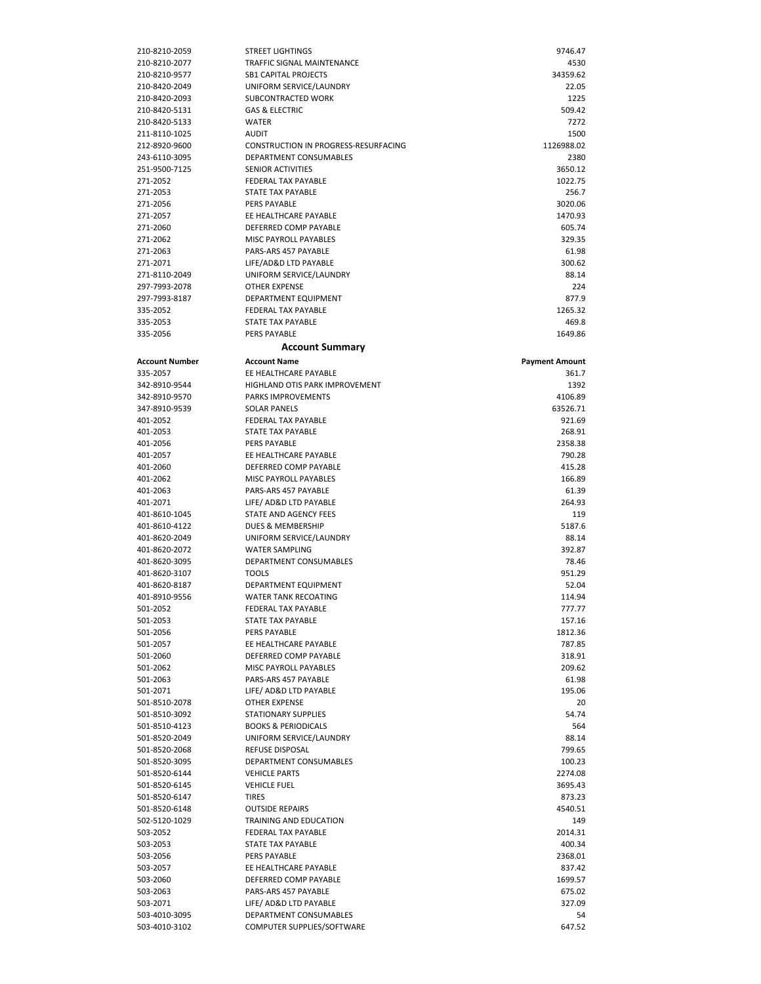| 210-8210-2059                  | <b>STREET LIGHTINGS</b>                          | 9746.47               |
|--------------------------------|--------------------------------------------------|-----------------------|
| 210-8210-2077                  | TRAFFIC SIGNAL MAINTENANCE                       | 4530                  |
| 210-8210-9577                  | <b>SB1 CAPITAL PROJECTS</b>                      | 34359.62              |
| 210-8420-2049                  | UNIFORM SERVICE/LAUNDRY                          | 22.05                 |
| 210-8420-2093                  | SUBCONTRACTED WORK                               | 1225                  |
| 210-8420-5131<br>210-8420-5133 | <b>GAS &amp; ELECTRIC</b><br><b>WATER</b>        | 509.42<br>7272        |
| 211-8110-1025                  | <b>AUDIT</b>                                     | 1500                  |
| 212-8920-9600                  | CONSTRUCTION IN PROGRESS-RESURFACING             | 1126988.02            |
| 243-6110-3095                  | DEPARTMENT CONSUMABLES                           | 2380                  |
| 251-9500-7125                  | <b>SENIOR ACTIVITIES</b>                         | 3650.12               |
| 271-2052                       | FEDERAL TAX PAYABLE                              | 1022.75               |
| 271-2053                       | <b>STATE TAX PAYABLE</b>                         | 256.7                 |
| 271-2056                       | <b>PERS PAYABLE</b>                              | 3020.06               |
| 271-2057                       | EE HEALTHCARE PAYABLE                            | 1470.93               |
| 271-2060                       | DEFERRED COMP PAYABLE                            | 605.74                |
| 271-2062                       | MISC PAYROLL PAYABLES                            | 329.35                |
| 271-2063                       | PARS-ARS 457 PAYABLE                             | 61.98                 |
| 271-2071                       | LIFE/AD&D LTD PAYABLE                            | 300.62                |
| 271-8110-2049                  | UNIFORM SERVICE/LAUNDRY                          | 88.14                 |
| 297-7993-2078                  | <b>OTHER EXPENSE</b>                             | 224                   |
| 297-7993-8187                  | DEPARTMENT EQUIPMENT                             | 877.9                 |
| 335-2052                       | FEDERAL TAX PAYABLE                              | 1265.32               |
| 335-2053                       | STATE TAX PAYABLE                                | 469.8                 |
| 335-2056                       | <b>PERS PAYABLE</b>                              | 1649.86               |
|                                | <b>Account Summary</b>                           |                       |
| <b>Account Number</b>          | <b>Account Name</b>                              | <b>Payment Amount</b> |
| 335-2057                       | EE HEALTHCARE PAYABLE                            | 361.7                 |
| 342-8910-9544                  | <b>HIGHLAND OTIS PARK IMPROVEMENT</b>            | 1392                  |
| 342-8910-9570                  | <b>PARKS IMPROVEMENTS</b>                        | 4106.89               |
| 347-8910-9539                  | <b>SOLAR PANELS</b>                              | 63526.71              |
| 401-2052                       | <b>FEDERAL TAX PAYABLE</b>                       | 921.69                |
| 401-2053                       | <b>STATE TAX PAYABLE</b>                         | 268.91                |
| 401-2056                       | <b>PERS PAYABLE</b>                              | 2358.38               |
| 401-2057                       | EE HEALTHCARE PAYABLE                            | 790.28                |
| 401-2060                       | DEFERRED COMP PAYABLE                            | 415.28                |
| 401-2062                       | MISC PAYROLL PAYABLES                            | 166.89                |
| 401-2063                       | PARS-ARS 457 PAYABLE                             | 61.39                 |
| 401-2071                       | LIFE/ AD&D LTD PAYABLE                           | 264.93                |
| 401-8610-1045                  | STATE AND AGENCY FEES                            | 119                   |
| 401-8610-4122                  | DUES & MEMBERSHIP<br>UNIFORM SERVICE/LAUNDRY     | 5187.6                |
| 401-8620-2049<br>401-8620-2072 | <b>WATER SAMPLING</b>                            | 88.14<br>392.87       |
| 401-8620-3095                  | DEPARTMENT CONSUMABLES                           | 78.46                 |
| 401-8620-3107                  | <b>TOOLS</b>                                     | 951.29                |
| 401-8620-8187                  | DEPARTMENT EQUIPMENT                             | 52.04                 |
| 401-8910-9556                  | <b>WATER TANK RECOATING</b>                      | 114.94                |
| 501-2052                       | FEDERAL TAX PAYABLE                              | 777.77                |
| 501-2053                       | STATE TAX PAYABLE                                | 157.16                |
| 501-2056                       | PERS PAYABLE                                     | 1812.36               |
| 501-2057                       | EE HEALTHCARE PAYABLE                            | 787.85                |
| 501-2060                       | DEFERRED COMP PAYABLE                            | 318.91                |
| 501-2062                       | MISC PAYROLL PAYABLES                            | 209.62                |
| 501-2063                       | PARS-ARS 457 PAYABLE                             | 61.98                 |
| 501-2071                       | LIFE/ AD&D LTD PAYABLE                           | 195.06                |
| 501-8510-2078                  | <b>OTHER EXPENSE</b>                             | 20                    |
| 501-8510-3092                  | STATIONARY SUPPLIES                              | 54.74                 |
| 501-8510-4123                  | <b>BOOKS &amp; PERIODICALS</b>                   | 564                   |
| 501-8520-2049                  | UNIFORM SERVICE/LAUNDRY                          | 88.14                 |
| 501-8520-2068                  | <b>REFUSE DISPOSAL</b>                           | 799.65                |
| 501-8520-3095                  | DEPARTMENT CONSUMABLES                           | 100.23                |
| 501-8520-6144                  |                                                  |                       |
| 501-8520-6145                  | <b>VEHICLE PARTS</b>                             | 2274.08               |
|                                | <b>VEHICLE FUEL</b>                              | 3695.43               |
| 501-8520-6147                  | <b>TIRES</b>                                     | 873.23                |
| 501-8520-6148                  | <b>OUTSIDE REPAIRS</b>                           | 4540.51               |
| 502-5120-1029                  | TRAINING AND EDUCATION                           | 149                   |
| 503-2052                       | FEDERAL TAX PAYABLE                              | 2014.31               |
| 503-2053                       | STATE TAX PAYABLE                                | 400.34                |
| 503-2056                       | PERS PAYABLE                                     | 2368.01               |
| 503-2057                       | EE HEALTHCARE PAYABLE                            | 837.42                |
| 503-2060                       | DEFERRED COMP PAYABLE                            | 1699.57               |
| 503-2063                       | PARS-ARS 457 PAYABLE                             | 675.02                |
| 503-2071<br>503-4010-3095      | LIFE/ AD&D LTD PAYABLE<br>DEPARTMENT CONSUMABLES | 327.09<br>54          |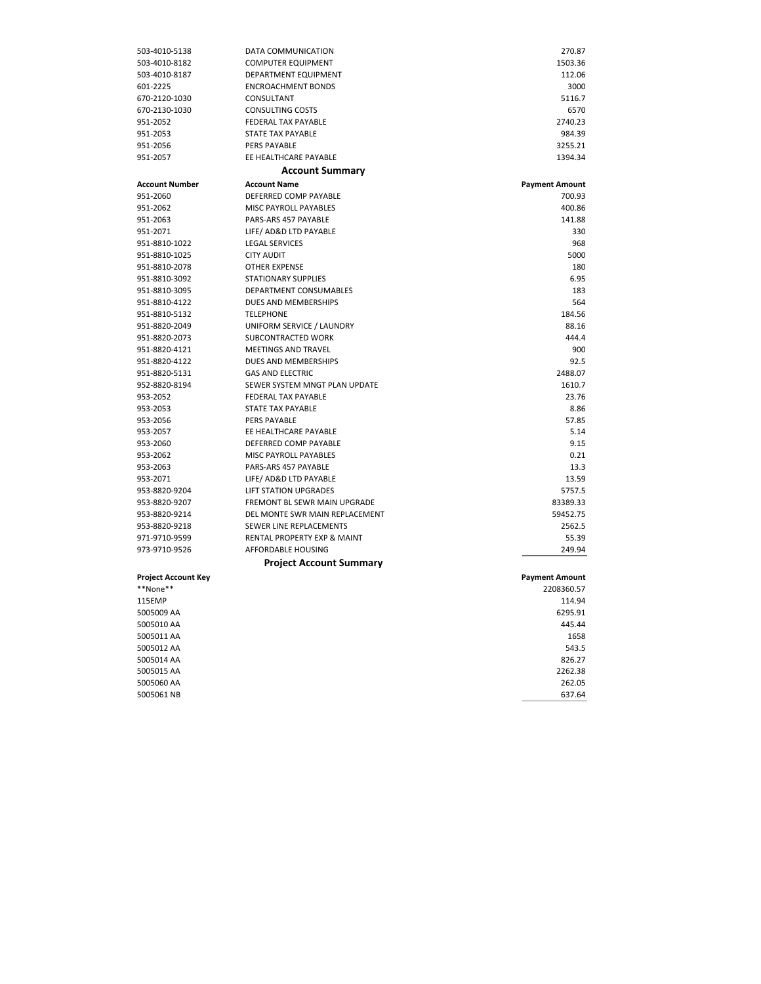| 503-4010-5138              | DATA COMMUNICATION             | 270.87                |
|----------------------------|--------------------------------|-----------------------|
| 503-4010-8182              | <b>COMPUTER EQUIPMENT</b>      | 1503.36               |
| 503-4010-8187              | DEPARTMENT EQUIPMENT           | 112.06                |
| 601-2225                   | <b>ENCROACHMENT BONDS</b>      | 3000                  |
| 670-2120-1030              | CONSULTANT                     | 5116.7                |
| 670-2130-1030              | <b>CONSULTING COSTS</b>        | 6570                  |
| 951-2052                   | FEDERAL TAX PAYABLE            | 2740.23               |
| 951-2053                   | <b>STATE TAX PAYABLE</b>       | 984.39                |
| 951-2056                   | PERS PAYABLE                   | 3255.21               |
| 951-2057                   | EE HEALTHCARE PAYABLE          | 1394.34               |
|                            | <b>Account Summary</b>         |                       |
| <b>Account Number</b>      | <b>Account Name</b>            | <b>Payment Amount</b> |
| 951-2060                   | DEFERRED COMP PAYABLE          | 700.93                |
| 951-2062                   | MISC PAYROLL PAYABLES          | 400.86                |
| 951-2063                   | PARS-ARS 457 PAYABLE           | 141.88                |
| 951-2071                   | LIFE/ AD&D LTD PAYABLE         | 330                   |
| 951-8810-1022              | <b>LEGAL SERVICES</b>          | 968                   |
| 951-8810-1025              | <b>CITY AUDIT</b>              | 5000                  |
| 951-8810-2078              | <b>OTHER EXPENSE</b>           | 180                   |
| 951-8810-3092              | <b>STATIONARY SUPPLIES</b>     | 6.95                  |
| 951-8810-3095              | DEPARTMENT CONSUMABLES         | 183                   |
| 951-8810-4122              | DUES AND MEMBERSHIPS           | 564                   |
| 951-8810-5132              | <b>TELEPHONE</b>               | 184.56                |
| 951-8820-2049              | UNIFORM SERVICE / LAUNDRY      | 88.16                 |
| 951-8820-2073              | SUBCONTRACTED WORK             | 444.4                 |
| 951-8820-4121              | <b>MEETINGS AND TRAVEL</b>     | 900                   |
| 951-8820-4122              | DUES AND MEMBERSHIPS           | 92.5                  |
| 951-8820-5131              | <b>GAS AND ELECTRIC</b>        | 2488.07               |
| 952-8820-8194              | SEWER SYSTEM MNGT PLAN UPDATE  | 1610.7                |
| 953-2052                   | FEDERAL TAX PAYABLE            | 23.76                 |
| 953-2053                   | STATE TAX PAYABLE              | 8.86                  |
| 953-2056                   | PERS PAYABLE                   | 57.85                 |
| 953-2057                   | EE HEALTHCARE PAYABLE          | 5.14                  |
| 953-2060                   | DEFERRED COMP PAYABLE          | 9.15                  |
| 953-2062                   | MISC PAYROLL PAYABLES          | 0.21                  |
| 953-2063                   | PARS-ARS 457 PAYABLE           | 13.3                  |
| 953-2071                   | LIFE/ AD&D LTD PAYABLE         | 13.59                 |
| 953-8820-9204              | <b>LIFT STATION UPGRADES</b>   | 5757.5                |
| 953-8820-9207              | FREMONT BL SEWR MAIN UPGRADE   | 83389.33              |
| 953-8820-9214              | DEL MONTE SWR MAIN REPLACEMENT | 59452.75              |
| 953-8820-9218              | SEWER LINE REPLACEMENTS        | 2562.5                |
| 971-9710-9599              | RENTAL PROPERTY EXP & MAINT    | 55.39                 |
| 973-9710-9526              | <b>AFFORDABLE HOUSING</b>      | 249.94                |
|                            | Project Account Summary        |                       |
| <b>Project Account Key</b> |                                | <b>Payment Amount</b> |
| **None**                   |                                | 2208360.57            |
| 115EMP                     |                                | 114.94                |
| 5005009 AA                 |                                | 6295.91               |
| 5005010 AA                 |                                | 445.44                |
| 5005011 AA                 |                                | 1658                  |
| 5005012 AA                 |                                | 543.5                 |
| 5005014 AA                 |                                | 826.27                |
| 5005015 AA                 |                                | 2262.38               |
| 5005060 AA                 |                                | 262.05                |
| 5005061 NB                 |                                | 637.64                |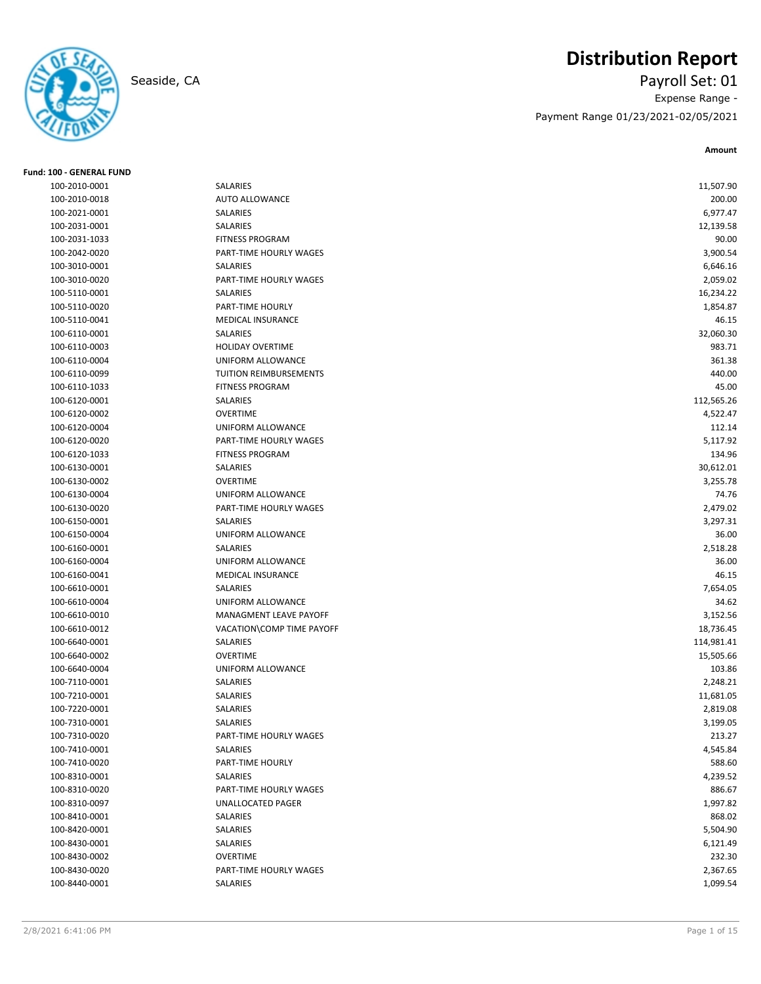

**Fund: 100 - GENERAL FUND**

# **Distribution Report**

Seaside, CA Payroll Set: 01 Expense Range - Payment Range 01/23/2021-02/05/2021

| 100-2010-0001 | SALARIES                  | 11,507.90  |
|---------------|---------------------------|------------|
| 100-2010-0018 | <b>AUTO ALLOWANCE</b>     | 200.00     |
| 100-2021-0001 | SALARIES                  | 6,977.47   |
| 100-2031-0001 | SALARIES                  | 12,139.58  |
| 100-2031-1033 | <b>FITNESS PROGRAM</b>    | 90.00      |
| 100-2042-0020 | PART-TIME HOURLY WAGES    | 3,900.54   |
| 100-3010-0001 | <b>SALARIES</b>           | 6,646.16   |
| 100-3010-0020 | PART-TIME HOURLY WAGES    | 2,059.02   |
| 100-5110-0001 | SALARIES                  | 16,234.22  |
| 100-5110-0020 | PART-TIME HOURLY          | 1,854.87   |
| 100-5110-0041 | <b>MEDICAL INSURANCE</b>  | 46.15      |
| 100-6110-0001 | <b>SALARIES</b>           | 32,060.30  |
| 100-6110-0003 | <b>HOLIDAY OVERTIME</b>   | 983.71     |
| 100-6110-0004 | UNIFORM ALLOWANCE         | 361.38     |
| 100-6110-0099 | TUITION REIMBURSEMENTS    | 440.00     |
| 100-6110-1033 | <b>FITNESS PROGRAM</b>    | 45.00      |
| 100-6120-0001 | SALARIES                  | 112,565.26 |
| 100-6120-0002 | <b>OVERTIME</b>           | 4,522.47   |
| 100-6120-0004 | UNIFORM ALLOWANCE         | 112.14     |
| 100-6120-0020 | PART-TIME HOURLY WAGES    | 5,117.92   |
| 100-6120-1033 | <b>FITNESS PROGRAM</b>    | 134.96     |
| 100-6130-0001 | SALARIES                  | 30,612.01  |
| 100-6130-0002 | <b>OVERTIME</b>           | 3,255.78   |
| 100-6130-0004 | UNIFORM ALLOWANCE         | 74.76      |
| 100-6130-0020 | PART-TIME HOURLY WAGES    | 2,479.02   |
| 100-6150-0001 | SALARIES                  | 3,297.31   |
| 100-6150-0004 | UNIFORM ALLOWANCE         | 36.00      |
| 100-6160-0001 | SALARIES                  | 2,518.28   |
| 100-6160-0004 | UNIFORM ALLOWANCE         | 36.00      |
| 100-6160-0041 | MEDICAL INSURANCE         | 46.15      |
| 100-6610-0001 | <b>SALARIES</b>           | 7,654.05   |
| 100-6610-0004 | UNIFORM ALLOWANCE         | 34.62      |
| 100-6610-0010 | MANAGMENT LEAVE PAYOFF    | 3,152.56   |
| 100-6610-0012 | VACATION\COMP TIME PAYOFF | 18,736.45  |
| 100-6640-0001 | SALARIES                  | 114,981.41 |
| 100-6640-0002 | <b>OVERTIME</b>           | 15,505.66  |
| 100-6640-0004 | <b>UNIFORM ALLOWANCE</b>  | 103.86     |
| 100-7110-0001 | SALARIES                  | 2,248.21   |
| 100-7210-0001 | SALARIES                  | 11,681.05  |
| 100-7220-0001 | SALARIES                  | 2,819.08   |
| 100-7310-0001 | SALARIES                  | 3,199.05   |
| 100-7310-0020 | PART-TIME HOURLY WAGES    | 213.27     |
| 100-7410-0001 | SALARIES                  | 4,545.84   |
| 100-7410-0020 | PART-TIME HOURLY          | 588.60     |
| 100-8310-0001 | SALARIES                  | 4,239.52   |
| 100-8310-0020 | PART-TIME HOURLY WAGES    | 886.67     |
| 100-8310-0097 | UNALLOCATED PAGER         | 1,997.82   |
| 100-8410-0001 | SALARIES                  | 868.02     |
| 100-8420-0001 | SALARIES                  | 5,504.90   |
| 100-8430-0001 | SALARIES                  | 6,121.49   |
| 100-8430-0002 | <b>OVERTIME</b>           | 232.30     |
| 100-8430-0020 | PART-TIME HOURLY WAGES    | 2,367.65   |
| 100-8440-0001 | SALARIES                  | 1,099.54   |
|               |                           |            |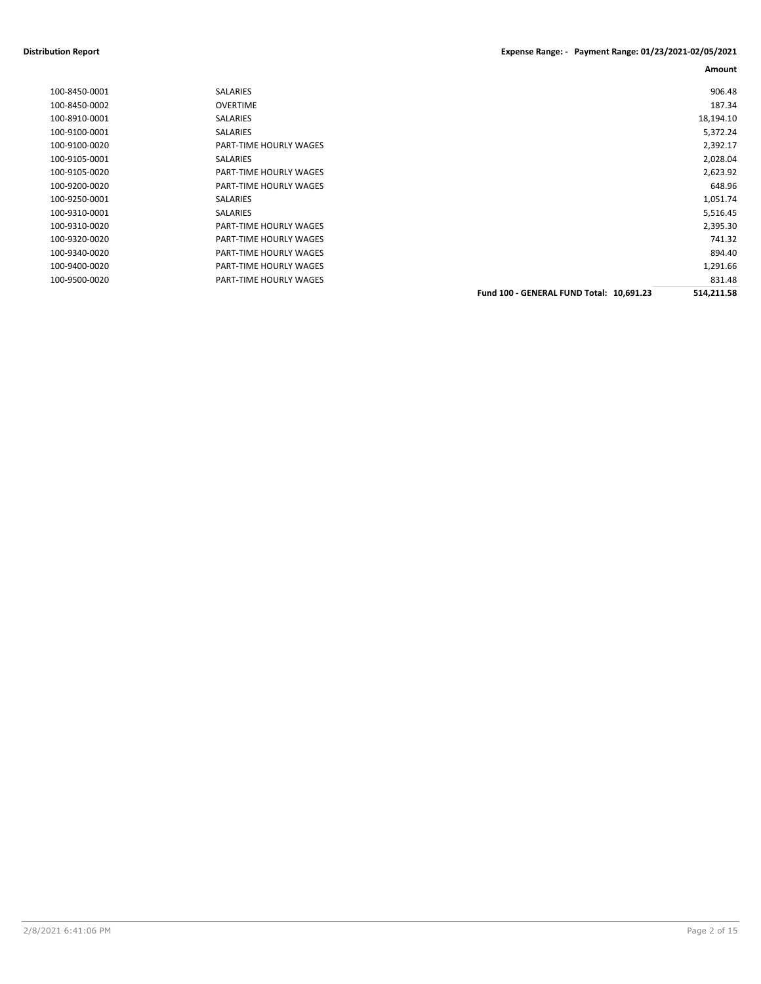#### **Distribution Report Expense Range: - Payment Range: 01/23/2021-02/05/2021**

| 100-8450-0001 | <b>SALARIES</b>        |                                          | 906.48     |
|---------------|------------------------|------------------------------------------|------------|
| 100-8450-0002 | <b>OVERTIME</b>        |                                          | 187.34     |
| 100-8910-0001 | <b>SALARIES</b>        |                                          | 18,194.10  |
| 100-9100-0001 | SALARIES               |                                          | 5,372.24   |
| 100-9100-0020 | PART-TIME HOURLY WAGES |                                          | 2,392.17   |
| 100-9105-0001 | SALARIES               |                                          | 2,028.04   |
| 100-9105-0020 | PART-TIME HOURLY WAGES |                                          | 2,623.92   |
| 100-9200-0020 | PART-TIME HOURLY WAGES |                                          | 648.96     |
| 100-9250-0001 | SALARIES               |                                          | 1,051.74   |
| 100-9310-0001 | SALARIES               |                                          | 5,516.45   |
| 100-9310-0020 | PART-TIME HOURLY WAGES |                                          | 2,395.30   |
| 100-9320-0020 | PART-TIME HOURLY WAGES |                                          | 741.32     |
| 100-9340-0020 | PART-TIME HOURLY WAGES |                                          | 894.40     |
| 100-9400-0020 | PART-TIME HOURLY WAGES |                                          | 1,291.66   |
| 100-9500-0020 | PART-TIME HOURLY WAGES |                                          | 831.48     |
|               |                        | Fund 100 - GENERAL FUND Total: 10,691.23 | 514,211.58 |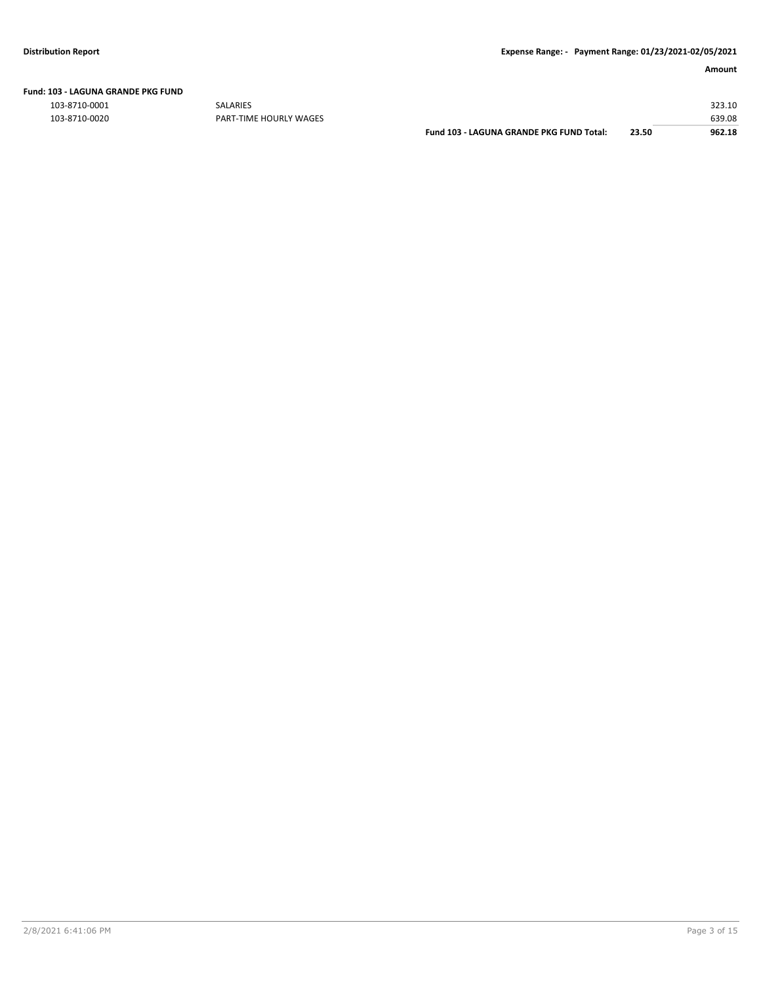|  | Fund: 103 - LAGUNA GRANDE PKG FUND |
|--|------------------------------------|
|  |                                    |

103-8710-0001 SALARIES 323.10 103-8710-0020 PART-TIME HOURLY WAGES 639.08

**Fund 103 - LAGUNA GRANDE PKG FUND Total: 23.50 962.18**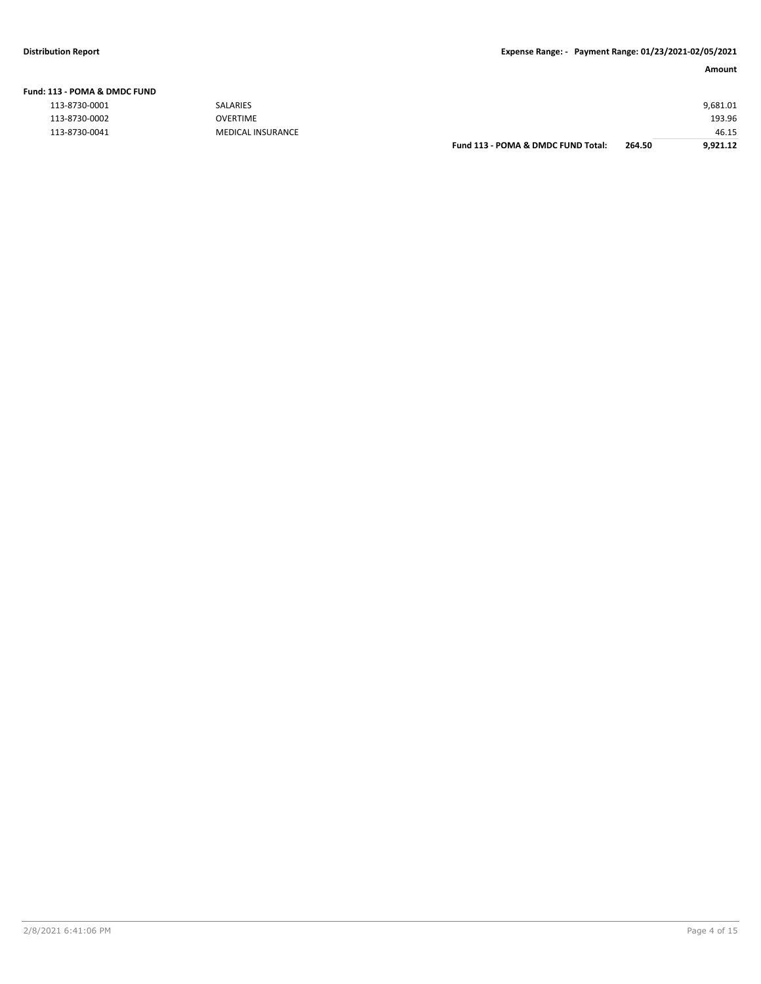| Fund: 113 - POMA & DMDC FUND |  |
|------------------------------|--|
| 112 0720 0001                |  |

| 113-8730-0001 |
|---------------|
| 113-8730-0002 |
| 113-8730-0041 |

| . 19 - 1 0 IVIA G. DIVIDC I 0 IVD |                   |                                    |        |          |
|-----------------------------------|-------------------|------------------------------------|--------|----------|
| 113-8730-0001                     | SALARIES          |                                    |        | 9,681.01 |
| 113-8730-0002                     | OVERTIME          |                                    |        | 193.96   |
| 113-8730-0041                     | MEDICAL INSURANCE |                                    |        | 46.15    |
|                                   |                   | Fund 113 - POMA & DMDC FUND Total: | 264.50 | 9.921.12 |
|                                   |                   |                                    |        |          |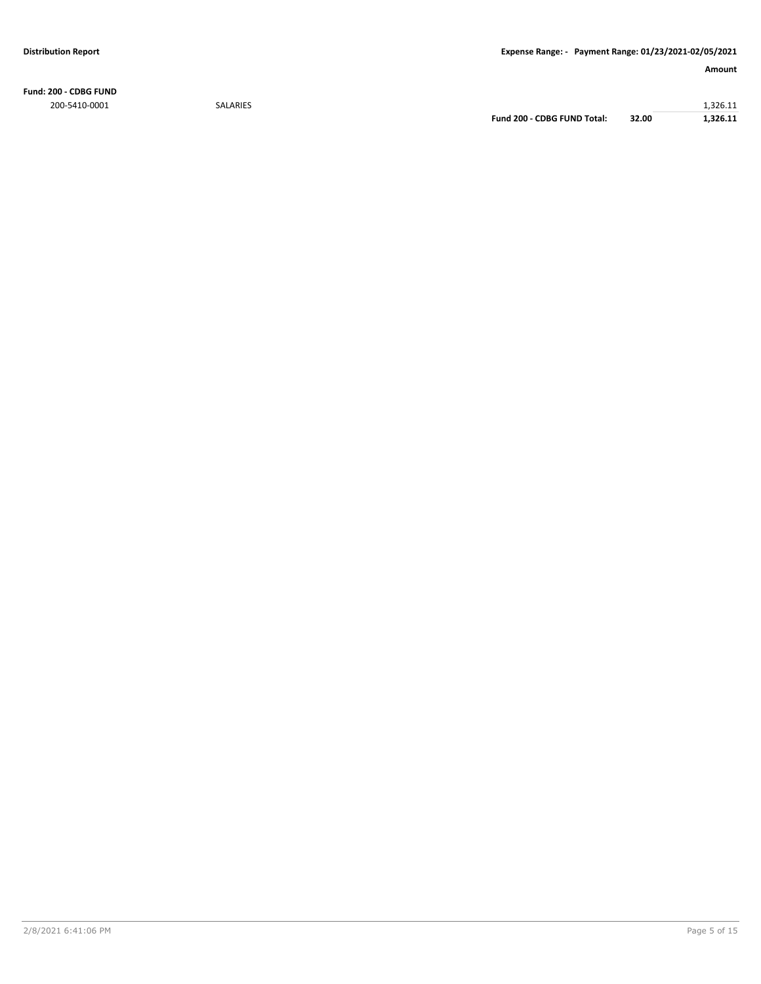**Fund: 200 - CDBG FUND**

200-5410-0001 SALARIES 1,326.11 **Fund 200 - CDBG FUND Total: 32.00 1,326.11**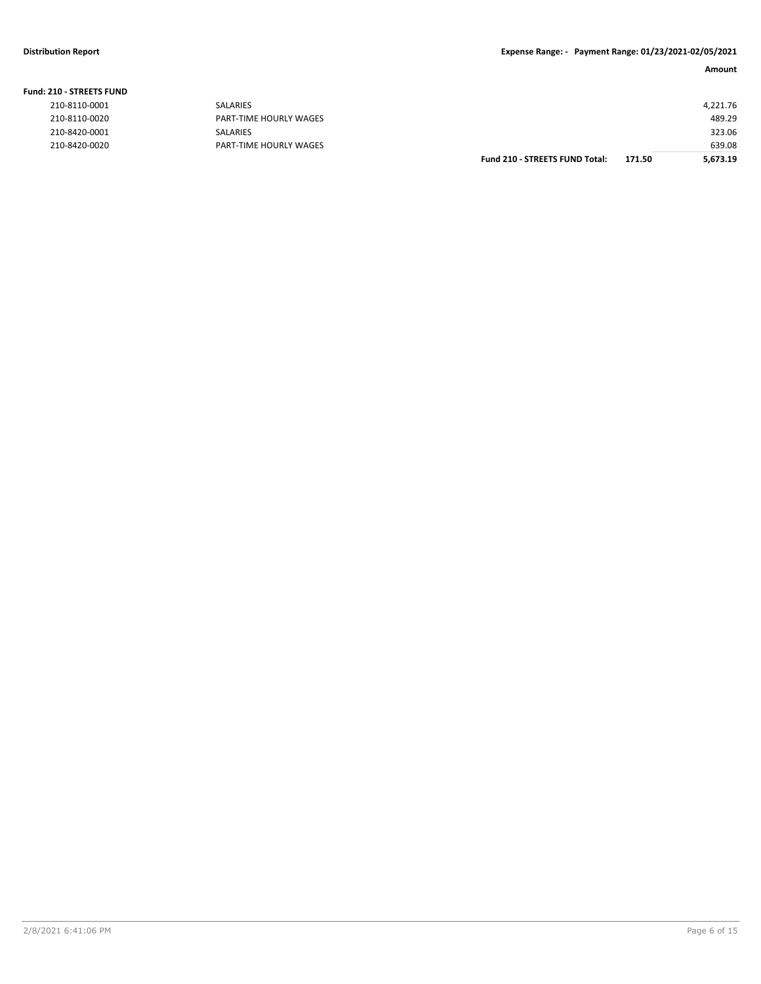**Fund: 210 - STREETS FUND**

| <b>210 - STREETS FUND</b> |                        |                                       |        |          |
|---------------------------|------------------------|---------------------------------------|--------|----------|
| 210-8110-0001             | SALARIES               |                                       |        | 4,221.76 |
| 210-8110-0020             | PART-TIME HOURLY WAGES |                                       |        | 489.29   |
| 210-8420-0001             | SALARIES               |                                       |        | 323.06   |
| 210-8420-0020             | PART-TIME HOURLY WAGES |                                       |        | 639.08   |
|                           |                        | <b>Fund 210 - STREETS FUND Total:</b> | 171.50 | 5.673.19 |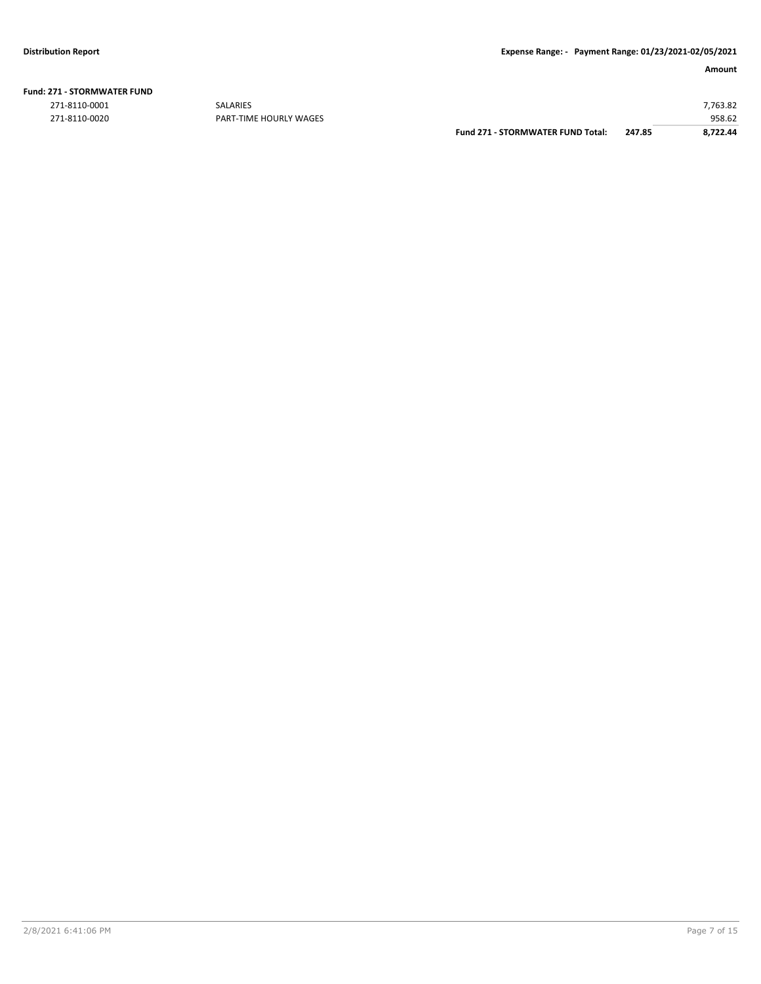| <b>Fund: 271 - STORMWATER FUND</b> |  |
|------------------------------------|--|
|------------------------------------|--|

271-8110-0001 SALARIES 7,763.82

958.62 958.62<br>PART-TIME HOURLY WAGES **Fund 271 - STORMWATER FUND Total:** 247.85 958.62 958.62 **Fund 271 - STORMWATER FUND Total:**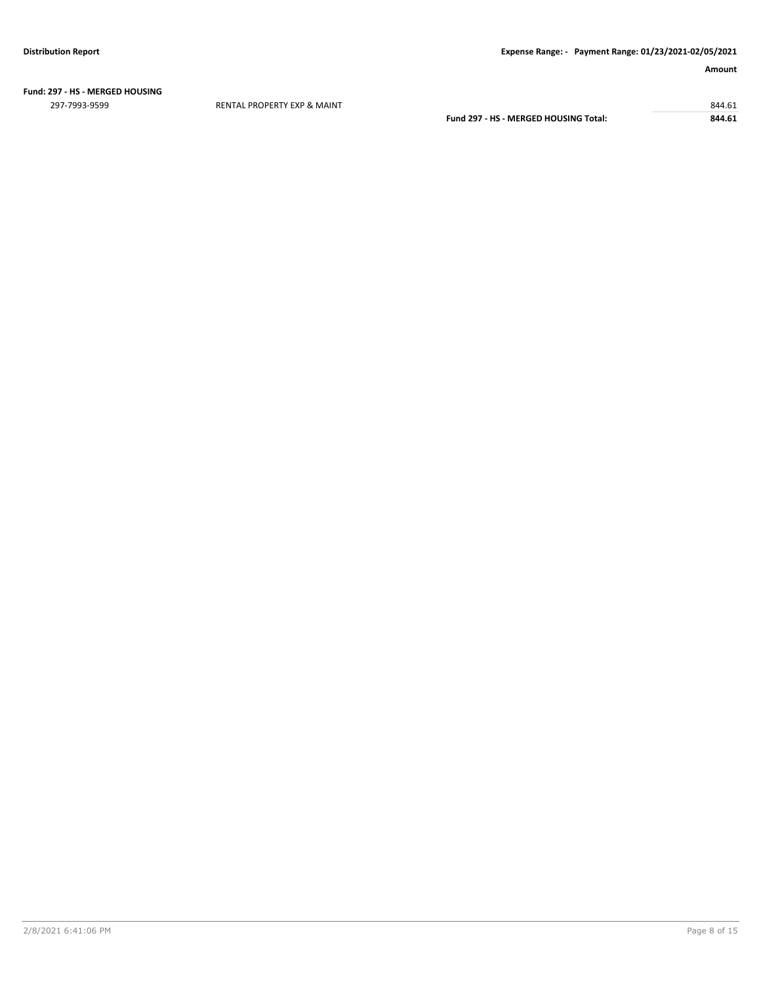**Fund: 297 - HS - MERGED HOUSING**

297-7993-9599 RENTAL PROPERTY EXP & MAINT 844.61

**Fund 297 - HS - MERGED HOUSING Total: 844.61**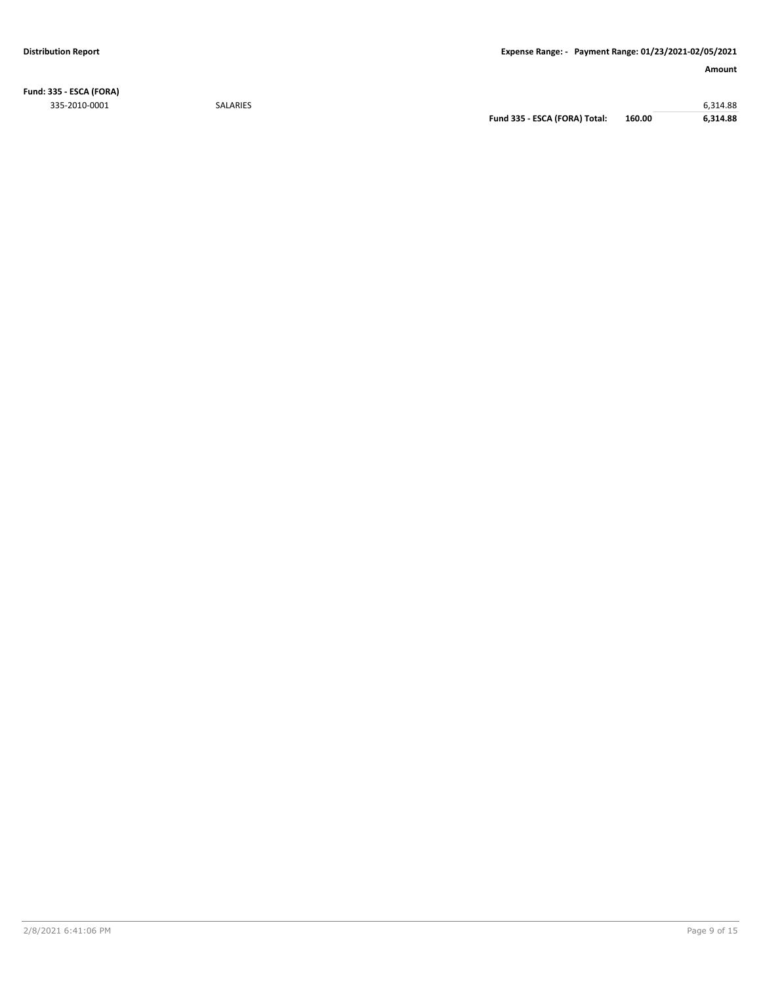**Fund: 335 - ESCA (FORA)** 335-2010-0001 SALARIES 6,314.88

**Fund 335 - ESCA (FORA) Total: 160.00 6,314.88**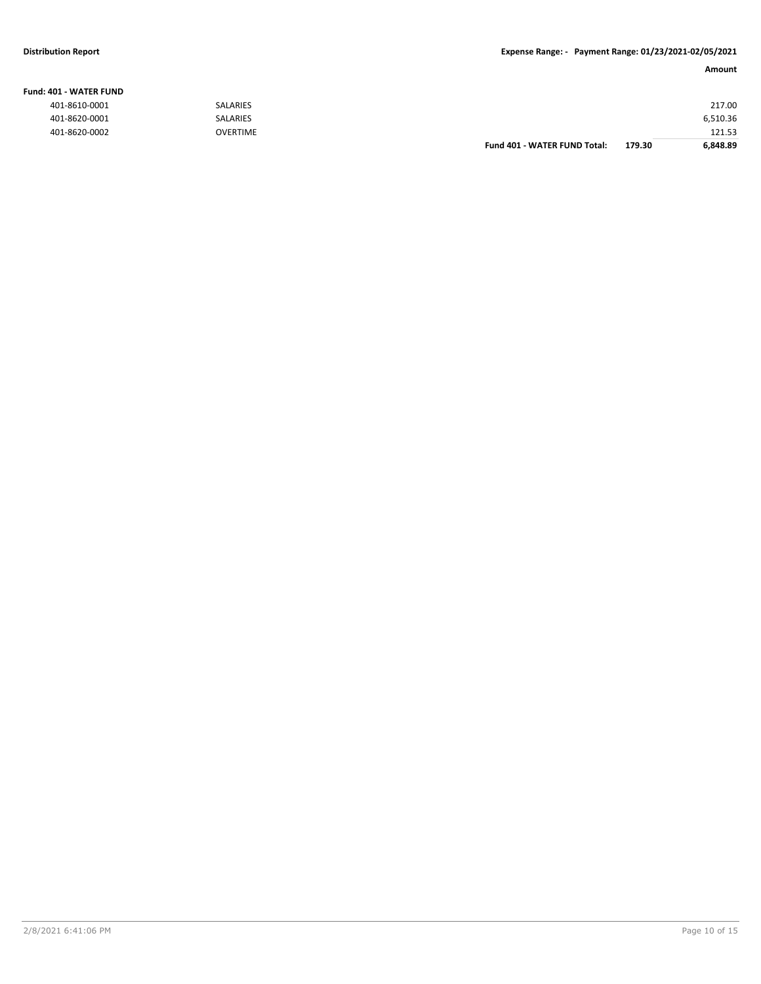#### **Fund: 401 - WATER FUND**

| 401-8610-0001 | <b>SALARIES</b> |                                     |        | 217.00   |
|---------------|-----------------|-------------------------------------|--------|----------|
| 401-8620-0001 | SALARIES        |                                     |        | 6,510.36 |
| 401-8620-0002 | <b>OVERTIME</b> |                                     |        | 121.53   |
|               |                 | <b>Fund 401 - WATER FUND Total:</b> | 179.30 | 6,848.89 |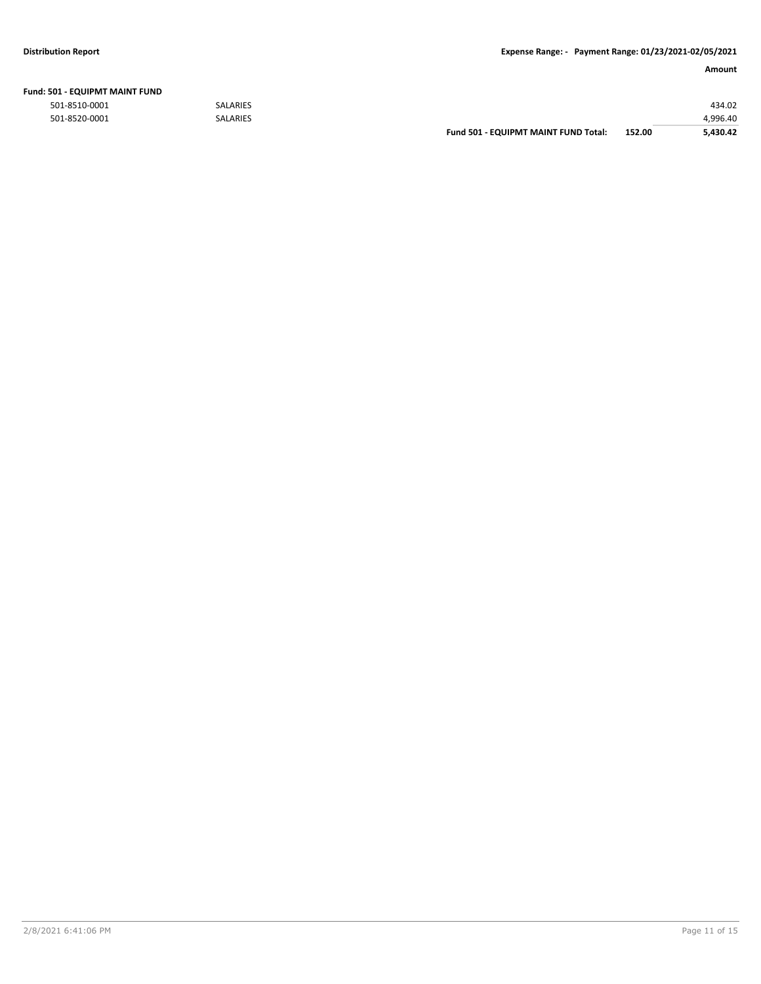|  | Fund: 501 - EQUIPMT MAINT FUND |  |
|--|--------------------------------|--|
|--|--------------------------------|--|

|               |                 | <b>Fund 501 - EQUIPMT MAINT FUND Total:</b> | 152.00 | 5.430.42 |
|---------------|-----------------|---------------------------------------------|--------|----------|
| 501-8520-0001 | <b>SALARIES</b> |                                             |        | 4.996.40 |
| 501-8510-0001 | <b>SALARIES</b> |                                             |        | 434.02   |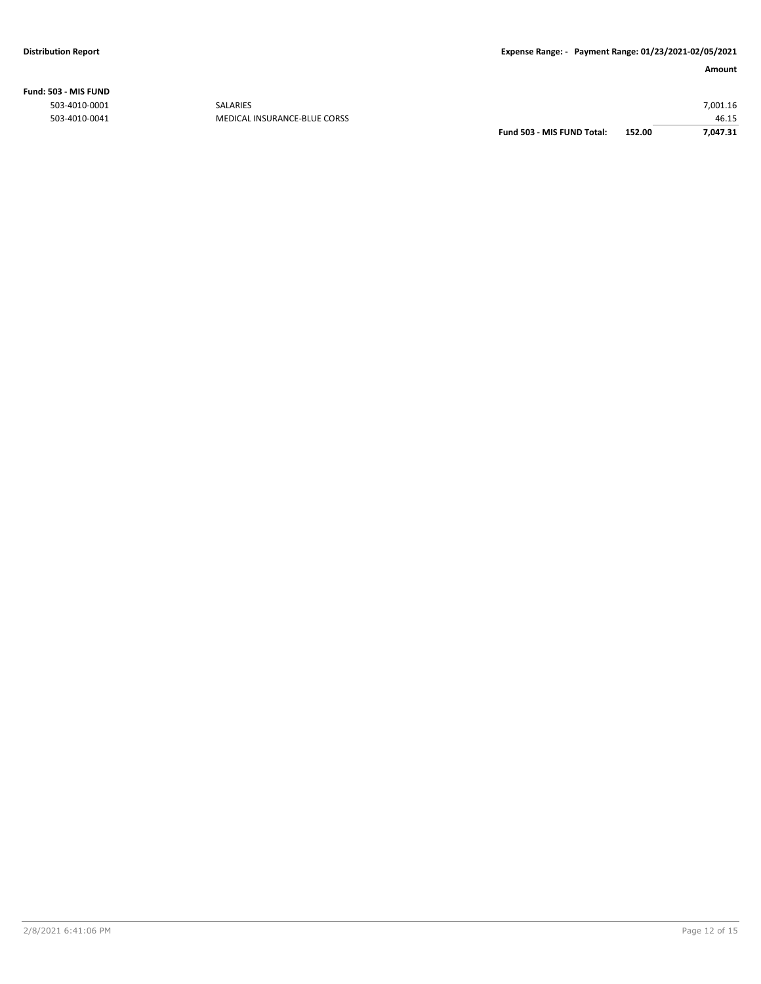**Fund: 503 - MIS FUND**

| 46.15    |
|----------|
| 7,001.16 |
|          |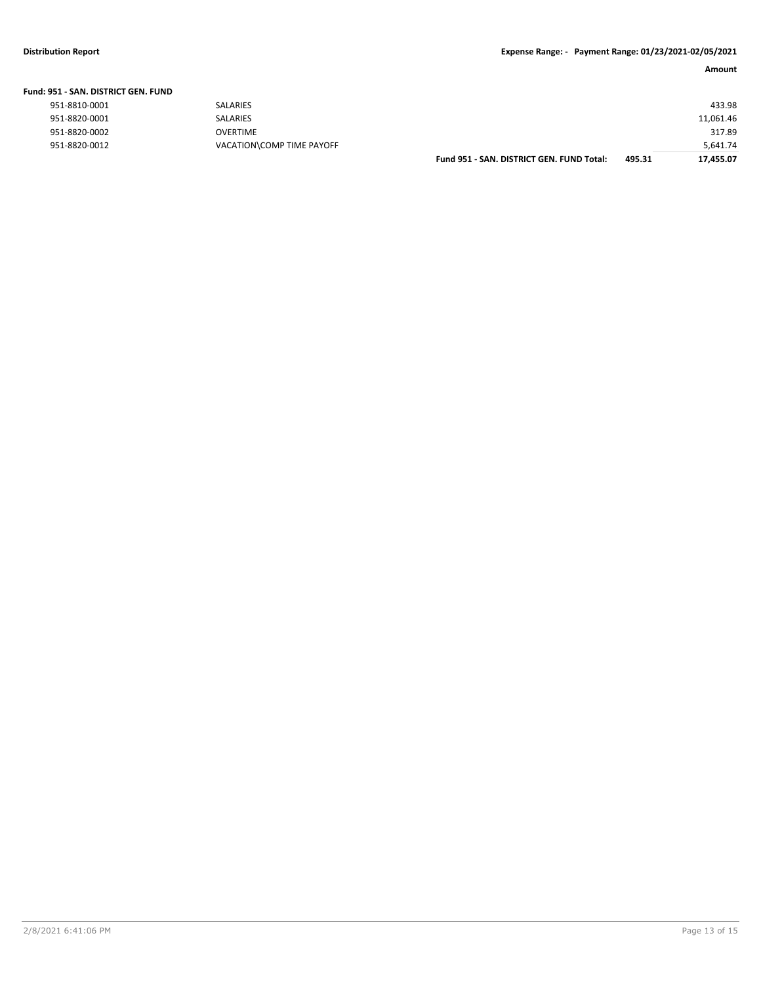| Fund: 951 - SAN, DISTRICT GEN, FUND |                           |                                           |        |           |
|-------------------------------------|---------------------------|-------------------------------------------|--------|-----------|
| 951-8810-0001                       | <b>SALARIES</b>           |                                           |        | 433.98    |
| 951-8820-0001                       | <b>SALARIES</b>           |                                           |        | 11,061.46 |
| 951-8820-0002                       | OVERTIME                  |                                           |        | 317.89    |
| 951-8820-0012                       | VACATION\COMP TIME PAYOFF |                                           |        | 5.641.74  |
|                                     |                           | Fund 951 - SAN, DISTRICT GEN, FUND Total: | 495.31 | 17.455.07 |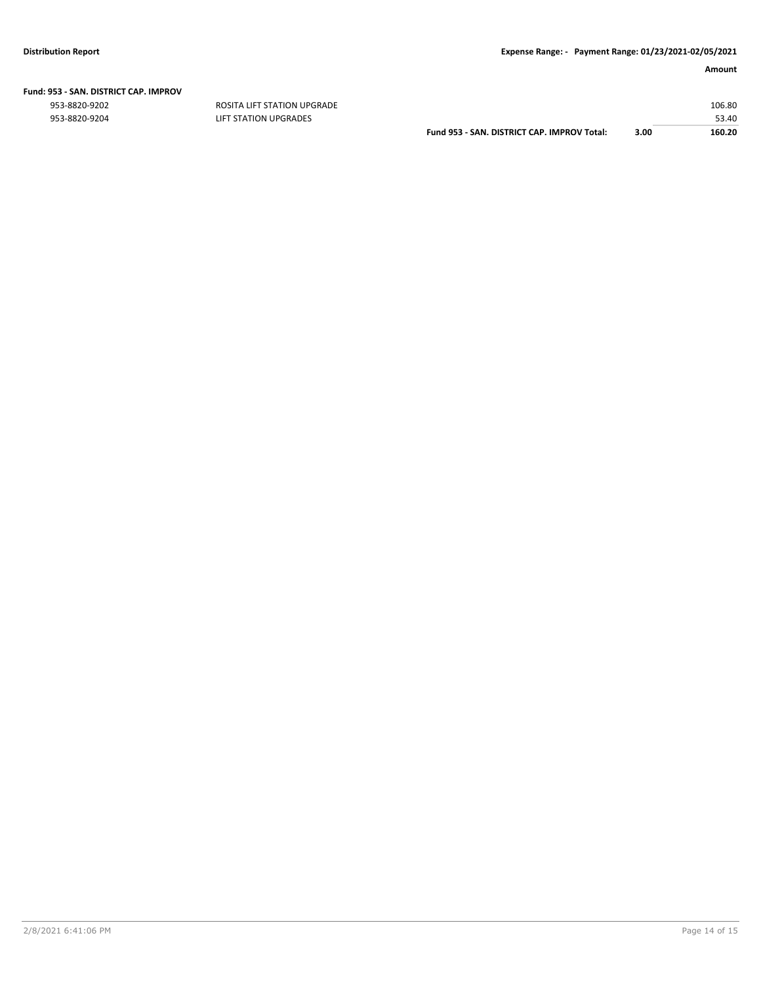|  | Fund: 953 - SAN. DISTRICT CAP. IMPROV |  |
|--|---------------------------------------|--|
|  |                                       |  |

| 953-8820-9204 | LIFT STATION UPGRADES                       |      | 53.40  |
|---------------|---------------------------------------------|------|--------|
|               | Fund 953 - SAN, DISTRICT CAP, IMPROV Total: | 3.00 | 160.20 |